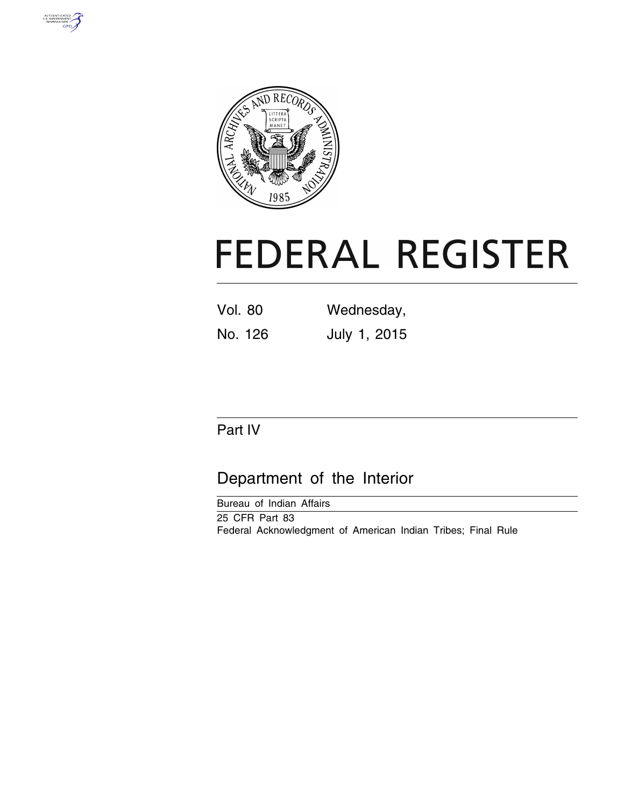



# **FEDERAL REGISTER**

| Vol. 80 | Wednesday,   |
|---------|--------------|
| No. 126 | July 1, 2015 |

# Part IV

# Department of the Interior

Bureau of Indian Affairs 25 CFR Part 83 Federal Acknowledgment of American Indian Tribes; Final Rule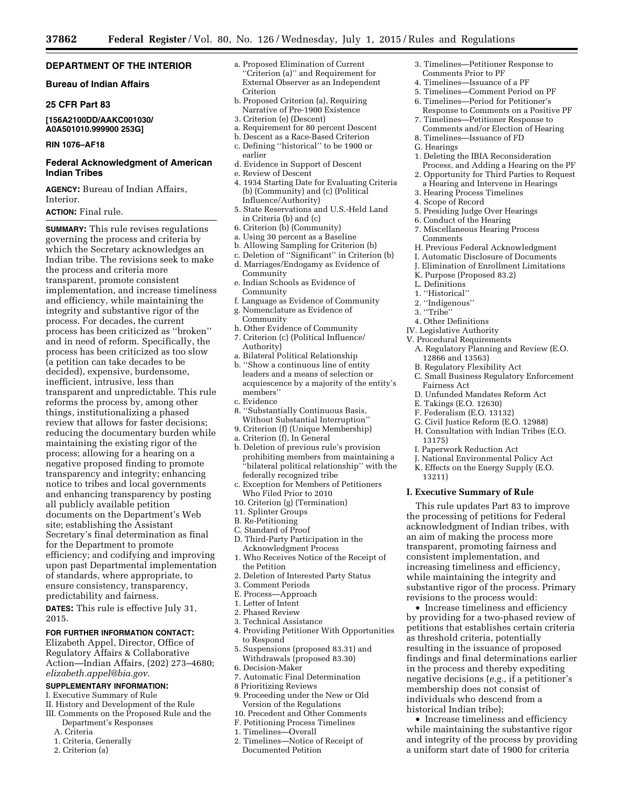# **DEPARTMENT OF THE INTERIOR**

# **Bureau of Indian Affairs**

# **25 CFR Part 83**

# **[156A2100DD/AAKC001030/ A0A501010.999900 253G]**

### **RIN 1076–AF18**

# **Federal Acknowledgment of American Indian Tribes**

**AGENCY:** Bureau of Indian Affairs, Interior.

# **ACTION:** Final rule.

**SUMMARY:** This rule revises regulations governing the process and criteria by which the Secretary acknowledges an Indian tribe. The revisions seek to make the process and criteria more transparent, promote consistent implementation, and increase timeliness and efficiency, while maintaining the integrity and substantive rigor of the process. For decades, the current process has been criticized as ''broken'' and in need of reform. Specifically, the process has been criticized as too slow (a petition can take decades to be decided), expensive, burdensome, inefficient, intrusive, less than transparent and unpredictable. This rule reforms the process by, among other things, institutionalizing a phased review that allows for faster decisions; reducing the documentary burden while maintaining the existing rigor of the process; allowing for a hearing on a negative proposed finding to promote transparency and integrity; enhancing notice to tribes and local governments and enhancing transparency by posting all publicly available petition documents on the Department's Web site; establishing the Assistant Secretary's final determination as final for the Department to promote efficiency; and codifying and improving upon past Departmental implementation of standards, where appropriate, to ensure consistency, transparency, predictability and fairness.

**DATES:** This rule is effective July 31, 2015.

# **FOR FURTHER INFORMATION CONTACT:**

Elizabeth Appel, Director, Office of Regulatory Affairs & Collaborative Action—Indian Affairs, (202) 273–4680; *[elizabeth.appel@bia.gov.](mailto:elizabeth.appel@bia.gov)* 

#### **SUPPLEMENTARY INFORMATION:**

- I. Executive Summary of Rule
- II. History and Development of the Rule
- III. Comments on the Proposed Rule and the Department's Responses
	- A. Criteria
	- 1. Criteria, Generally
	- 2. Criterion (a)
- a. Proposed Elimination of Current ''Criterion (a)'' and Requirement for External Observer as an Independent **Criterion**
- b. Proposed Criterion (a), Requiring Narrative of Pre-1900 Existence 3. Criterion (e) (Descent)
- a. Requirement for 80 percent Descent
- b. Descent as a Race-Based Criterion
- c. Defining ''historical'' to be 1900 or earlier
- d. Evidence in Support of Descent
- e. Review of Descent
- 4. 1934 Starting Date for Evaluating Criteria (b) (Community) and (c) (Political Influence/Authority)
- 5. State Reservations and U.S.-Held Land in Criteria (b) and (c)
- 6. Criterion (b) (Community)
- a. Using 30 percent as a Baseline
- b. Allowing Sampling for Criterion (b)
- c. Deletion of ''Significant'' in Criterion (b)
- d. Marriages/Endogamy as Evidence of Community
- e. Indian Schools as Evidence of Community
- f. Language as Evidence of Community
- g. Nomenclature as Evidence of Community
- h. Other Evidence of Community 7. Criterion (c) (Political Influence/
- Authority)
- a. Bilateral Political Relationship b. ''Show a continuous line of entity leaders and a means of selection or acquiescence by a majority of the entity's members''
- c. Evidence
- 8. ''Substantially Continuous Basis, Without Substantial Interruption''
- 9. Criterion (f) (Unique Membership)
- a. Criterion (f), In General
- b. Deletion of previous rule's provision prohibiting members from maintaining a ''bilateral political relationship'' with the federally recognized tribe
- c. Exception for Members of Petitioners Who Filed Prior to 2010
- 10. Criterion (g) (Termination)
- 11. Splinter Groups
- B. Re-Petitioning
- C. Standard of Proof
- D. Third-Party Participation in the Acknowledgment Process
- 1. Who Receives Notice of the Receipt of the Petition
- 2. Deletion of Interested Party Status
- 3. Comment Periods
- E. Process—Approach
- 1. Letter of Intent
- 2. Phased Review
- 3. Technical Assistance
- 4. Providing Petitioner With Opportunities to Respond
- 5. Suspensions (proposed 83.31) and Withdrawals (proposed 83.30)
- 6. Decision-Maker
- 7. Automatic Final Determination
- 8 Prioritizing Reviews
- 9. Proceeding under the New or Old Version of the Regulations
- 10. Precedent and Other Comments
- F. Petitioning Process Timelines
- 1. Timelines—Overall
- 2. Timelines—Notice of Receipt of Documented Petition
- 3. Timelines—Petitioner Response to Comments Prior to PF
- 4. Timelines—Issuance of a PF
- 5. Timelines—Comment Period on PF
- 6. Timelines—Period for Petitioner's Response to Comments on a Positive PF
- 7. Timelines—Petitioner Response to Comments and/or Election of Hearing
- 8. Timelines—Issuance of FD
- G. Hearings
- 1. Deleting the IBIA Reconsideration
- Process, and Adding a Hearing on the PF 2. Opportunity for Third Parties to Request
- a Hearing and Intervene in Hearings
- 3. Hearing Process Timelines
- 4. Scope of Record
- 5. Presiding Judge Over Hearings
- 6. Conduct of the Hearing
- 7. Miscellaneous Hearing Process Comments
- H. Previous Federal Acknowledgment
- I. Automatic Disclosure of Documents
- J. Elimination of Enrollment Limitations
- K. Purpose (Proposed 83.2)
- L. Definitions
- 1. ''Historical''
- 2. ''Indigenous''
- 3. ''Tribe''

13175)

13211)

- 4. Other Definitions
- IV. Legislative Authority V. Procedural Requirements
	- A. Regulatory Planning and Review (E.O. 12866 and 13563)
	- B. Regulatory Flexibility Act
	- C. Small Business Regulatory Enforcement Fairness Act
	- D. Unfunded Mandates Reform Act
	- E. Takings (E.O. 12630)
	- F. Federalism (E.O. 13132)

I. Paperwork Reduction Act J. National Environmental Policy Act K. Effects on the Energy Supply (E.O.

**I. Executive Summary of Rule** 

revisions to the process would:

historical Indian tribe);

• Increase timeliness and efficiency by providing for a two-phased review of petitions that establishes certain criteria as threshold criteria, potentially resulting in the issuance of proposed findings and final determinations earlier in the process and thereby expediting negative decisions (*e.g.,* if a petitioner's membership does not consist of individuals who descend from a

• Increase timeliness and efficiency while maintaining the substantive rigor and integrity of the process by providing a uniform start date of 1900 for criteria

This rule updates Part 83 to improve the processing of petitions for Federal acknowledgment of Indian tribes, with an aim of making the process more transparent, promoting fairness and consistent implementation, and increasing timeliness and efficiency, while maintaining the integrity and substantive rigor of the process. Primary

G. Civil Justice Reform (E.O. 12988) H. Consultation with Indian Tribes (E.O.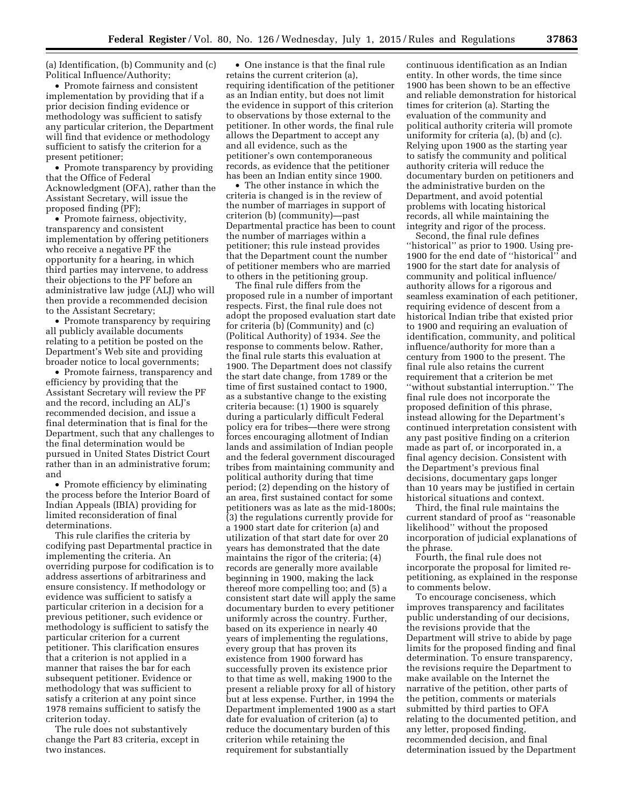(a) Identification, (b) Community and (c) Political Influence/Authority;

• Promote fairness and consistent implementation by providing that if a prior decision finding evidence or methodology was sufficient to satisfy any particular criterion, the Department will find that evidence or methodology sufficient to satisfy the criterion for a present petitioner;

• Promote transparency by providing that the Office of Federal Acknowledgment (OFA), rather than the Assistant Secretary, will issue the proposed finding (PF);

• Promote fairness, objectivity, transparency and consistent implementation by offering petitioners who receive a negative PF the opportunity for a hearing, in which third parties may intervene, to address their objections to the PF before an administrative law judge (ALJ) who will then provide a recommended decision to the Assistant Secretary;

• Promote transparency by requiring all publicly available documents relating to a petition be posted on the Department's Web site and providing broader notice to local governments;

• Promote fairness, transparency and efficiency by providing that the Assistant Secretary will review the PF and the record, including an ALJ's recommended decision, and issue a final determination that is final for the Department, such that any challenges to the final determination would be pursued in United States District Court rather than in an administrative forum; and

• Promote efficiency by eliminating the process before the Interior Board of Indian Appeals (IBIA) providing for limited reconsideration of final determinations.

This rule clarifies the criteria by codifying past Departmental practice in implementing the criteria. An overriding purpose for codification is to address assertions of arbitrariness and ensure consistency. If methodology or evidence was sufficient to satisfy a particular criterion in a decision for a previous petitioner, such evidence or methodology is sufficient to satisfy the particular criterion for a current petitioner. This clarification ensures that a criterion is not applied in a manner that raises the bar for each subsequent petitioner. Evidence or methodology that was sufficient to satisfy a criterion at any point since 1978 remains sufficient to satisfy the criterion today.

The rule does not substantively change the Part 83 criteria, except in two instances.

• One instance is that the final rule retains the current criterion (a), requiring identification of the petitioner as an Indian entity, but does not limit the evidence in support of this criterion to observations by those external to the petitioner. In other words, the final rule allows the Department to accept any and all evidence, such as the petitioner's own contemporaneous records, as evidence that the petitioner has been an Indian entity since 1900.

• The other instance in which the criteria is changed is in the review of the number of marriages in support of criterion (b) (community)—past Departmental practice has been to count the number of marriages within a petitioner; this rule instead provides that the Department count the number of petitioner members who are married to others in the petitioning group.

The final rule differs from the proposed rule in a number of important respects. First, the final rule does not adopt the proposed evaluation start date for criteria (b) (Community) and (c) (Political Authority) of 1934. *See* the response to comments below. Rather, the final rule starts this evaluation at 1900. The Department does not classify the start date change, from 1789 or the time of first sustained contact to 1900, as a substantive change to the existing criteria because: (1) 1900 is squarely during a particularly difficult Federal policy era for tribes—there were strong forces encouraging allotment of Indian lands and assimilation of Indian people and the federal government discouraged tribes from maintaining community and political authority during that time period; (2) depending on the history of an area, first sustained contact for some petitioners was as late as the mid-1800s; (3) the regulations currently provide for a 1900 start date for criterion (a) and utilization of that start date for over 20 years has demonstrated that the date maintains the rigor of the criteria; (4) records are generally more available beginning in 1900, making the lack thereof more compelling too; and (5) a consistent start date will apply the same documentary burden to every petitioner uniformly across the country. Further, based on its experience in nearly 40 years of implementing the regulations, every group that has proven its existence from 1900 forward has successfully proven its existence prior to that time as well, making 1900 to the present a reliable proxy for all of history but at less expense. Further, in 1994 the Department implemented 1900 as a start date for evaluation of criterion (a) to reduce the documentary burden of this criterion while retaining the requirement for substantially

continuous identification as an Indian entity. In other words, the time since 1900 has been shown to be an effective and reliable demonstration for historical times for criterion (a). Starting the evaluation of the community and political authority criteria will promote uniformity for criteria (a), (b) and (c). Relying upon 1900 as the starting year to satisfy the community and political authority criteria will reduce the documentary burden on petitioners and the administrative burden on the Department, and avoid potential problems with locating historical records, all while maintaining the integrity and rigor of the process.

Second, the final rule defines "historical" as prior to 1900. Using pre-1900 for the end date of ''historical'' and 1900 for the start date for analysis of community and political influence/ authority allows for a rigorous and seamless examination of each petitioner, requiring evidence of descent from a historical Indian tribe that existed prior to 1900 and requiring an evaluation of identification, community, and political influence/authority for more than a century from 1900 to the present. The final rule also retains the current requirement that a criterion be met ''without substantial interruption.'' The final rule does not incorporate the proposed definition of this phrase, instead allowing for the Department's continued interpretation consistent with any past positive finding on a criterion made as part of, or incorporated in, a final agency decision. Consistent with the Department's previous final decisions, documentary gaps longer than 10 years may be justified in certain historical situations and context.

Third, the final rule maintains the current standard of proof as ''reasonable likelihood'' without the proposed incorporation of judicial explanations of the phrase.

Fourth, the final rule does not incorporate the proposal for limited repetitioning, as explained in the response to comments below.

To encourage conciseness, which improves transparency and facilitates public understanding of our decisions, the revisions provide that the Department will strive to abide by page limits for the proposed finding and final determination. To ensure transparency, the revisions require the Department to make available on the Internet the narrative of the petition, other parts of the petition, comments or materials submitted by third parties to OFA relating to the documented petition, and any letter, proposed finding, recommended decision, and final determination issued by the Department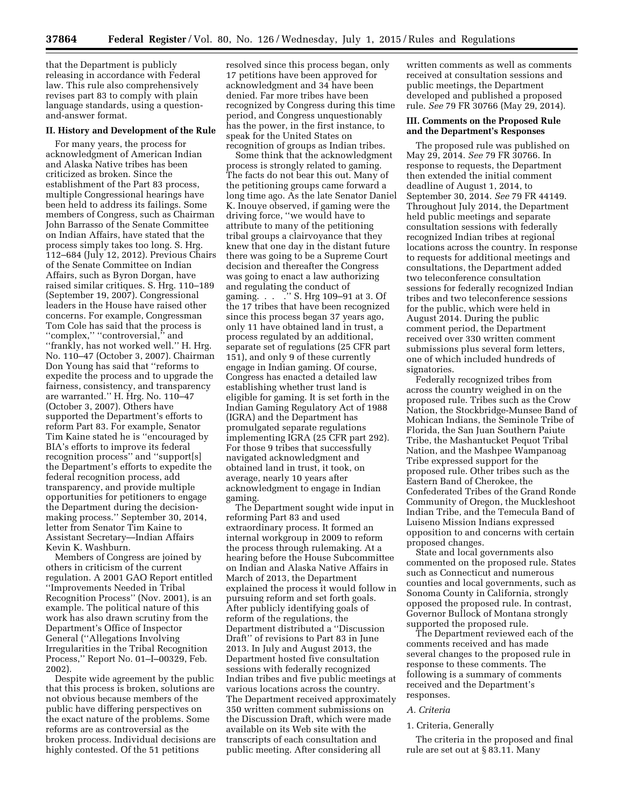that the Department is publicly releasing in accordance with Federal law. This rule also comprehensively revises part 83 to comply with plain language standards, using a questionand-answer format.

#### **II. History and Development of the Rule**

For many years, the process for acknowledgment of American Indian and Alaska Native tribes has been criticized as broken. Since the establishment of the Part 83 process, multiple Congressional hearings have been held to address its failings. Some members of Congress, such as Chairman John Barrasso of the Senate Committee on Indian Affairs, have stated that the process simply takes too long. S. Hrg. 112–684 (July 12, 2012). Previous Chairs of the Senate Committee on Indian Affairs, such as Byron Dorgan, have raised similar critiques. S. Hrg. 110–189 (September 19, 2007). Congressional leaders in the House have raised other concerns. For example, Congressman Tom Cole has said that the process is "complex," "controversial," and ''frankly, has not worked well.'' H. Hrg. No. 110–47 (October 3, 2007). Chairman Don Young has said that ''reforms to expedite the process and to upgrade the fairness, consistency, and transparency are warranted.'' H. Hrg. No. 110–47 (October 3, 2007). Others have supported the Department's efforts to reform Part 83. For example, Senator Tim Kaine stated he is ''encouraged by BIA's efforts to improve its federal recognition process'' and ''support[s] the Department's efforts to expedite the federal recognition process, add transparency, and provide multiple opportunities for petitioners to engage the Department during the decisionmaking process.'' September 30, 2014, letter from Senator Tim Kaine to Assistant Secretary—Indian Affairs Kevin K. Washburn.

Members of Congress are joined by others in criticism of the current regulation. A 2001 GAO Report entitled ''Improvements Needed in Tribal Recognition Process'' (Nov. 2001), is an example. The political nature of this work has also drawn scrutiny from the Department's Office of Inspector General (''Allegations Involving Irregularities in the Tribal Recognition Process,'' Report No. 01–I–00329, Feb. 2002).

Despite wide agreement by the public that this process is broken, solutions are not obvious because members of the public have differing perspectives on the exact nature of the problems. Some reforms are as controversial as the broken process. Individual decisions are highly contested. Of the 51 petitions

resolved since this process began, only 17 petitions have been approved for acknowledgment and 34 have been denied. Far more tribes have been recognized by Congress during this time period, and Congress unquestionably has the power, in the first instance, to speak for the United States on recognition of groups as Indian tribes.

Some think that the acknowledgment process is strongly related to gaming. The facts do not bear this out. Many of the petitioning groups came forward a long time ago. As the late Senator Daniel K. Inouye observed, if gaming were the driving force, ''we would have to attribute to many of the petitioning tribal groups a clairvoyance that they knew that one day in the distant future there was going to be a Supreme Court decision and thereafter the Congress was going to enact a law authorizing and regulating the conduct of gaming. . . . " S. Hrg 109-91 at 3. Of the 17 tribes that have been recognized since this process began 37 years ago, only 11 have obtained land in trust, a process regulated by an additional, separate set of regulations (25 CFR part 151), and only 9 of these currently engage in Indian gaming. Of course, Congress has enacted a detailed law establishing whether trust land is eligible for gaming. It is set forth in the Indian Gaming Regulatory Act of 1988 (IGRA) and the Department has promulgated separate regulations implementing IGRA (25 CFR part 292). For those 9 tribes that successfully navigated acknowledgment and obtained land in trust, it took, on average, nearly 10 years after acknowledgment to engage in Indian gaming.

The Department sought wide input in reforming Part 83 and used extraordinary process. It formed an internal workgroup in 2009 to reform the process through rulemaking. At a hearing before the House Subcommittee on Indian and Alaska Native Affairs in March of 2013, the Department explained the process it would follow in pursuing reform and set forth goals. After publicly identifying goals of reform of the regulations, the Department distributed a ''Discussion Draft'' of revisions to Part 83 in June 2013. In July and August 2013, the Department hosted five consultation sessions with federally recognized Indian tribes and five public meetings at various locations across the country. The Department received approximately 350 written comment submissions on the Discussion Draft, which were made available on its Web site with the transcripts of each consultation and public meeting. After considering all

written comments as well as comments received at consultation sessions and public meetings, the Department developed and published a proposed rule. *See* 79 FR 30766 (May 29, 2014).

# **III. Comments on the Proposed Rule and the Department's Responses**

The proposed rule was published on May 29, 2014. *See* 79 FR 30766. In response to requests, the Department then extended the initial comment deadline of August 1, 2014, to September 30, 2014. *See* 79 FR 44149. Throughout July 2014, the Department held public meetings and separate consultation sessions with federally recognized Indian tribes at regional locations across the country. In response to requests for additional meetings and consultations, the Department added two teleconference consultation sessions for federally recognized Indian tribes and two teleconference sessions for the public, which were held in August 2014. During the public comment period, the Department received over 330 written comment submissions plus several form letters, one of which included hundreds of signatories.

Federally recognized tribes from across the country weighed in on the proposed rule. Tribes such as the Crow Nation, the Stockbridge-Munsee Band of Mohican Indians, the Seminole Tribe of Florida, the San Juan Southern Paiute Tribe, the Mashantucket Pequot Tribal Nation, and the Mashpee Wampanoag Tribe expressed support for the proposed rule. Other tribes such as the Eastern Band of Cherokee, the Confederated Tribes of the Grand Ronde Community of Oregon, the Muckleshoot Indian Tribe, and the Temecula Band of Luiseno Mission Indians expressed opposition to and concerns with certain proposed changes.

State and local governments also commented on the proposed rule. States such as Connecticut and numerous counties and local governments, such as Sonoma County in California, strongly opposed the proposed rule. In contrast, Governor Bullock of Montana strongly supported the proposed rule.

The Department reviewed each of the comments received and has made several changes to the proposed rule in response to these comments. The following is a summary of comments received and the Department's responses.

#### *A. Criteria*

#### 1. Criteria, Generally

The criteria in the proposed and final rule are set out at § 83.11. Many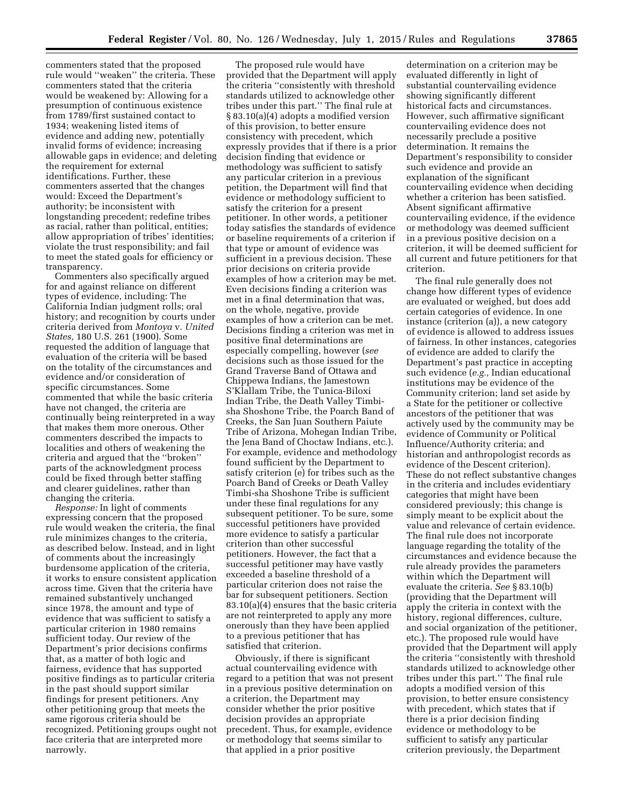commenters stated that the proposed rule would ''weaken'' the criteria. These commenters stated that the criteria would be weakened by: Allowing for a presumption of continuous existence from 1789/first sustained contact to 1934; weakening listed items of evidence and adding new, potentially invalid forms of evidence; increasing allowable gaps in evidence; and deleting the requirement for external identifications. Further, these commenters asserted that the changes would: Exceed the Department's authority; be inconsistent with longstanding precedent; redefine tribes as racial, rather than political, entities; allow appropriation of tribes' identities; violate the trust responsibility; and fail to meet the stated goals for efficiency or transparency.

Commenters also specifically argued for and against reliance on different types of evidence, including: The California Indian judgment rolls; oral history; and recognition by courts under criteria derived from *Montoya* v. *United States,* 180 U.S. 261 (1900). Some requested the addition of language that evaluation of the criteria will be based on the totality of the circumstances and evidence and/or consideration of specific circumstances. Some commented that while the basic criteria have not changed, the criteria are continually being reinterpreted in a way that makes them more onerous. Other commenters described the impacts to localities and others of weakening the criteria and argued that the ''broken'' parts of the acknowledgment process could be fixed through better staffing and clearer guidelines, rather than changing the criteria.

*Response:* In light of comments expressing concern that the proposed rule would weaken the criteria, the final rule minimizes changes to the criteria, as described below. Instead, and in light of comments about the increasingly burdensome application of the criteria, it works to ensure consistent application across time. Given that the criteria have remained substantively unchanged since 1978, the amount and type of evidence that was sufficient to satisfy a particular criterion in 1980 remains sufficient today. Our review of the Department's prior decisions confirms that, as a matter of both logic and fairness, evidence that has supported positive findings as to particular criteria in the past should support similar findings for present petitioners. Any other petitioning group that meets the same rigorous criteria should be recognized. Petitioning groups ought not face criteria that are interpreted more narrowly.

The proposed rule would have provided that the Department will apply the criteria ''consistently with threshold standards utilized to acknowledge other tribes under this part.'' The final rule at § 83.10(a)(4) adopts a modified version of this provision, to better ensure consistency with precedent, which expressly provides that if there is a prior decision finding that evidence or methodology was sufficient to satisfy any particular criterion in a previous petition, the Department will find that evidence or methodology sufficient to satisfy the criterion for a present petitioner. In other words, a petitioner today satisfies the standards of evidence or baseline requirements of a criterion if that type or amount of evidence was sufficient in a previous decision. These prior decisions on criteria provide examples of how a criterion may be met. Even decisions finding a criterion was met in a final determination that was, on the whole, negative, provide examples of how a criterion can be met. Decisions finding a criterion was met in positive final determinations are especially compelling, however (*see*  decisions such as those issued for the Grand Traverse Band of Ottawa and Chippewa Indians, the Jamestown S'Klallam Tribe, the Tunica-Biloxi Indian Tribe, the Death Valley Timbisha Shoshone Tribe, the Poarch Band of Creeks, the San Juan Southern Paiute Tribe of Arizona, Mohegan Indian Tribe, the Jena Band of Choctaw Indians, etc.). For example, evidence and methodology found sufficient by the Department to satisfy criterion (e) for tribes such as the Poarch Band of Creeks or Death Valley Timbi-sha Shoshone Tribe is sufficient under these final regulations for any subsequent petitioner. To be sure, some successful petitioners have provided more evidence to satisfy a particular criterion than other successful petitioners. However, the fact that a successful petitioner may have vastly exceeded a baseline threshold of a particular criterion does not raise the bar for subsequent petitioners. Section 83.10(a)(4) ensures that the basic criteria are not reinterpreted to apply any more onerously than they have been applied to a previous petitioner that has satisfied that criterion.

Obviously, if there is significant actual countervailing evidence with regard to a petition that was not present in a previous positive determination on a criterion, the Department may consider whether the prior positive decision provides an appropriate precedent. Thus, for example, evidence or methodology that seems similar to that applied in a prior positive

determination on a criterion may be evaluated differently in light of substantial countervailing evidence showing significantly different historical facts and circumstances. However, such affirmative significant countervailing evidence does not necessarily preclude a positive determination. It remains the Department's responsibility to consider such evidence and provide an explanation of the significant countervailing evidence when deciding whether a criterion has been satisfied. Absent significant affirmative countervailing evidence, if the evidence or methodology was deemed sufficient in a previous positive decision on a criterion, it will be deemed sufficient for all current and future petitioners for that criterion.

The final rule generally does not change how different types of evidence are evaluated or weighed, but does add certain categories of evidence. In one instance (criterion (a)), a new category of evidence is allowed to address issues of fairness. In other instances, categories of evidence are added to clarify the Department's past practice in accepting such evidence (*e.g.,* Indian educational institutions may be evidence of the Community criterion; land set aside by a State for the petitioner or collective ancestors of the petitioner that was actively used by the community may be evidence of Community or Political Influence/Authority criteria; and historian and anthropologist records as evidence of the Descent criterion). These do not reflect substantive changes in the criteria and includes evidentiary categories that might have been considered previously; this change is simply meant to be explicit about the value and relevance of certain evidence. The final rule does not incorporate language regarding the totality of the circumstances and evidence because the rule already provides the parameters within which the Department will evaluate the criteria. *See* § 83.10(b) (providing that the Department will apply the criteria in context with the history, regional differences, culture, and social organization of the petitioner, etc.). The proposed rule would have provided that the Department will apply the criteria ''consistently with threshold standards utilized to acknowledge other tribes under this part.'' The final rule adopts a modified version of this provision, to better ensure consistency with precedent, which states that if there is a prior decision finding evidence or methodology to be sufficient to satisfy any particular criterion previously, the Department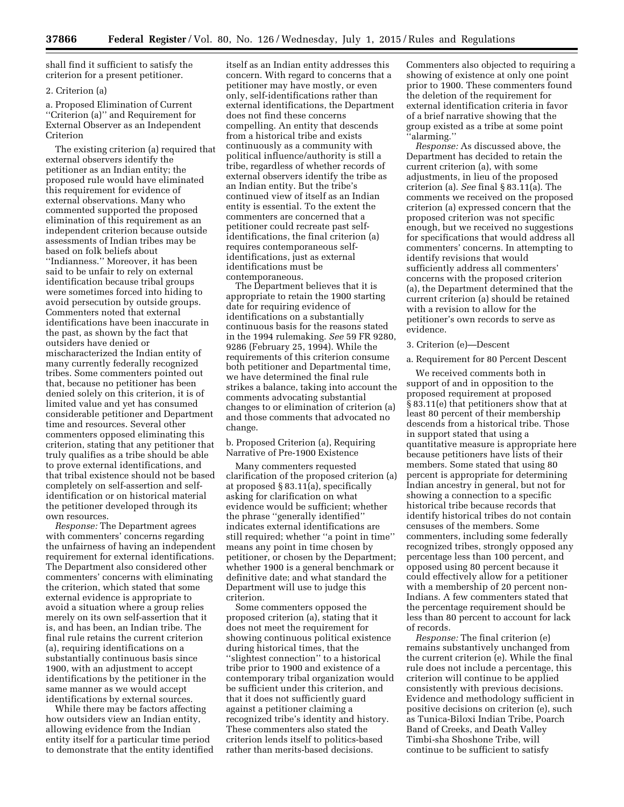shall find it sufficient to satisfy the criterion for a present petitioner.

#### 2. Criterion (a)

a. Proposed Elimination of Current ''Criterion (a)'' and Requirement for External Observer as an Independent **Criterion** 

The existing criterion (a) required that external observers identify the petitioner as an Indian entity; the proposed rule would have eliminated this requirement for evidence of external observations. Many who commented supported the proposed elimination of this requirement as an independent criterion because outside assessments of Indian tribes may be based on folk beliefs about

''Indianness.'' Moreover, it has been said to be unfair to rely on external identification because tribal groups were sometimes forced into hiding to avoid persecution by outside groups. Commenters noted that external identifications have been inaccurate in the past, as shown by the fact that outsiders have denied or mischaracterized the Indian entity of many currently federally recognized tribes. Some commenters pointed out that, because no petitioner has been denied solely on this criterion, it is of limited value and yet has consumed considerable petitioner and Department time and resources. Several other commenters opposed eliminating this criterion, stating that any petitioner that truly qualifies as a tribe should be able to prove external identifications, and that tribal existence should not be based completely on self-assertion and selfidentification or on historical material the petitioner developed through its own resources.

*Response:* The Department agrees with commenters' concerns regarding the unfairness of having an independent requirement for external identifications. The Department also considered other commenters' concerns with eliminating the criterion, which stated that some external evidence is appropriate to avoid a situation where a group relies merely on its own self-assertion that it is, and has been, an Indian tribe. The final rule retains the current criterion (a), requiring identifications on a substantially continuous basis since 1900, with an adjustment to accept identifications by the petitioner in the same manner as we would accept identifications by external sources.

While there may be factors affecting how outsiders view an Indian entity, allowing evidence from the Indian entity itself for a particular time period to demonstrate that the entity identified

itself as an Indian entity addresses this concern. With regard to concerns that a petitioner may have mostly, or even only, self-identifications rather than external identifications, the Department does not find these concerns compelling. An entity that descends from a historical tribe and exists continuously as a community with political influence/authority is still a tribe, regardless of whether records of external observers identify the tribe as an Indian entity. But the tribe's continued view of itself as an Indian entity is essential. To the extent the commenters are concerned that a petitioner could recreate past selfidentifications, the final criterion (a) requires contemporaneous selfidentifications, just as external identifications must be contemporaneous.

The Department believes that it is appropriate to retain the 1900 starting date for requiring evidence of identifications on a substantially continuous basis for the reasons stated in the 1994 rulemaking. *See* 59 FR 9280, 9286 (February 25, 1994). While the requirements of this criterion consume both petitioner and Departmental time, we have determined the final rule strikes a balance, taking into account the comments advocating substantial changes to or elimination of criterion (a) and those comments that advocated no change.

b. Proposed Criterion (a), Requiring Narrative of Pre-1900 Existence

Many commenters requested clarification of the proposed criterion (a) at proposed  $§ 83.11(a)$ , specifically asking for clarification on what evidence would be sufficient; whether the phrase ''generally identified'' indicates external identifications are still required; whether ''a point in time'' means any point in time chosen by petitioner, or chosen by the Department; whether 1900 is a general benchmark or definitive date; and what standard the Department will use to judge this criterion.

Some commenters opposed the proposed criterion (a), stating that it does not meet the requirement for showing continuous political existence during historical times, that the ''slightest connection'' to a historical tribe prior to 1900 and existence of a contemporary tribal organization would be sufficient under this criterion, and that it does not sufficiently guard against a petitioner claiming a recognized tribe's identity and history. These commenters also stated the criterion lends itself to politics-based rather than merits-based decisions.

Commenters also objected to requiring a showing of existence at only one point prior to 1900. These commenters found the deletion of the requirement for external identification criteria in favor of a brief narrative showing that the group existed as a tribe at some point ''alarming.''

*Response:* As discussed above, the Department has decided to retain the current criterion (a), with some adjustments, in lieu of the proposed criterion (a). *See* final § 83.11(a). The comments we received on the proposed criterion (a) expressed concern that the proposed criterion was not specific enough, but we received no suggestions for specifications that would address all commenters' concerns. In attempting to identify revisions that would sufficiently address all commenters' concerns with the proposed criterion (a), the Department determined that the current criterion (a) should be retained with a revision to allow for the petitioner's own records to serve as evidence.

# 3. Criterion (e)—Descent

# a. Requirement for 80 Percent Descent

We received comments both in support of and in opposition to the proposed requirement at proposed § 83.11(e) that petitioners show that at least 80 percent of their membership descends from a historical tribe. Those in support stated that using a quantitative measure is appropriate here because petitioners have lists of their members. Some stated that using 80 percent is appropriate for determining Indian ancestry in general, but not for showing a connection to a specific historical tribe because records that identify historical tribes do not contain censuses of the members. Some commenters, including some federally recognized tribes, strongly opposed any percentage less than 100 percent, and opposed using 80 percent because it could effectively allow for a petitioner with a membership of 20 percent non-Indians. A few commenters stated that the percentage requirement should be less than 80 percent to account for lack of records.

*Response:* The final criterion (e) remains substantively unchanged from the current criterion (e). While the final rule does not include a percentage, this criterion will continue to be applied consistently with previous decisions. Evidence and methodology sufficient in positive decisions on criterion (e), such as Tunica-Biloxi Indian Tribe, Poarch Band of Creeks, and Death Valley Timbi-sha Shoshone Tribe, will continue to be sufficient to satisfy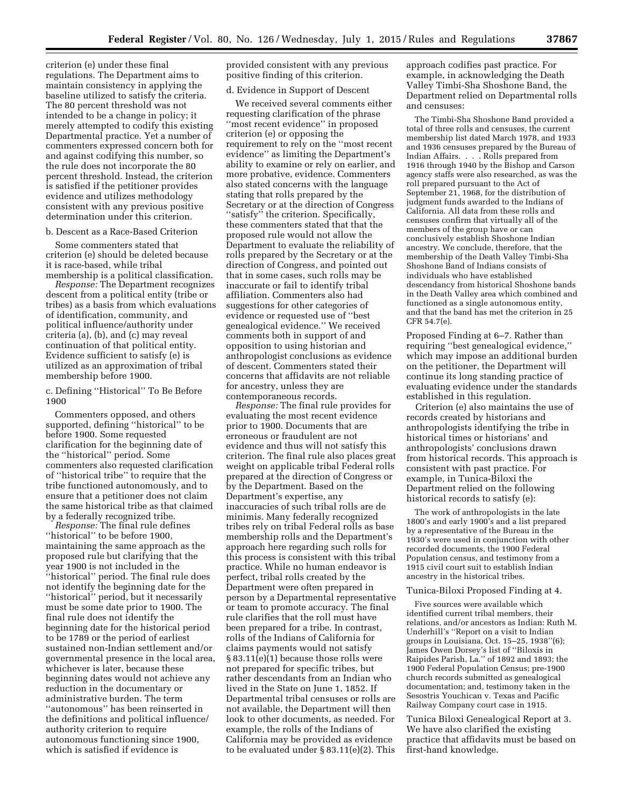criterion (e) under these final regulations. The Department aims to maintain consistency in applying the baseline utilized to satisfy the criteria. The 80 percent threshold was not intended to be a change in policy; it merely attempted to codify this existing Departmental practice. Yet a number of commenters expressed concern both for and against codifying this number, so the rule does not incorporate the 80 percent threshold. Instead, the criterion is satisfied if the petitioner provides evidence and utilizes methodology consistent with any previous positive determination under this criterion.

# b. Descent as a Race-Based Criterion

Some commenters stated that criterion (e) should be deleted because it is race-based, while tribal membership is a political classification.

*Response:* The Department recognizes descent from a political entity (tribe or tribes) as a basis from which evaluations of identification, community, and political influence/authority under criteria (a), (b), and (c) may reveal continuation of that political entity. Evidence sufficient to satisfy (e) is utilized as an approximation of tribal membership before 1900.

c. Defining ''Historical'' To Be Before 1900

Commenters opposed, and others supported, defining ''historical'' to be before 1900. Some requested clarification for the beginning date of the ''historical'' period. Some commenters also requested clarification of ''historical tribe'' to require that the tribe functioned autonomously, and to ensure that a petitioner does not claim the same historical tribe as that claimed by a federally recognized tribe.

*Response:* The final rule defines ''historical'' to be before 1900, maintaining the same approach as the proposed rule but clarifying that the year 1900 is not included in the ''historical'' period. The final rule does not identify the beginning date for the "historical" period, but it necessarily must be some date prior to 1900. The final rule does not identify the beginning date for the historical period to be 1789 or the period of earliest sustained non-Indian settlement and/or governmental presence in the local area, whichever is later, because these beginning dates would not achieve any reduction in the documentary or administrative burden. The term ''autonomous'' has been reinserted in the definitions and political influence/ authority criterion to require autonomous functioning since 1900, which is satisfied if evidence is

provided consistent with any previous positive finding of this criterion.

# d. Evidence in Support of Descent

We received several comments either requesting clarification of the phrase ''most recent evidence'' in proposed criterion (e) or opposing the requirement to rely on the ''most recent evidence'' as limiting the Department's ability to examine or rely on earlier, and more probative, evidence. Commenters also stated concerns with the language stating that rolls prepared by the Secretary or at the direction of Congress "satisfy" the criterion. Specifically, these commenters stated that that the proposed rule would not allow the Department to evaluate the reliability of rolls prepared by the Secretary or at the direction of Congress, and pointed out that in some cases, such rolls may be inaccurate or fail to identify tribal affiliation. Commenters also had suggestions for other categories of evidence or requested use of ''best genealogical evidence.'' We received comments both in support of and opposition to using historian and anthropologist conclusions as evidence of descent. Commenters stated their concerns that affidavits are not reliable for ancestry, unless they are contemporaneous records.

*Response:* The final rule provides for evaluating the most recent evidence prior to 1900. Documents that are erroneous or fraudulent are not evidence and thus will not satisfy this criterion. The final rule also places great weight on applicable tribal Federal rolls prepared at the direction of Congress or by the Department. Based on the Department's expertise, any inaccuracies of such tribal rolls are de minimis. Many federally recognized tribes rely on tribal Federal rolls as base membership rolls and the Department's approach here regarding such rolls for this process is consistent with this tribal practice. While no human endeavor is perfect, tribal rolls created by the Department were often prepared in person by a Departmental representative or team to promote accuracy. The final rule clarifies that the roll must have been prepared for a tribe. In contrast, rolls of the Indians of California for claims payments would not satisfy § 83.11(e)(1) because those rolls were not prepared for specific tribes, but rather descendants from an Indian who lived in the State on June 1, 1852. If Departmental tribal censuses or rolls are not available, the Department will then look to other documents, as needed. For example, the rolls of the Indians of California may be provided as evidence to be evaluated under § 83.11(e)(2). This

approach codifies past practice. For example, in acknowledging the Death Valley Timbi-Sha Shoshone Band, the Department relied on Departmental rolls and censuses:

The Timbi-Sha Shoshone Band provided a total of three rolls and censuses, the current membership list dated March 1978, and 1933 and 1936 censuses prepared by the Bureau of Indian Affairs. . . . Rolls prepared from 1916 through 1940 by the Bishop and Carson agency staffs were also researched, as was the roll prepared pursuant to the Act of September 21, 1968, for the distribution of judgment funds awarded to the Indians of California. All data from these rolls and censuses confirm that virtually all of the members of the group have or can conclusively establish Shoshone Indian ancestry. We conclude, therefore, that the membership of the Death Valley Timbi-Sha Shoshone Band of Indians consists of individuals who have established descendancy from historical Shoshone bands in the Death Valley area which combined and functioned as a single autonomous entity, and that the band has met the criterion in 25 CFR 54.7(e).

Proposed Finding at 6–7. Rather than requiring ''best genealogical evidence,'' which may impose an additional burden on the petitioner, the Department will continue its long standing practice of evaluating evidence under the standards established in this regulation.

Criterion (e) also maintains the use of records created by historians and anthropologists identifying the tribe in historical times or historians' and anthropologists' conclusions drawn from historical records. This approach is consistent with past practice. For example, in Tunica-Biloxi the Department relied on the following historical records to satisfy (e):

The work of anthropologists in the late 1800's and early 1900's and a list prepared by a representative of the Bureau in the 1930's were used in conjunction with other recorded documents, the 1900 Federal Population census, and testimony from a 1915 civil court suit to establish Indian ancestry in the historical tribes.

#### Tunica-Biloxi Proposed Finding at 4.

Five sources were available which identified current tribal members, their relations, and/or ancestors as Indian: Ruth M. Underhill's ''Report on a visit to Indian groups in Louisiana, Oct. 15–25, 1938''(6); James Owen Dorsey's list of ''Biloxis in Raipides Parish, La.'' of 1892 and 1893; the 1900 Federal Population Census; pre-1900 church records submitted as genealogical documentation; and, testimony taken in the Sesostris Youchican v. Texas and Pacific Railway Company court case in 1915.

Tunica Biloxi Genealogical Report at 3. We have also clarified the existing practice that affidavits must be based on first-hand knowledge.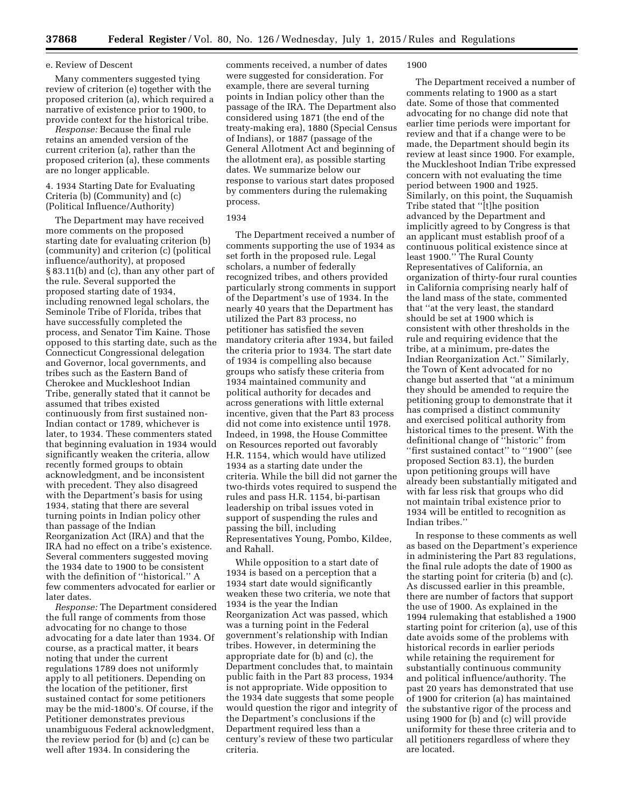# e. Review of Descent

Many commenters suggested tying review of criterion (e) together with the proposed criterion (a), which required a narrative of existence prior to 1900, to provide context for the historical tribe.

*Response:* Because the final rule retains an amended version of the current criterion (a), rather than the proposed criterion (a), these comments are no longer applicable.

4. 1934 Starting Date for Evaluating Criteria (b) (Community) and (c) (Political Influence/Authority)

The Department may have received more comments on the proposed starting date for evaluating criterion (b) (community) and criterion (c) (political influence/authority), at proposed § 83.11(b) and (c), than any other part of the rule. Several supported the proposed starting date of 1934, including renowned legal scholars, the Seminole Tribe of Florida, tribes that have successfully completed the process, and Senator Tim Kaine. Those opposed to this starting date, such as the Connecticut Congressional delegation and Governor, local governments, and tribes such as the Eastern Band of Cherokee and Muckleshoot Indian Tribe, generally stated that it cannot be assumed that tribes existed continuously from first sustained non-Indian contact or 1789, whichever is later, to 1934. These commenters stated that beginning evaluation in 1934 would significantly weaken the criteria, allow recently formed groups to obtain acknowledgment, and be inconsistent with precedent. They also disagreed with the Department's basis for using 1934, stating that there are several turning points in Indian policy other than passage of the Indian Reorganization Act (IRA) and that the IRA had no effect on a tribe's existence. Several commenters suggested moving the 1934 date to 1900 to be consistent with the definition of ''historical.'' A few commenters advocated for earlier or later dates.

*Response:* The Department considered the full range of comments from those advocating for no change to those advocating for a date later than 1934. Of course, as a practical matter, it bears noting that under the current regulations 1789 does not uniformly apply to all petitioners. Depending on the location of the petitioner, first sustained contact for some petitioners may be the mid-1800's. Of course, if the Petitioner demonstrates previous unambiguous Federal acknowledgment, the review period for (b) and (c) can be well after 1934. In considering the

comments received, a number of dates were suggested for consideration. For example, there are several turning points in Indian policy other than the passage of the IRA. The Department also considered using 1871 (the end of the treaty-making era), 1880 (Special Census of Indians), or 1887 (passage of the General Allotment Act and beginning of the allotment era), as possible starting dates. We summarize below our response to various start dates proposed by commenters during the rulemaking process.

# 1934

The Department received a number of comments supporting the use of 1934 as set forth in the proposed rule. Legal scholars, a number of federally recognized tribes, and others provided particularly strong comments in support of the Department's use of 1934. In the nearly 40 years that the Department has utilized the Part 83 process, no petitioner has satisfied the seven mandatory criteria after 1934, but failed the criteria prior to 1934. The start date of 1934 is compelling also because groups who satisfy these criteria from 1934 maintained community and political authority for decades and across generations with little external incentive, given that the Part 83 process did not come into existence until 1978. Indeed, in 1998, the House Committee on Resources reported out favorably H.R. 1154, which would have utilized 1934 as a starting date under the criteria. While the bill did not garner the two-thirds votes required to suspend the rules and pass H.R. 1154, bi-partisan leadership on tribal issues voted in support of suspending the rules and passing the bill, including Representatives Young, Pombo, Kildee, and Rahall.

While opposition to a start date of 1934 is based on a perception that a 1934 start date would significantly weaken these two criteria, we note that 1934 is the year the Indian Reorganization Act was passed, which was a turning point in the Federal government's relationship with Indian tribes. However, in determining the appropriate date for (b) and (c), the Department concludes that, to maintain public faith in the Part 83 process, 1934 is not appropriate. Wide opposition to the 1934 date suggests that some people would question the rigor and integrity of the Department's conclusions if the Department required less than a century's review of these two particular criteria.

# 1900

The Department received a number of comments relating to 1900 as a start date. Some of those that commented advocating for no change did note that earlier time periods were important for review and that if a change were to be made, the Department should begin its review at least since 1900. For example, the Muckleshoot Indian Tribe expressed concern with not evaluating the time period between 1900 and 1925. Similarly, on this point, the Suquamish Tribe stated that ''[t]he position advanced by the Department and implicitly agreed to by Congress is that an applicant must establish proof of a continuous political existence since at least 1900.'' The Rural County Representatives of California, an organization of thirty-four rural counties in California comprising nearly half of the land mass of the state, commented that ''at the very least, the standard should be set at 1900 which is consistent with other thresholds in the rule and requiring evidence that the tribe, at a minimum, pre-dates the Indian Reorganization Act.'' Similarly, the Town of Kent advocated for no change but asserted that ''at a minimum they should be amended to require the petitioning group to demonstrate that it has comprised a distinct community and exercised political authority from historical times to the present. With the definitional change of ''historic'' from ''first sustained contact'' to ''1900'' (see proposed Section 83.1), the burden upon petitioning groups will have already been substantially mitigated and with far less risk that groups who did not maintain tribal existence prior to 1934 will be entitled to recognition as Indian tribes.''

In response to these comments as well as based on the Department's experience in administering the Part 83 regulations, the final rule adopts the date of 1900 as the starting point for criteria (b) and (c). As discussed earlier in this preamble, there are number of factors that support the use of 1900. As explained in the 1994 rulemaking that established a 1900 starting point for criterion (a), use of this date avoids some of the problems with historical records in earlier periods while retaining the requirement for substantially continuous community and political influence/authority. The past 20 years has demonstrated that use of 1900 for criterion (a) has maintained the substantive rigor of the process and using 1900 for (b) and (c) will provide uniformity for these three criteria and to all petitioners regardless of where they are located.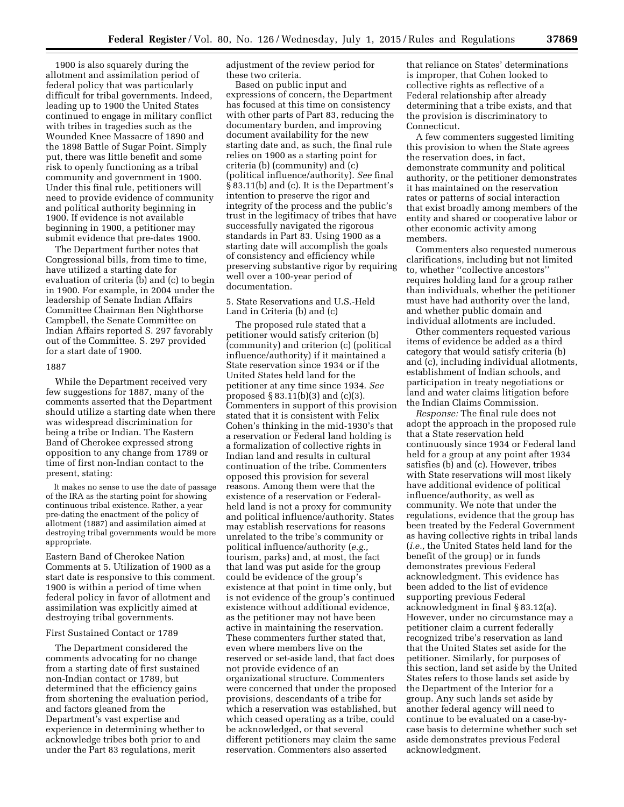1900 is also squarely during the allotment and assimilation period of federal policy that was particularly difficult for tribal governments. Indeed, leading up to 1900 the United States continued to engage in military conflict with tribes in tragedies such as the Wounded Knee Massacre of 1890 and the 1898 Battle of Sugar Point. Simply put, there was little benefit and some risk to openly functioning as a tribal community and government in 1900. Under this final rule, petitioners will need to provide evidence of community and political authority beginning in 1900. If evidence is not available beginning in 1900, a petitioner may submit evidence that pre-dates 1900.

The Department further notes that Congressional bills, from time to time, have utilized a starting date for evaluation of criteria (b) and (c) to begin in 1900. For example, in 2004 under the leadership of Senate Indian Affairs Committee Chairman Ben Nighthorse Campbell, the Senate Committee on Indian Affairs reported S. 297 favorably out of the Committee. S. 297 provided for a start date of 1900.

#### 1887

While the Department received very few suggestions for 1887, many of the comments asserted that the Department should utilize a starting date when there was widespread discrimination for being a tribe or Indian. The Eastern Band of Cherokee expressed strong opposition to any change from 1789 or time of first non-Indian contact to the present, stating:

It makes no sense to use the date of passage of the IRA as the starting point for showing continuous tribal existence. Rather, a year pre-dating the enactment of the policy of allotment (1887) and assimilation aimed at destroying tribal governments would be more appropriate.

Eastern Band of Cherokee Nation Comments at 5. Utilization of 1900 as a start date is responsive to this comment. 1900 is within a period of time when federal policy in favor of allotment and assimilation was explicitly aimed at destroying tribal governments.

# First Sustained Contact or 1789

The Department considered the comments advocating for no change from a starting date of first sustained non-Indian contact or 1789, but determined that the efficiency gains from shortening the evaluation period, and factors gleaned from the Department's vast expertise and experience in determining whether to acknowledge tribes both prior to and under the Part 83 regulations, merit

adjustment of the review period for these two criteria.

Based on public input and expressions of concern, the Department has focused at this time on consistency with other parts of Part 83, reducing the documentary burden, and improving document availability for the new starting date and, as such, the final rule relies on 1900 as a starting point for criteria (b) (community) and (c) (political influence/authority). *See* final § 83.11(b) and (c). It is the Department's intention to preserve the rigor and integrity of the process and the public's trust in the legitimacy of tribes that have successfully navigated the rigorous standards in Part 83. Using 1900 as a starting date will accomplish the goals of consistency and efficiency while preserving substantive rigor by requiring well over a 100-year period of documentation.

5. State Reservations and U.S.-Held Land in Criteria (b) and (c)

The proposed rule stated that a petitioner would satisfy criterion (b) (community) and criterion (c) (political influence/authority) if it maintained a State reservation since 1934 or if the United States held land for the petitioner at any time since 1934. *See*  proposed § 83.11(b)(3) and (c)(3). Commenters in support of this provision stated that it is consistent with Felix Cohen's thinking in the mid-1930's that a reservation or Federal land holding is a formalization of collective rights in Indian land and results in cultural continuation of the tribe. Commenters opposed this provision for several reasons. Among them were that the existence of a reservation or Federalheld land is not a proxy for community and political influence/authority. States may establish reservations for reasons unrelated to the tribe's community or political influence/authority (*e.g.,*  tourism, parks) and, at most, the fact that land was put aside for the group could be evidence of the group's existence at that point in time only, but is not evidence of the group's continued existence without additional evidence, as the petitioner may not have been active in maintaining the reservation. These commenters further stated that, even where members live on the reserved or set-aside land, that fact does not provide evidence of an organizational structure. Commenters were concerned that under the proposed provisions, descendants of a tribe for which a reservation was established, but which ceased operating as a tribe, could be acknowledged, or that several different petitioners may claim the same reservation. Commenters also asserted

that reliance on States' determinations is improper, that Cohen looked to collective rights as reflective of a Federal relationship after already determining that a tribe exists, and that the provision is discriminatory to Connecticut.

A few commenters suggested limiting this provision to when the State agrees the reservation does, in fact, demonstrate community and political authority, or the petitioner demonstrates it has maintained on the reservation rates or patterns of social interaction that exist broadly among members of the entity and shared or cooperative labor or other economic activity among members.

Commenters also requested numerous clarifications, including but not limited to, whether ''collective ancestors'' requires holding land for a group rather than individuals, whether the petitioner must have had authority over the land, and whether public domain and individual allotments are included.

Other commenters requested various items of evidence be added as a third category that would satisfy criteria (b) and (c), including individual allotments, establishment of Indian schools, and participation in treaty negotiations or land and water claims litigation before the Indian Claims Commission.

*Response:* The final rule does not adopt the approach in the proposed rule that a State reservation held continuously since 1934 or Federal land held for a group at any point after 1934 satisfies (b) and (c). However, tribes with State reservations will most likely have additional evidence of political influence/authority, as well as community. We note that under the regulations, evidence that the group has been treated by the Federal Government as having collective rights in tribal lands (*i.e.,* the United States held land for the benefit of the group) or in funds demonstrates previous Federal acknowledgment. This evidence has been added to the list of evidence supporting previous Federal acknowledgment in final § 83.12(a). However, under no circumstance may a petitioner claim a current federally recognized tribe's reservation as land that the United States set aside for the petitioner. Similarly, for purposes of this section, land set aside by the United States refers to those lands set aside by the Department of the Interior for a group. Any such lands set aside by another federal agency will need to continue to be evaluated on a case-bycase basis to determine whether such set aside demonstrates previous Federal acknowledgment.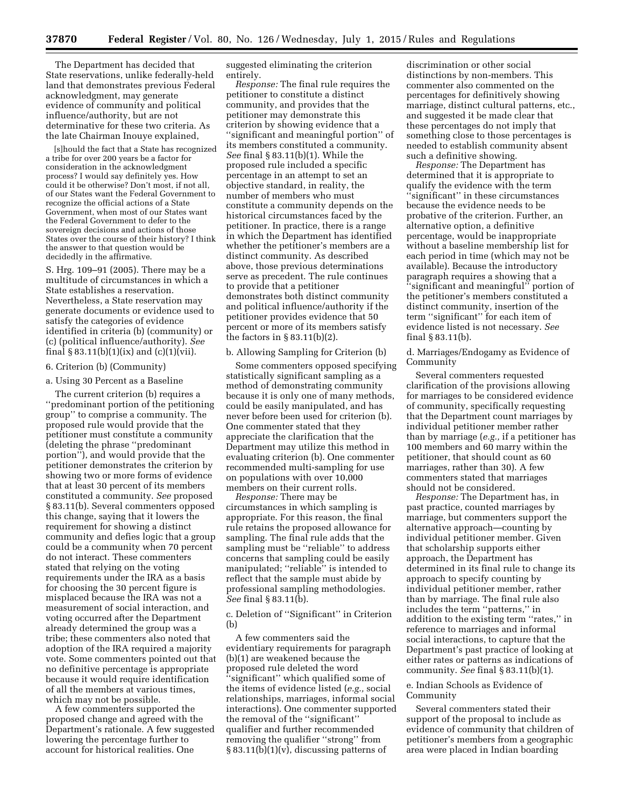The Department has decided that State reservations, unlike federally-held land that demonstrates previous Federal acknowledgment, may generate evidence of community and political influence/authority, but are not determinative for these two criteria. As the late Chairman Inouye explained,

[s]hould the fact that a State has recognized a tribe for over 200 years be a factor for consideration in the acknowledgment process? I would say definitely yes. How could it be otherwise? Don't most, if not all, of our States want the Federal Government to recognize the official actions of a State Government, when most of our States want the Federal Government to defer to the sovereign decisions and actions of those States over the course of their history? I think the answer to that question would be decidedly in the affirmative.

S. Hrg. 109–91 (2005). There may be a multitude of circumstances in which a State establishes a reservation. Nevertheless, a State reservation may generate documents or evidence used to satisfy the categories of evidence identified in criteria (b) (community) or (c) (political influence/authority). *See*  final  $\S 83.11(b)(1)(ix)$  and  $(c)(1)(vii)$ .

#### 6. Criterion (b) (Community)

a. Using 30 Percent as a Baseline

The current criterion (b) requires a ''predominant portion of the petitioning group'' to comprise a community. The proposed rule would provide that the petitioner must constitute a community (deleting the phrase ''predominant portion''), and would provide that the petitioner demonstrates the criterion by showing two or more forms of evidence that at least 30 percent of its members constituted a community. *See* proposed § 83.11(b). Several commenters opposed this change, saying that it lowers the requirement for showing a distinct community and defies logic that a group could be a community when 70 percent do not interact. These commenters stated that relying on the voting requirements under the IRA as a basis for choosing the 30 percent figure is misplaced because the IRA was not a measurement of social interaction, and voting occurred after the Department already determined the group was a tribe; these commenters also noted that adoption of the IRA required a majority vote. Some commenters pointed out that no definitive percentage is appropriate because it would require identification of all the members at various times, which may not be possible.

A few commenters supported the proposed change and agreed with the Department's rationale. A few suggested lowering the percentage further to account for historical realities. One

suggested eliminating the criterion entirely.

*Response:* The final rule requires the petitioner to constitute a distinct community, and provides that the petitioner may demonstrate this criterion by showing evidence that a ''significant and meaningful portion'' of its members constituted a community. *See* final § 83.11(b)(1). While the proposed rule included a specific percentage in an attempt to set an objective standard, in reality, the number of members who must constitute a community depends on the historical circumstances faced by the petitioner. In practice, there is a range in which the Department has identified whether the petitioner's members are a distinct community. As described above, those previous determinations serve as precedent. The rule continues to provide that a petitioner demonstrates both distinct community and political influence/authority if the petitioner provides evidence that 50 percent or more of its members satisfy the factors in  $\S 83.11(b)(2)$ .

# b. Allowing Sampling for Criterion (b)

Some commenters opposed specifying statistically significant sampling as a method of demonstrating community because it is only one of many methods, could be easily manipulated, and has never before been used for criterion (b). One commenter stated that they appreciate the clarification that the Department may utilize this method in evaluating criterion (b). One commenter recommended multi-sampling for use on populations with over 10,000 members on their current rolls.

*Response:* There may be circumstances in which sampling is appropriate. For this reason, the final rule retains the proposed allowance for sampling. The final rule adds that the sampling must be ''reliable'' to address concerns that sampling could be easily manipulated; ''reliable'' is intended to reflect that the sample must abide by professional sampling methodologies. *See* final § 83.11(b).

c. Deletion of ''Significant'' in Criterion (b)

A few commenters said the evidentiary requirements for paragraph (b)(1) are weakened because the proposed rule deleted the word ''significant'' which qualified some of the items of evidence listed (*e.g.,* social relationships, marriages, informal social interactions). One commenter supported the removal of the ''significant'' qualifier and further recommended removing the qualifier ''strong'' from § 83.11(b)(1)(v), discussing patterns of

discrimination or other social distinctions by non-members. This commenter also commented on the percentages for definitively showing marriage, distinct cultural patterns, etc., and suggested it be made clear that these percentages do not imply that something close to those percentages is needed to establish community absent such a definitive showing.

*Response:* The Department has determined that it is appropriate to qualify the evidence with the term ''significant'' in these circumstances because the evidence needs to be probative of the criterion. Further, an alternative option, a definitive percentage, would be inappropriate without a baseline membership list for each period in time (which may not be available). Because the introductory paragraph requires a showing that a ''significant and meaningful'' portion of the petitioner's members constituted a distinct community, insertion of the term ''significant'' for each item of evidence listed is not necessary. *See*  final § 83.11(b).

d. Marriages/Endogamy as Evidence of Community

Several commenters requested clarification of the provisions allowing for marriages to be considered evidence of community, specifically requesting that the Department count marriages by individual petitioner member rather than by marriage (*e.g.,* if a petitioner has 100 members and 60 marry within the petitioner, that should count as 60 marriages, rather than 30). A few commenters stated that marriages should not be considered.

*Response:* The Department has, in past practice, counted marriages by marriage, but commenters support the alternative approach—counting by individual petitioner member. Given that scholarship supports either approach, the Department has determined in its final rule to change its approach to specify counting by individual petitioner member, rather than by marriage. The final rule also includes the term ''patterns,'' in addition to the existing term ''rates,'' in reference to marriages and informal social interactions, to capture that the Department's past practice of looking at either rates or patterns as indications of community. *See* final § 83.11(b)(1).

# e. Indian Schools as Evidence of Community

Several commenters stated their support of the proposal to include as evidence of community that children of petitioner's members from a geographic area were placed in Indian boarding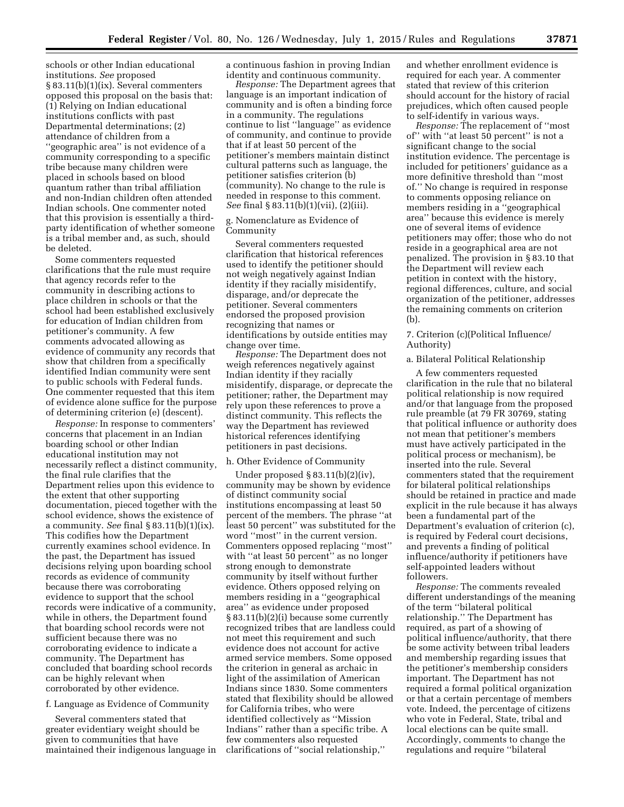schools or other Indian educational institutions. *See* proposed § 83.11(b)(1)(ix). Several commenters opposed this proposal on the basis that: (1) Relying on Indian educational institutions conflicts with past Departmental determinations; (2) attendance of children from a ''geographic area'' is not evidence of a community corresponding to a specific tribe because many children were placed in schools based on blood quantum rather than tribal affiliation and non-Indian children often attended Indian schools. One commenter noted that this provision is essentially a thirdparty identification of whether someone is a tribal member and, as such, should be deleted.

Some commenters requested clarifications that the rule must require that agency records refer to the community in describing actions to place children in schools or that the school had been established exclusively for education of Indian children from petitioner's community. A few comments advocated allowing as evidence of community any records that show that children from a specifically identified Indian community were sent to public schools with Federal funds. One commenter requested that this item of evidence alone suffice for the purpose of determining criterion (e) (descent).

*Response:* In response to commenters' concerns that placement in an Indian boarding school or other Indian educational institution may not necessarily reflect a distinct community, the final rule clarifies that the Department relies upon this evidence to the extent that other supporting documentation, pieced together with the school evidence, shows the existence of a community. *See* final § 83.11(b)(1)(ix). This codifies how the Department currently examines school evidence. In the past, the Department has issued decisions relying upon boarding school records as evidence of community because there was corroborating evidence to support that the school records were indicative of a community, while in others, the Department found that boarding school records were not sufficient because there was no corroborating evidence to indicate a community. The Department has concluded that boarding school records can be highly relevant when corroborated by other evidence.

# f. Language as Evidence of Community

Several commenters stated that greater evidentiary weight should be given to communities that have maintained their indigenous language in a continuous fashion in proving Indian identity and continuous community.

*Response:* The Department agrees that language is an important indication of community and is often a binding force in a community. The regulations continue to list ''language'' as evidence of community, and continue to provide that if at least 50 percent of the petitioner's members maintain distinct cultural patterns such as language, the petitioner satisfies criterion (b) (community). No change to the rule is needed in response to this comment. *See* final § 83.11(b)(1)(vii), (2)(iii).

# g. Nomenclature as Evidence of **Community**

Several commenters requested clarification that historical references used to identify the petitioner should not weigh negatively against Indian identity if they racially misidentify, disparage, and/or deprecate the petitioner. Several commenters endorsed the proposed provision recognizing that names or identifications by outside entities may change over time.

*Response:* The Department does not weigh references negatively against Indian identity if they racially misidentify, disparage, or deprecate the petitioner; rather, the Department may rely upon these references to prove a distinct community. This reflects the way the Department has reviewed historical references identifying petitioners in past decisions.

#### h. Other Evidence of Community

Under proposed § 83.11(b)(2)(iv), community may be shown by evidence of distinct community social institutions encompassing at least 50 percent of the members. The phrase ''at least 50 percent'' was substituted for the word ''most'' in the current version. Commenters opposed replacing ''most'' with "at least 50 percent" as no longer strong enough to demonstrate community by itself without further evidence. Others opposed relying on members residing in a ''geographical area'' as evidence under proposed § 83.11(b)(2)(i) because some currently recognized tribes that are landless could not meet this requirement and such evidence does not account for active armed service members. Some opposed the criterion in general as archaic in light of the assimilation of American Indians since 1830. Some commenters stated that flexibility should be allowed for California tribes, who were identified collectively as ''Mission Indians'' rather than a specific tribe. A few commenters also requested clarifications of ''social relationship,''

and whether enrollment evidence is required for each year. A commenter stated that review of this criterion should account for the history of racial prejudices, which often caused people to self-identify in various ways.

*Response:* The replacement of ''most of'' with ''at least 50 percent'' is not a significant change to the social institution evidence. The percentage is included for petitioners' guidance as a more definitive threshold than ''most of.'' No change is required in response to comments opposing reliance on members residing in a ''geographical area'' because this evidence is merely one of several items of evidence petitioners may offer; those who do not reside in a geographical area are not penalized. The provision in § 83.10 that the Department will review each petition in context with the history, regional differences, culture, and social organization of the petitioner, addresses the remaining comments on criterion (b).

# 7. Criterion (c)(Political Influence/ Authority)

# a. Bilateral Political Relationship

A few commenters requested clarification in the rule that no bilateral political relationship is now required and/or that language from the proposed rule preamble (at 79 FR 30769, stating that political influence or authority does not mean that petitioner's members must have actively participated in the political process or mechanism), be inserted into the rule. Several commenters stated that the requirement for bilateral political relationships should be retained in practice and made explicit in the rule because it has always been a fundamental part of the Department's evaluation of criterion (c), is required by Federal court decisions, and prevents a finding of political influence/authority if petitioners have self-appointed leaders without followers.

*Response:* The comments revealed different understandings of the meaning of the term ''bilateral political relationship.'' The Department has required, as part of a showing of political influence/authority, that there be some activity between tribal leaders and membership regarding issues that the petitioner's membership considers important. The Department has not required a formal political organization or that a certain percentage of members vote. Indeed, the percentage of citizens who vote in Federal, State, tribal and local elections can be quite small. Accordingly, comments to change the regulations and require ''bilateral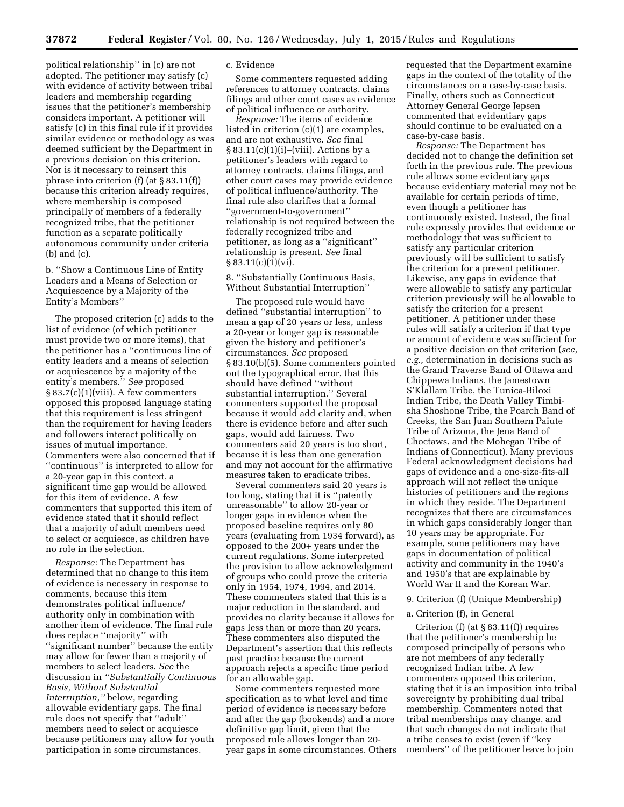political relationship'' in (c) are not adopted. The petitioner may satisfy (c) with evidence of activity between tribal leaders and membership regarding issues that the petitioner's membership considers important. A petitioner will satisfy (c) in this final rule if it provides similar evidence or methodology as was deemed sufficient by the Department in a previous decision on this criterion. Nor is it necessary to reinsert this phrase into criterion (f) (at § 83.11(f)) because this criterion already requires, where membership is composed principally of members of a federally recognized tribe, that the petitioner function as a separate politically autonomous community under criteria (b) and (c).

b. ''Show a Continuous Line of Entity Leaders and a Means of Selection or Acquiescence by a Majority of the Entity's Members''

The proposed criterion (c) adds to the list of evidence (of which petitioner must provide two or more items), that the petitioner has a ''continuous line of entity leaders and a means of selection or acquiescence by a majority of the entity's members.'' *See* proposed § 83.7(c)(1)(viii). A few commenters opposed this proposed language stating that this requirement is less stringent than the requirement for having leaders and followers interact politically on issues of mutual importance. Commenters were also concerned that if ''continuous'' is interpreted to allow for a 20-year gap in this context, a significant time gap would be allowed for this item of evidence. A few commenters that supported this item of evidence stated that it should reflect that a majority of adult members need to select or acquiesce, as children have no role in the selection.

*Response:* The Department has determined that no change to this item of evidence is necessary in response to comments, because this item demonstrates political influence/ authority only in combination with another item of evidence. The final rule does replace ''majority'' with ''significant number'' because the entity may allow for fewer than a majority of members to select leaders. *See* the discussion in *''Substantially Continuous Basis, Without Substantial Interruption,''* below, regarding allowable evidentiary gaps. The final rule does not specify that ''adult'' members need to select or acquiesce because petitioners may allow for youth participation in some circumstances.

# c. Evidence

Some commenters requested adding references to attorney contracts, claims filings and other court cases as evidence of political influence or authority.

*Response:* The items of evidence listed in criterion (c)(1) are examples, and are not exhaustive. *See* final  $§ 83.11(c)(1)(i)–(viii)$ . Actions by a petitioner's leaders with regard to attorney contracts, claims filings, and other court cases may provide evidence of political influence/authority. The final rule also clarifies that a formal ''government-to-government'' relationship is not required between the federally recognized tribe and petitioner, as long as a ''significant'' relationship is present. *See* final  $§ 83.11(c)(1)(vi).$ 

8. ''Substantially Continuous Basis, Without Substantial Interruption''

The proposed rule would have defined ''substantial interruption'' to mean a gap of 20 years or less, unless a 20-year or longer gap is reasonable given the history and petitioner's circumstances. *See* proposed § 83.10(b)(5). Some commenters pointed out the typographical error, that this should have defined ''without substantial interruption.'' Several commenters supported the proposal because it would add clarity and, when there is evidence before and after such gaps, would add fairness. Two commenters said 20 years is too short, because it is less than one generation and may not account for the affirmative measures taken to eradicate tribes.

Several commenters said 20 years is too long, stating that it is ''patently unreasonable'' to allow 20-year or longer gaps in evidence when the proposed baseline requires only 80 years (evaluating from 1934 forward), as opposed to the 200+ years under the current regulations. Some interpreted the provision to allow acknowledgment of groups who could prove the criteria only in 1954, 1974, 1994, and 2014. These commenters stated that this is a major reduction in the standard, and provides no clarity because it allows for gaps less than or more than 20 years. These commenters also disputed the Department's assertion that this reflects past practice because the current approach rejects a specific time period for an allowable gap.

Some commenters requested more specification as to what level and time period of evidence is necessary before and after the gap (bookends) and a more definitive gap limit, given that the proposed rule allows longer than 20 year gaps in some circumstances. Others requested that the Department examine gaps in the context of the totality of the circumstances on a case-by-case basis. Finally, others such as Connecticut Attorney General George Jepsen commented that evidentiary gaps should continue to be evaluated on a case-by-case basis.

*Response:* The Department has decided not to change the definition set forth in the previous rule. The previous rule allows some evidentiary gaps because evidentiary material may not be available for certain periods of time, even though a petitioner has continuously existed. Instead, the final rule expressly provides that evidence or methodology that was sufficient to satisfy any particular criterion previously will be sufficient to satisfy the criterion for a present petitioner. Likewise, any gaps in evidence that were allowable to satisfy any particular criterion previously will be allowable to satisfy the criterion for a present petitioner. A petitioner under these rules will satisfy a criterion if that type or amount of evidence was sufficient for a positive decision on that criterion (*see, e.g.,* determination in decisions such as the Grand Traverse Band of Ottawa and Chippewa Indians, the Jamestown S'Klallam Tribe, the Tunica-Biloxi Indian Tribe, the Death Valley Timbisha Shoshone Tribe, the Poarch Band of Creeks, the San Juan Southern Paiute Tribe of Arizona, the Jena Band of Choctaws, and the Mohegan Tribe of Indians of Connecticut). Many previous Federal acknowledgment decisions had gaps of evidence and a one-size-fits-all approach will not reflect the unique histories of petitioners and the regions in which they reside. The Department recognizes that there are circumstances in which gaps considerably longer than 10 years may be appropriate. For example, some petitioners may have gaps in documentation of political activity and community in the 1940's and 1950's that are explainable by World War II and the Korean War.

# 9. Criterion (f) (Unique Membership)

a. Criterion (f), in General

Criterion (f) (at § 83.11(f)) requires that the petitioner's membership be composed principally of persons who are not members of any federally recognized Indian tribe. A few commenters opposed this criterion, stating that it is an imposition into tribal sovereignty by prohibiting dual tribal membership. Commenters noted that tribal memberships may change, and that such changes do not indicate that a tribe ceases to exist (even if ''key members'' of the petitioner leave to join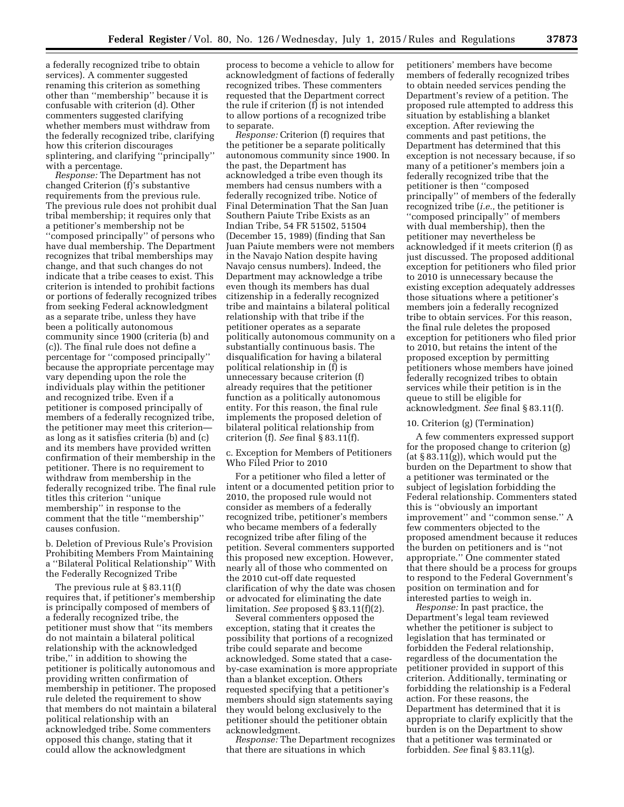a federally recognized tribe to obtain services). A commenter suggested renaming this criterion as something other than ''membership'' because it is confusable with criterion (d). Other commenters suggested clarifying whether members must withdraw from the federally recognized tribe, clarifying how this criterion discourages splintering, and clarifying ''principally'' with a percentage.

*Response:* The Department has not changed Criterion (f)'s substantive requirements from the previous rule. The previous rule does not prohibit dual tribal membership; it requires only that a petitioner's membership not be ''composed principally'' of persons who have dual membership. The Department recognizes that tribal memberships may change, and that such changes do not indicate that a tribe ceases to exist. This criterion is intended to prohibit factions or portions of federally recognized tribes from seeking Federal acknowledgment as a separate tribe, unless they have been a politically autonomous community since 1900 (criteria (b) and (c)). The final rule does not define a percentage for ''composed principally'' because the appropriate percentage may vary depending upon the role the individuals play within the petitioner and recognized tribe. Even if a petitioner is composed principally of members of a federally recognized tribe, the petitioner may meet this criterion as long as it satisfies criteria (b) and (c) and its members have provided written confirmation of their membership in the petitioner. There is no requirement to withdraw from membership in the federally recognized tribe. The final rule titles this criterion ''unique membership'' in response to the comment that the title ''membership'' causes confusion.

b. Deletion of Previous Rule's Provision Prohibiting Members From Maintaining a ''Bilateral Political Relationship'' With the Federally Recognized Tribe

The previous rule at § 83.11(f) requires that, if petitioner's membership is principally composed of members of a federally recognized tribe, the petitioner must show that ''its members do not maintain a bilateral political relationship with the acknowledged tribe,'' in addition to showing the petitioner is politically autonomous and providing written confirmation of membership in petitioner. The proposed rule deleted the requirement to show that members do not maintain a bilateral political relationship with an acknowledged tribe. Some commenters opposed this change, stating that it could allow the acknowledgment

process to become a vehicle to allow for acknowledgment of factions of federally recognized tribes. These commenters requested that the Department correct the rule if criterion (f) is not intended to allow portions of a recognized tribe to separate.

*Response:* Criterion (f) requires that the petitioner be a separate politically autonomous community since 1900. In the past, the Department has acknowledged a tribe even though its members had census numbers with a federally recognized tribe. Notice of Final Determination That the San Juan Southern Paiute Tribe Exists as an Indian Tribe, 54 FR 51502, 51504 (December 15, 1989) (finding that San Juan Paiute members were not members in the Navajo Nation despite having Navajo census numbers). Indeed, the Department may acknowledge a tribe even though its members has dual citizenship in a federally recognized tribe and maintains a bilateral political relationship with that tribe if the petitioner operates as a separate politically autonomous community on a substantially continuous basis. The disqualification for having a bilateral political relationship in (f) is unnecessary because criterion (f) already requires that the petitioner function as a politically autonomous entity. For this reason, the final rule implements the proposed deletion of bilateral political relationship from criterion (f). *See* final § 83.11(f).

c. Exception for Members of Petitioners Who Filed Prior to 2010

For a petitioner who filed a letter of intent or a documented petition prior to 2010, the proposed rule would not consider as members of a federally recognized tribe, petitioner's members who became members of a federally recognized tribe after filing of the petition. Several commenters supported this proposed new exception. However, nearly all of those who commented on the 2010 cut-off date requested clarification of why the date was chosen or advocated for eliminating the date limitation. *See* proposed § 83.11(f)(2).

Several commenters opposed the exception, stating that it creates the possibility that portions of a recognized tribe could separate and become acknowledged. Some stated that a caseby-case examination is more appropriate than a blanket exception. Others requested specifying that a petitioner's members should sign statements saying they would belong exclusively to the petitioner should the petitioner obtain acknowledgment.

*Response:* The Department recognizes that there are situations in which

petitioners' members have become members of federally recognized tribes to obtain needed services pending the Department's review of a petition. The proposed rule attempted to address this situation by establishing a blanket exception. After reviewing the comments and past petitions, the Department has determined that this exception is not necessary because, if so many of a petitioner's members join a federally recognized tribe that the petitioner is then ''composed principally'' of members of the federally recognized tribe (*i.e.,* the petitioner is ''composed principally'' of members with dual membership), then the petitioner may nevertheless be acknowledged if it meets criterion (f) as just discussed. The proposed additional exception for petitioners who filed prior to 2010 is unnecessary because the existing exception adequately addresses those situations where a petitioner's members join a federally recognized tribe to obtain services. For this reason, the final rule deletes the proposed exception for petitioners who filed prior to 2010, but retains the intent of the proposed exception by permitting petitioners whose members have joined federally recognized tribes to obtain services while their petition is in the queue to still be eligible for acknowledgment. *See* final § 83.11(f).

# 10. Criterion (g) (Termination)

A few commenters expressed support for the proposed change to criterion (g) (at  $\S 83.11(g)$ ), which would put the burden on the Department to show that a petitioner was terminated or the subject of legislation forbidding the Federal relationship. Commenters stated this is ''obviously an important improvement'' and ''common sense.'' A few commenters objected to the proposed amendment because it reduces the burden on petitioners and is ''not appropriate.'' One commenter stated that there should be a process for groups to respond to the Federal Government's position on termination and for interested parties to weigh in.

*Response:* In past practice, the Department's legal team reviewed whether the petitioner is subject to legislation that has terminated or forbidden the Federal relationship, regardless of the documentation the petitioner provided in support of this criterion. Additionally, terminating or forbidding the relationship is a Federal action. For these reasons, the Department has determined that it is appropriate to clarify explicitly that the burden is on the Department to show that a petitioner was terminated or forbidden. *See* final § 83.11(g).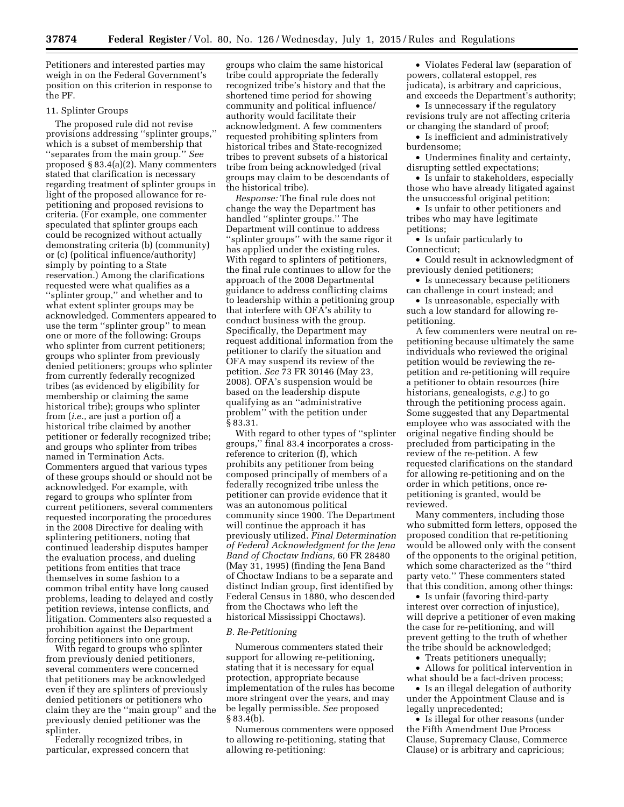Petitioners and interested parties may weigh in on the Federal Government's position on this criterion in response to the PF.

# 11. Splinter Groups

The proposed rule did not revise provisions addressing ''splinter groups,'' which is a subset of membership that ''separates from the main group.'' *See*  proposed § 83.4(a)(2). Many commenters stated that clarification is necessary regarding treatment of splinter groups in light of the proposed allowance for repetitioning and proposed revisions to criteria. (For example, one commenter speculated that splinter groups each could be recognized without actually demonstrating criteria (b) (community) or (c) (political influence/authority) simply by pointing to a State reservation.) Among the clarifications requested were what qualifies as a ''splinter group,'' and whether and to what extent splinter groups may be acknowledged. Commenters appeared to use the term ''splinter group'' to mean one or more of the following: Groups who splinter from current petitioners; groups who splinter from previously denied petitioners; groups who splinter from currently federally recognized tribes (as evidenced by eligibility for membership or claiming the same historical tribe); groups who splinter from (*i.e.,* are just a portion of) a historical tribe claimed by another petitioner or federally recognized tribe; and groups who splinter from tribes named in Termination Acts. Commenters argued that various types of these groups should or should not be acknowledged. For example, with regard to groups who splinter from current petitioners, several commenters requested incorporating the procedures in the 2008 Directive for dealing with splintering petitioners, noting that continued leadership disputes hamper the evaluation process, and dueling petitions from entities that trace themselves in some fashion to a common tribal entity have long caused problems, leading to delayed and costly petition reviews, intense conflicts, and litigation. Commenters also requested a prohibition against the Department forcing petitioners into one group.

With regard to groups who splinter from previously denied petitioners, several commenters were concerned that petitioners may be acknowledged even if they are splinters of previously denied petitioners or petitioners who claim they are the ''main group'' and the previously denied petitioner was the splinter.

Federally recognized tribes, in particular, expressed concern that

groups who claim the same historical tribe could appropriate the federally recognized tribe's history and that the shortened time period for showing community and political influence/ authority would facilitate their acknowledgment. A few commenters requested prohibiting splinters from historical tribes and State-recognized tribes to prevent subsets of a historical tribe from being acknowledged (rival groups may claim to be descendants of the historical tribe).

*Response:* The final rule does not change the way the Department has handled ''splinter groups.'' The Department will continue to address ''splinter groups'' with the same rigor it has applied under the existing rules. With regard to splinters of petitioners, the final rule continues to allow for the approach of the 2008 Departmental guidance to address conflicting claims to leadership within a petitioning group that interfere with OFA's ability to conduct business with the group. Specifically, the Department may request additional information from the petitioner to clarify the situation and OFA may suspend its review of the petition. *See* 73 FR 30146 (May 23, 2008). OFA's suspension would be based on the leadership dispute qualifying as an ''administrative problem'' with the petition under § 83.31.

With regard to other types of ''splinter groups,'' final 83.4 incorporates a crossreference to criterion (f), which prohibits any petitioner from being composed principally of members of a federally recognized tribe unless the petitioner can provide evidence that it was an autonomous political community since 1900. The Department will continue the approach it has previously utilized. *Final Determination of Federal Acknowledgment for the Jena Band of Choctaw Indians,* 60 FR 28480 (May 31, 1995) (finding the Jena Band of Choctaw Indians to be a separate and distinct Indian group, first identified by Federal Census in 1880, who descended from the Choctaws who left the historical Mississippi Choctaws).

#### *B. Re-Petitioning*

Numerous commenters stated their support for allowing re-petitioning, stating that it is necessary for equal protection, appropriate because implementation of the rules has become more stringent over the years, and may be legally permissible. *See* proposed § 83.4(b).

Numerous commenters were opposed to allowing re-petitioning, stating that allowing re-petitioning:

• Violates Federal law (separation of powers, collateral estoppel, res judicata), is arbitrary and capricious, and exceeds the Department's authority;

• Is unnecessary if the regulatory revisions truly are not affecting criteria or changing the standard of proof;

• Is inefficient and administratively burdensome;

• Undermines finality and certainty, disrupting settled expectations;

• Is unfair to stakeholders, especially those who have already litigated against the unsuccessful original petition;

• Is unfair to other petitioners and tribes who may have legitimate petitions;

• Is unfair particularly to Connecticut;

• Could result in acknowledgment of previously denied petitioners;

• Is unnecessary because petitioners can challenge in court instead; and

• Is unreasonable, especially with such a low standard for allowing repetitioning.

A few commenters were neutral on repetitioning because ultimately the same individuals who reviewed the original petition would be reviewing the repetition and re-petitioning will require a petitioner to obtain resources (hire historians, genealogists, *e.g.*) to go through the petitioning process again. Some suggested that any Departmental employee who was associated with the original negative finding should be precluded from participating in the review of the re-petition. A few requested clarifications on the standard for allowing re-petitioning and on the order in which petitions, once repetitioning is granted, would be reviewed.

Many commenters, including those who submitted form letters, opposed the proposed condition that re-petitioning would be allowed only with the consent of the opponents to the original petition, which some characterized as the ''third party veto.'' These commenters stated that this condition, among other things:

• Is unfair (favoring third-party interest over correction of injustice), will deprive a petitioner of even making the case for re-petitioning, and will prevent getting to the truth of whether the tribe should be acknowledged;

• Treats petitioners unequally;

• Allows for political intervention in what should be a fact-driven process;

• Is an illegal delegation of authority under the Appointment Clause and is legally unprecedented;

• Is illegal for other reasons (under the Fifth Amendment Due Process Clause, Supremacy Clause, Commerce Clause) or is arbitrary and capricious;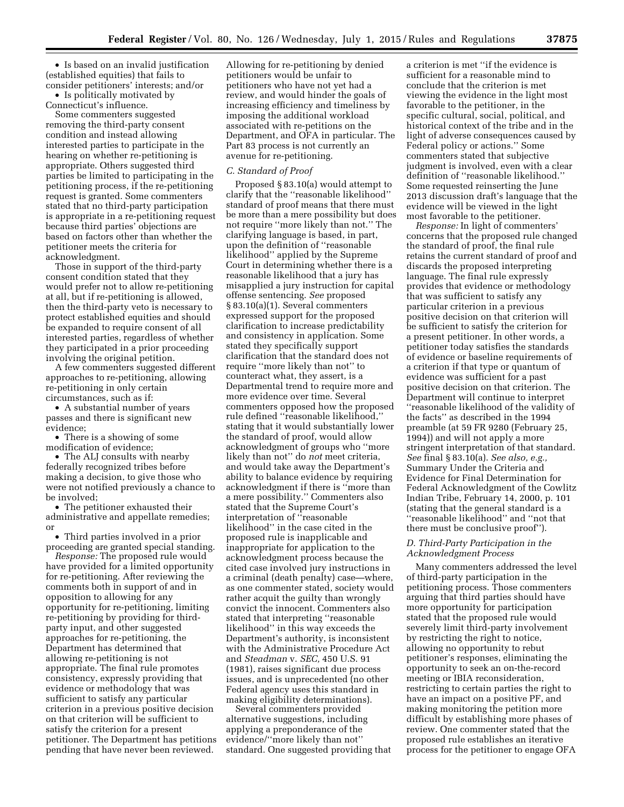• Is based on an invalid justification (established equities) that fails to consider petitioners' interests; and/or

• Is politically motivated by Connecticut's influence.

Some commenters suggested removing the third-party consent condition and instead allowing interested parties to participate in the hearing on whether re-petitioning is appropriate. Others suggested third parties be limited to participating in the petitioning process, if the re-petitioning request is granted. Some commenters stated that no third-party participation is appropriate in a re-petitioning request because third parties' objections are based on factors other than whether the petitioner meets the criteria for acknowledgment.

Those in support of the third-party consent condition stated that they would prefer not to allow re-petitioning at all, but if re-petitioning is allowed, then the third-party veto is necessary to protect established equities and should be expanded to require consent of all interested parties, regardless of whether they participated in a prior proceeding involving the original petition.

A few commenters suggested different approaches to re-petitioning, allowing re-petitioning in only certain circumstances, such as if:

• A substantial number of years passes and there is significant new evidence;

• There is a showing of some modification of evidence;

• The ALJ consults with nearby federally recognized tribes before making a decision, to give those who were not notified previously a chance to be involved;

• The petitioner exhausted their administrative and appellate remedies; or

• Third parties involved in a prior proceeding are granted special standing.

*Response:* The proposed rule would have provided for a limited opportunity for re-petitioning. After reviewing the comments both in support of and in opposition to allowing for any opportunity for re-petitioning, limiting re-petitioning by providing for thirdparty input, and other suggested approaches for re-petitioning, the Department has determined that allowing re-petitioning is not appropriate. The final rule promotes consistency, expressly providing that evidence or methodology that was sufficient to satisfy any particular criterion in a previous positive decision on that criterion will be sufficient to satisfy the criterion for a present petitioner. The Department has petitions pending that have never been reviewed.

Allowing for re-petitioning by denied petitioners would be unfair to petitioners who have not yet had a review, and would hinder the goals of increasing efficiency and timeliness by imposing the additional workload associated with re-petitions on the Department, and OFA in particular. The Part 83 process is not currently an avenue for re-petitioning.

#### *C. Standard of Proof*

Proposed § 83.10(a) would attempt to clarify that the ''reasonable likelihood'' standard of proof means that there must be more than a mere possibility but does not require ''more likely than not.'' The clarifying language is based, in part, upon the definition of ''reasonable likelihood'' applied by the Supreme Court in determining whether there is a reasonable likelihood that a jury has misapplied a jury instruction for capital offense sentencing. *See* proposed § 83.10(a)(1). Several commenters expressed support for the proposed clarification to increase predictability and consistency in application. Some stated they specifically support clarification that the standard does not require ''more likely than not'' to counteract what, they assert, is a Departmental trend to require more and more evidence over time. Several commenters opposed how the proposed rule defined ''reasonable likelihood,'' stating that it would substantially lower the standard of proof, would allow acknowledgment of groups who ''more likely than not'' do *not* meet criteria, and would take away the Department's ability to balance evidence by requiring acknowledgment if there is ''more than a mere possibility.'' Commenters also stated that the Supreme Court's interpretation of ''reasonable likelihood'' in the case cited in the proposed rule is inapplicable and inappropriate for application to the acknowledgment process because the cited case involved jury instructions in a criminal (death penalty) case—where, as one commenter stated, society would rather acquit the guilty than wrongly convict the innocent. Commenters also stated that interpreting ''reasonable likelihood'' in this way exceeds the Department's authority, is inconsistent with the Administrative Procedure Act and *Steadman* v. *SEC,* 450 U.S. 91 (1981), raises significant due process issues, and is unprecedented (no other Federal agency uses this standard in making eligibility determinations).

Several commenters provided alternative suggestions, including applying a preponderance of the evidence/''more likely than not'' standard. One suggested providing that

a criterion is met ''if the evidence is sufficient for a reasonable mind to conclude that the criterion is met viewing the evidence in the light most favorable to the petitioner, in the specific cultural, social, political, and historical context of the tribe and in the light of adverse consequences caused by Federal policy or actions.'' Some commenters stated that subjective judgment is involved, even with a clear definition of ''reasonable likelihood.'' Some requested reinserting the June 2013 discussion draft's language that the evidence will be viewed in the light most favorable to the petitioner.

*Response:* In light of commenters' concerns that the proposed rule changed the standard of proof, the final rule retains the current standard of proof and discards the proposed interpreting language. The final rule expressly provides that evidence or methodology that was sufficient to satisfy any particular criterion in a previous positive decision on that criterion will be sufficient to satisfy the criterion for a present petitioner. In other words, a petitioner today satisfies the standards of evidence or baseline requirements of a criterion if that type or quantum of evidence was sufficient for a past positive decision on that criterion. The Department will continue to interpret ''reasonable likelihood of the validity of the facts'' as described in the 1994 preamble (at 59 FR 9280 (February 25, 1994)) and will not apply a more stringent interpretation of that standard. *See* final § 83.10(a). *See also, e.g.,*  Summary Under the Criteria and Evidence for Final Determination for Federal Acknowledgment of the Cowlitz Indian Tribe, February 14, 2000, p. 101 (stating that the general standard is a ''reasonable likelihood'' and ''not that there must be conclusive proof'').

# *D. Third-Party Participation in the Acknowledgment Process*

Many commenters addressed the level of third-party participation in the petitioning process. Those commenters arguing that third parties should have more opportunity for participation stated that the proposed rule would severely limit third-party involvement by restricting the right to notice, allowing no opportunity to rebut petitioner's responses, eliminating the opportunity to seek an on-the-record meeting or IBIA reconsideration, restricting to certain parties the right to have an impact on a positive PF, and making monitoring the petition more difficult by establishing more phases of review. One commenter stated that the proposed rule establishes an iterative process for the petitioner to engage OFA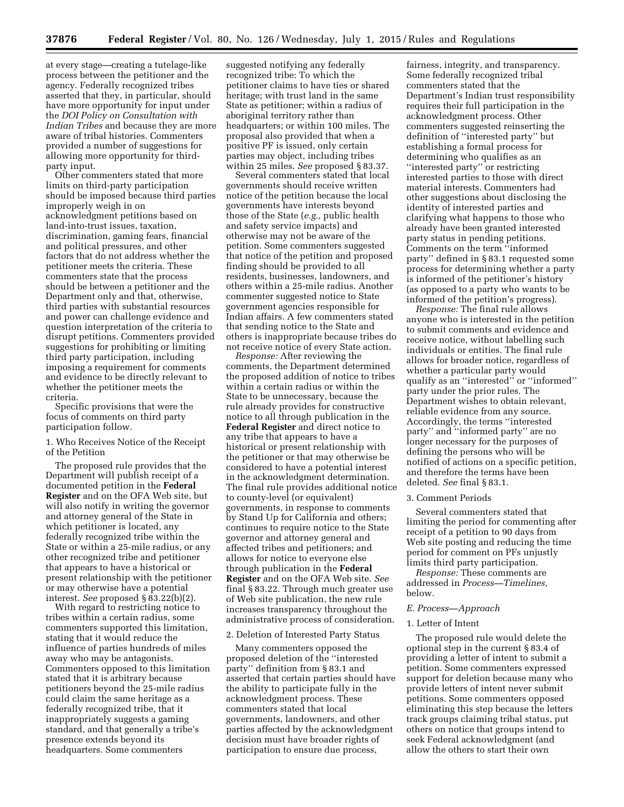at every stage—creating a tutelage-like process between the petitioner and the agency. Federally recognized tribes asserted that they, in particular, should have more opportunity for input under the *DOI Policy on Consultation with Indian Tribes* and because they are more aware of tribal histories. Commenters provided a number of suggestions for allowing more opportunity for thirdparty input.

Other commenters stated that more limits on third-party participation should be imposed because third parties improperly weigh in on acknowledgment petitions based on land-into-trust issues, taxation, discrimination, gaming fears, financial and political pressures, and other factors that do not address whether the petitioner meets the criteria. These commenters state that the process should be between a petitioner and the Department only and that, otherwise, third parties with substantial resources and power can challenge evidence and question interpretation of the criteria to disrupt petitions. Commenters provided suggestions for prohibiting or limiting third party participation, including imposing a requirement for comments and evidence to be directly relevant to whether the petitioner meets the criteria.

Specific provisions that were the focus of comments on third party participation follow.

1. Who Receives Notice of the Receipt of the Petition

The proposed rule provides that the Department will publish receipt of a documented petition in the **Federal Register** and on the OFA Web site, but will also notify in writing the governor and attorney general of the State in which petitioner is located, any federally recognized tribe within the State or within a 25-mile radius, or any other recognized tribe and petitioner that appears to have a historical or present relationship with the petitioner or may otherwise have a potential interest. *See* proposed § 83.22(b)(2).

With regard to restricting notice to tribes within a certain radius, some commenters supported this limitation, stating that it would reduce the influence of parties hundreds of miles away who may be antagonists. Commenters opposed to this limitation stated that it is arbitrary because petitioners beyond the 25-mile radius could claim the same heritage as a federally recognized tribe, that it inappropriately suggests a gaming standard, and that generally a tribe's presence extends beyond its headquarters. Some commenters

suggested notifying any federally recognized tribe: To which the petitioner claims to have ties or shared heritage; with trust land in the same State as petitioner; within a radius of aboriginal territory rather than headquarters; or within 100 miles. The proposal also provided that when a positive PF is issued, only certain parties may object, including tribes within 25 miles. *See* proposed § 83.37.

Several commenters stated that local governments should receive written notice of the petition because the local governments have interests beyond those of the State (*e.g.,* public health and safety service impacts) and otherwise may not be aware of the petition. Some commenters suggested that notice of the petition and proposed finding should be provided to all residents, businesses, landowners, and others within a 25-mile radius. Another commenter suggested notice to State government agencies responsible for Indian affairs. A few commenters stated that sending notice to the State and others is inappropriate because tribes do not receive notice of every State action.

*Response:* After reviewing the comments, the Department determined the proposed addition of notice to tribes within a certain radius or within the State to be unnecessary, because the rule already provides for constructive notice to all through publication in the **Federal Register** and direct notice to any tribe that appears to have a historical or present relationship with the petitioner or that may otherwise be considered to have a potential interest in the acknowledgment determination. The final rule provides additional notice to county-level (or equivalent) governments, in response to comments by Stand Up for California and others; continues to require notice to the State governor and attorney general and affected tribes and petitioners; and allows for notice to everyone else through publication in the **Federal Register** and on the OFA Web site. *See*  final § 83.22. Through much greater use of Web site publication, the new rule increases transparency throughout the administrative process of consideration.

# 2. Deletion of Interested Party Status

Many commenters opposed the proposed deletion of the ''interested party'' definition from § 83.1 and asserted that certain parties should have the ability to participate fully in the acknowledgment process. These commenters stated that local governments, landowners, and other parties affected by the acknowledgment decision must have broader rights of participation to ensure due process,

fairness, integrity, and transparency. Some federally recognized tribal commenters stated that the Department's Indian trust responsibility requires their full participation in the acknowledgment process. Other commenters suggested reinserting the definition of ''interested party'' but establishing a formal process for determining who qualifies as an ''interested party'' or restricting interested parties to those with direct material interests. Commenters had other suggestions about disclosing the identity of interested parties and clarifying what happens to those who already have been granted interested party status in pending petitions. Comments on the term ''informed party'' defined in § 83.1 requested some process for determining whether a party is informed of the petitioner's history (as opposed to a party who wants to be informed of the petition's progress).

*Response:* The final rule allows anyone who is interested in the petition to submit comments and evidence and receive notice, without labelling such individuals or entities. The final rule allows for broader notice, regardless of whether a particular party would qualify as an ''interested'' or ''informed'' party under the prior rules. The Department wishes to obtain relevant, reliable evidence from any source. Accordingly, the terms ''interested party'' and ''informed party'' are no longer necessary for the purposes of defining the persons who will be notified of actions on a specific petition, and therefore the terms have been deleted. *See* final § 83.1.

# 3. Comment Periods

Several commenters stated that limiting the period for commenting after receipt of a petition to 90 days from Web site posting and reducing the time period for comment on PFs unjustly limits third party participation.

*Response:* These comments are addressed in *Process—Timelines,*  below.

#### *E. Process—Approach*

### 1. Letter of Intent

The proposed rule would delete the optional step in the current § 83.4 of providing a letter of intent to submit a petition. Some commenters expressed support for deletion because many who provide letters of intent never submit petitions. Some commenters opposed eliminating this step because the letters track groups claiming tribal status, put others on notice that groups intend to seek Federal acknowledgment (and allow the others to start their own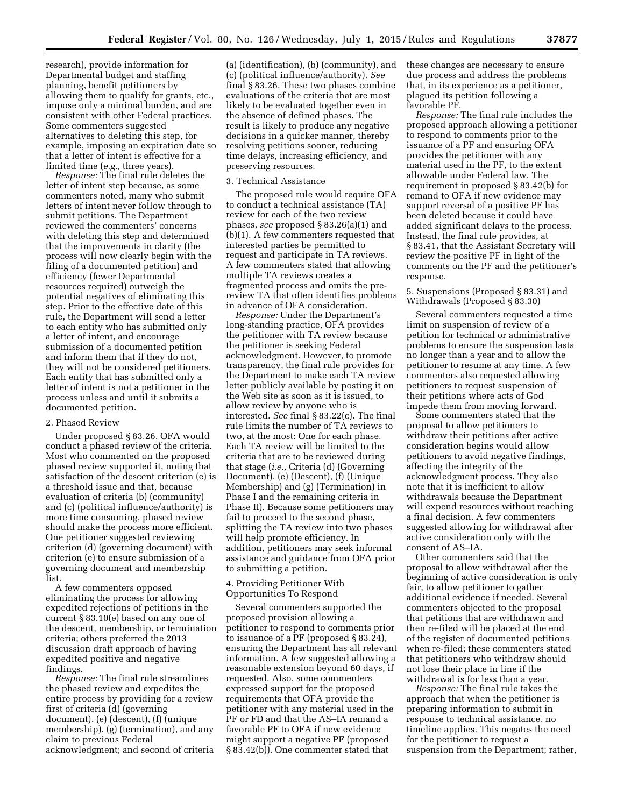research), provide information for Departmental budget and staffing planning, benefit petitioners by allowing them to qualify for grants, etc., impose only a minimal burden, and are consistent with other Federal practices. Some commenters suggested alternatives to deleting this step, for example, imposing an expiration date so that a letter of intent is effective for a limited time (*e.g.,* three years).

*Response:* The final rule deletes the letter of intent step because, as some commenters noted, many who submit letters of intent never follow through to submit petitions. The Department reviewed the commenters' concerns with deleting this step and determined that the improvements in clarity (the process will now clearly begin with the filing of a documented petition) and efficiency (fewer Departmental resources required) outweigh the potential negatives of eliminating this step. Prior to the effective date of this rule, the Department will send a letter to each entity who has submitted only a letter of intent, and encourage submission of a documented petition and inform them that if they do not, they will not be considered petitioners. Each entity that has submitted only a letter of intent is not a petitioner in the process unless and until it submits a documented petition.

# 2. Phased Review

Under proposed § 83.26, OFA would conduct a phased review of the criteria. Most who commented on the proposed phased review supported it, noting that satisfaction of the descent criterion (e) is a threshold issue and that, because evaluation of criteria (b) (community) and (c) (political influence/authority) is more time consuming, phased review should make the process more efficient. One petitioner suggested reviewing criterion (d) (governing document) with criterion (e) to ensure submission of a governing document and membership list.

A few commenters opposed eliminating the process for allowing expedited rejections of petitions in the current § 83.10(e) based on any one of the descent, membership, or termination criteria; others preferred the 2013 discussion draft approach of having expedited positive and negative findings.

*Response:* The final rule streamlines the phased review and expedites the entire process by providing for a review first of criteria (d) (governing document), (e) (descent), (f) (unique membership), (g) (termination), and any claim to previous Federal acknowledgment; and second of criteria

(a) (identification), (b) (community), and (c) (political influence/authority). *See*  final § 83.26. These two phases combine evaluations of the criteria that are most likely to be evaluated together even in the absence of defined phases. The result is likely to produce any negative decisions in a quicker manner, thereby resolving petitions sooner, reducing time delays, increasing efficiency, and preserving resources.

#### 3. Technical Assistance

The proposed rule would require OFA to conduct a technical assistance (TA) review for each of the two review phases, *see* proposed § 83.26(a)(1) and (b)(1). A few commenters requested that interested parties be permitted to request and participate in TA reviews. A few commenters stated that allowing multiple TA reviews creates a fragmented process and omits the prereview TA that often identifies problems in advance of OFA consideration.

*Response:* Under the Department's long-standing practice, OFA provides the petitioner with TA review because the petitioner is seeking Federal acknowledgment. However, to promote transparency, the final rule provides for the Department to make each TA review letter publicly available by posting it on the Web site as soon as it is issued, to allow review by anyone who is interested. *See* final § 83.22(c). The final rule limits the number of TA reviews to two, at the most: One for each phase. Each TA review will be limited to the criteria that are to be reviewed during that stage (*i.e.,* Criteria (d) (Governing Document), (e) (Descent), (f) (Unique Membership) and (g) (Termination) in Phase I and the remaining criteria in Phase II). Because some petitioners may fail to proceed to the second phase, splitting the TA review into two phases will help promote efficiency. In addition, petitioners may seek informal assistance and guidance from OFA prior to submitting a petition.

# 4. Providing Petitioner With Opportunities To Respond

Several commenters supported the proposed provision allowing a petitioner to respond to comments prior to issuance of a PF (proposed § 83.24), ensuring the Department has all relevant information. A few suggested allowing a reasonable extension beyond 60 days, if requested. Also, some commenters expressed support for the proposed requirements that OFA provide the petitioner with any material used in the PF or FD and that the AS–IA remand a favorable PF to OFA if new evidence might support a negative PF (proposed § 83.42(b)). One commenter stated that

these changes are necessary to ensure due process and address the problems that, in its experience as a petitioner, plagued its petition following a favorable PF.

*Response:* The final rule includes the proposed approach allowing a petitioner to respond to comments prior to the issuance of a PF and ensuring OFA provides the petitioner with any material used in the PF, to the extent allowable under Federal law. The requirement in proposed § 83.42(b) for remand to OFA if new evidence may support reversal of a positive PF has been deleted because it could have added significant delays to the process. Instead, the final rule provides, at § 83.41, that the Assistant Secretary will review the positive PF in light of the comments on the PF and the petitioner's response.

5. Suspensions (Proposed § 83.31) and Withdrawals (Proposed § 83.30)

Several commenters requested a time limit on suspension of review of a petition for technical or administrative problems to ensure the suspension lasts no longer than a year and to allow the petitioner to resume at any time. A few commenters also requested allowing petitioners to request suspension of their petitions where acts of God impede them from moving forward.

Some commenters stated that the proposal to allow petitioners to withdraw their petitions after active consideration begins would allow petitioners to avoid negative findings, affecting the integrity of the acknowledgment process. They also note that it is inefficient to allow withdrawals because the Department will expend resources without reaching a final decision. A few commenters suggested allowing for withdrawal after active consideration only with the consent of AS–IA.

Other commenters said that the proposal to allow withdrawal after the beginning of active consideration is only fair, to allow petitioner to gather additional evidence if needed. Several commenters objected to the proposal that petitions that are withdrawn and then re-filed will be placed at the end of the register of documented petitions when re-filed; these commenters stated that petitioners who withdraw should not lose their place in line if the withdrawal is for less than a year.

*Response:* The final rule takes the approach that when the petitioner is preparing information to submit in response to technical assistance, no timeline applies. This negates the need for the petitioner to request a suspension from the Department; rather,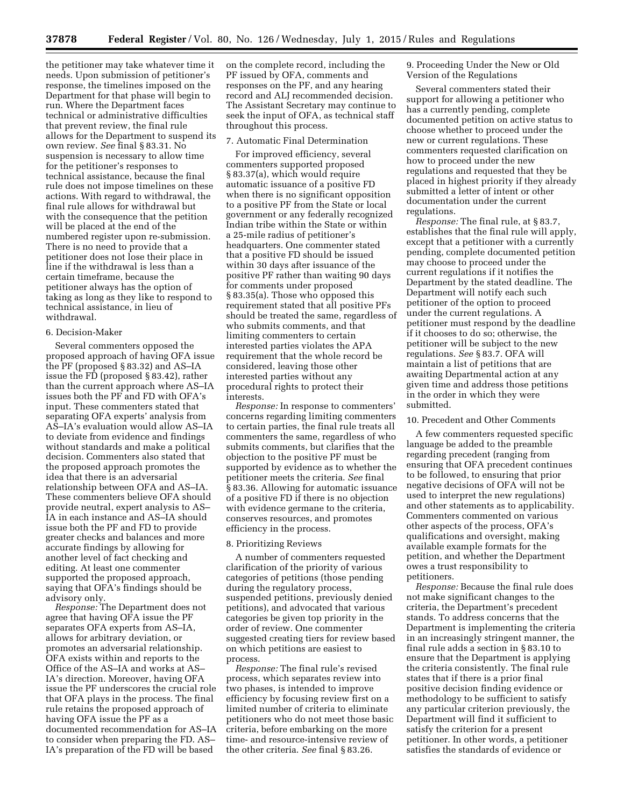the petitioner may take whatever time it needs. Upon submission of petitioner's response, the timelines imposed on the Department for that phase will begin to run. Where the Department faces technical or administrative difficulties that prevent review, the final rule allows for the Department to suspend its own review. *See* final § 83.31. No suspension is necessary to allow time for the petitioner's responses to technical assistance, because the final rule does not impose timelines on these actions. With regard to withdrawal, the final rule allows for withdrawal but with the consequence that the petition will be placed at the end of the numbered register upon re-submission. There is no need to provide that a petitioner does not lose their place in line if the withdrawal is less than a certain timeframe, because the petitioner always has the option of taking as long as they like to respond to technical assistance, in lieu of withdrawal.

# 6. Decision-Maker

Several commenters opposed the proposed approach of having OFA issue the PF (proposed § 83.32) and AS–IA issue the FD (proposed § 83.42), rather than the current approach where AS–IA issues both the PF and FD with OFA's input. These commenters stated that separating OFA experts' analysis from AS–IA's evaluation would allow AS–IA to deviate from evidence and findings without standards and make a political decision. Commenters also stated that the proposed approach promotes the idea that there is an adversarial relationship between OFA and AS–IA. These commenters believe OFA should provide neutral, expert analysis to AS– IA in each instance and AS–IA should issue both the PF and FD to provide greater checks and balances and more accurate findings by allowing for another level of fact checking and editing. At least one commenter supported the proposed approach, saying that OFA's findings should be advisory only.

*Response:* The Department does not agree that having OFA issue the PF separates OFA experts from AS–IA, allows for arbitrary deviation, or promotes an adversarial relationship. OFA exists within and reports to the Office of the AS–IA and works at AS– IA's direction. Moreover, having OFA issue the PF underscores the crucial role that OFA plays in the process. The final rule retains the proposed approach of having OFA issue the PF as a documented recommendation for AS–IA to consider when preparing the FD. AS– IA's preparation of the FD will be based

on the complete record, including the PF issued by OFA, comments and responses on the PF, and any hearing record and ALJ recommended decision. The Assistant Secretary may continue to seek the input of OFA, as technical staff throughout this process.

# 7. Automatic Final Determination

For improved efficiency, several commenters supported proposed § 83.37(a), which would require automatic issuance of a positive FD when there is no significant opposition to a positive PF from the State or local government or any federally recognized Indian tribe within the State or within a 25-mile radius of petitioner's headquarters. One commenter stated that a positive FD should be issued within 30 days after issuance of the positive PF rather than waiting 90 days for comments under proposed § 83.35(a). Those who opposed this requirement stated that all positive PFs should be treated the same, regardless of who submits comments, and that limiting commenters to certain interested parties violates the APA requirement that the whole record be considered, leaving those other interested parties without any procedural rights to protect their interests.

*Response:* In response to commenters' concerns regarding limiting commenters to certain parties, the final rule treats all commenters the same, regardless of who submits comments, but clarifies that the objection to the positive PF must be supported by evidence as to whether the petitioner meets the criteria. *See* final § 83.36. Allowing for automatic issuance of a positive FD if there is no objection with evidence germane to the criteria, conserves resources, and promotes efficiency in the process.

# 8. Prioritizing Reviews

A number of commenters requested clarification of the priority of various categories of petitions (those pending during the regulatory process, suspended petitions, previously denied petitions), and advocated that various categories be given top priority in the order of review. One commenter suggested creating tiers for review based on which petitions are easiest to process.

*Response:* The final rule's revised process, which separates review into two phases, is intended to improve efficiency by focusing review first on a limited number of criteria to eliminate petitioners who do not meet those basic criteria, before embarking on the more time- and resource-intensive review of the other criteria. *See* final § 83.26.

9. Proceeding Under the New or Old Version of the Regulations

Several commenters stated their support for allowing a petitioner who has a currently pending, complete documented petition on active status to choose whether to proceed under the new or current regulations. These commenters requested clarification on how to proceed under the new regulations and requested that they be placed in highest priority if they already submitted a letter of intent or other documentation under the current regulations.

*Response:* The final rule, at § 83.7, establishes that the final rule will apply, except that a petitioner with a currently pending, complete documented petition may choose to proceed under the current regulations if it notifies the Department by the stated deadline. The Department will notify each such petitioner of the option to proceed under the current regulations. A petitioner must respond by the deadline if it chooses to do so; otherwise, the petitioner will be subject to the new regulations. *See* § 83.7. OFA will maintain a list of petitions that are awaiting Departmental action at any given time and address those petitions in the order in which they were submitted.

# 10. Precedent and Other Comments

A few commenters requested specific language be added to the preamble regarding precedent (ranging from ensuring that OFA precedent continues to be followed, to ensuring that prior negative decisions of OFA will not be used to interpret the new regulations) and other statements as to applicability. Commenters commented on various other aspects of the process, OFA's qualifications and oversight, making available example formats for the petition, and whether the Department owes a trust responsibility to petitioners.

*Response:* Because the final rule does not make significant changes to the criteria, the Department's precedent stands. To address concerns that the Department is implementing the criteria in an increasingly stringent manner, the final rule adds a section in § 83.10 to ensure that the Department is applying the criteria consistently. The final rule states that if there is a prior final positive decision finding evidence or methodology to be sufficient to satisfy any particular criterion previously, the Department will find it sufficient to satisfy the criterion for a present petitioner. In other words, a petitioner satisfies the standards of evidence or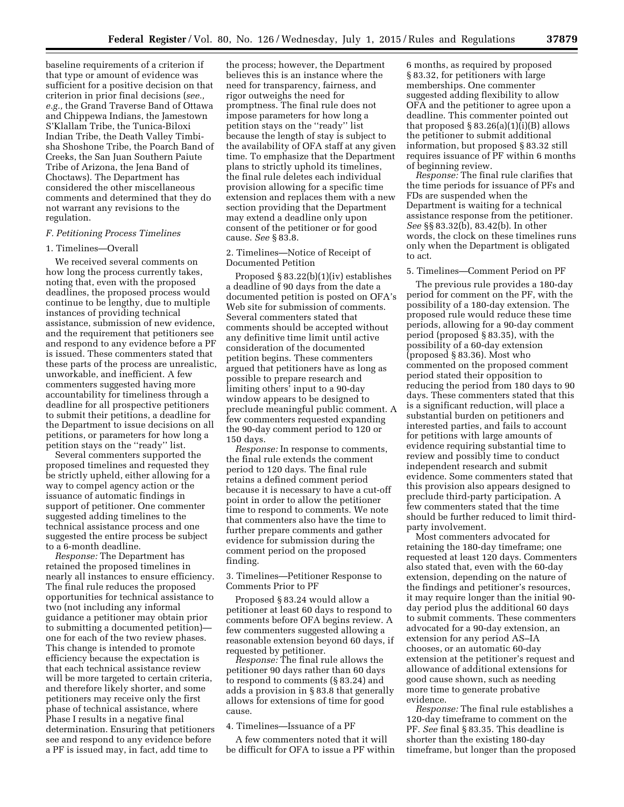baseline requirements of a criterion if that type or amount of evidence was sufficient for a positive decision on that criterion in prior final decisions (*see., e.g.,* the Grand Traverse Band of Ottawa and Chippewa Indians, the Jamestown S'Klallam Tribe, the Tunica-Biloxi Indian Tribe, the Death Valley Timbisha Shoshone Tribe, the Poarch Band of Creeks, the San Juan Southern Paiute Tribe of Arizona, the Jena Band of Choctaws). The Department has considered the other miscellaneous comments and determined that they do not warrant any revisions to the regulation.

# *F. Petitioning Process Timelines*

#### 1. Timelines—Overall

We received several comments on how long the process currently takes, noting that, even with the proposed deadlines, the proposed process would continue to be lengthy, due to multiple instances of providing technical assistance, submission of new evidence, and the requirement that petitioners see and respond to any evidence before a PF is issued. These commenters stated that these parts of the process are unrealistic, unworkable, and inefficient. A few commenters suggested having more accountability for timeliness through a deadline for all prospective petitioners to submit their petitions, a deadline for the Department to issue decisions on all petitions, or parameters for how long a petition stays on the ''ready'' list.

Several commenters supported the proposed timelines and requested they be strictly upheld, either allowing for a way to compel agency action or the issuance of automatic findings in support of petitioner. One commenter suggested adding timelines to the technical assistance process and one suggested the entire process be subject to a 6-month deadline.

*Response:* The Department has retained the proposed timelines in nearly all instances to ensure efficiency. The final rule reduces the proposed opportunities for technical assistance to two (not including any informal guidance a petitioner may obtain prior to submitting a documented petition) one for each of the two review phases. This change is intended to promote efficiency because the expectation is that each technical assistance review will be more targeted to certain criteria, and therefore likely shorter, and some petitioners may receive only the first phase of technical assistance, where Phase I results in a negative final determination. Ensuring that petitioners see and respond to any evidence before a PF is issued may, in fact, add time to

the process; however, the Department believes this is an instance where the need for transparency, fairness, and rigor outweighs the need for promptness. The final rule does not impose parameters for how long a petition stays on the ''ready'' list because the length of stay is subject to the availability of OFA staff at any given time. To emphasize that the Department plans to strictly uphold its timelines, the final rule deletes each individual provision allowing for a specific time extension and replaces them with a new section providing that the Department may extend a deadline only upon consent of the petitioner or for good cause. *See* § 83.8.

2. Timelines—Notice of Receipt of Documented Petition

Proposed § 83.22(b)(1)(iv) establishes a deadline of 90 days from the date a documented petition is posted on OFA's Web site for submission of comments. Several commenters stated that comments should be accepted without any definitive time limit until active consideration of the documented petition begins. These commenters argued that petitioners have as long as possible to prepare research and limiting others' input to a 90-day window appears to be designed to preclude meaningful public comment. A few commenters requested expanding the 90-day comment period to 120 or 150 days.

*Response:* In response to comments, the final rule extends the comment period to 120 days. The final rule retains a defined comment period because it is necessary to have a cut-off point in order to allow the petitioner time to respond to comments. We note that commenters also have the time to further prepare comments and gather evidence for submission during the comment period on the proposed finding.

3. Timelines—Petitioner Response to Comments Prior to PF

Proposed § 83.24 would allow a petitioner at least 60 days to respond to comments before OFA begins review. A few commenters suggested allowing a reasonable extension beyond 60 days, if requested by petitioner.

*Response:* The final rule allows the petitioner 90 days rather than 60 days to respond to comments (§ 83.24) and adds a provision in § 83.8 that generally allows for extensions of time for good cause.

# 4. Timelines—Issuance of a PF

A few commenters noted that it will be difficult for OFA to issue a PF within

6 months, as required by proposed § 83.32, for petitioners with large memberships. One commenter suggested adding flexibility to allow OFA and the petitioner to agree upon a deadline. This commenter pointed out that proposed  $\S 83.26(a)(1)(i)(B)$  allows the petitioner to submit additional information, but proposed § 83.32 still requires issuance of PF within 6 months of beginning review.

*Response:* The final rule clarifies that the time periods for issuance of PFs and FDs are suspended when the Department is waiting for a technical assistance response from the petitioner. *See* §§ 83.32(b), 83.42(b). In other words, the clock on these timelines runs only when the Department is obligated to act.

## 5. Timelines—Comment Period on PF

The previous rule provides a 180-day period for comment on the PF, with the possibility of a 180-day extension. The proposed rule would reduce these time periods, allowing for a 90-day comment period (proposed § 83.35), with the possibility of a 60-day extension (proposed § 83.36). Most who commented on the proposed comment period stated their opposition to reducing the period from 180 days to 90 days. These commenters stated that this is a significant reduction, will place a substantial burden on petitioners and interested parties, and fails to account for petitions with large amounts of evidence requiring substantial time to review and possibly time to conduct independent research and submit evidence. Some commenters stated that this provision also appears designed to preclude third-party participation. A few commenters stated that the time should be further reduced to limit thirdparty involvement.

Most commenters advocated for retaining the 180-day timeframe; one requested at least 120 days. Commenters also stated that, even with the 60-day extension, depending on the nature of the findings and petitioner's resources, it may require longer than the initial 90 day period plus the additional 60 days to submit comments. These commenters advocated for a 90-day extension, an extension for any period AS–IA chooses, or an automatic 60-day extension at the petitioner's request and allowance of additional extensions for good cause shown, such as needing more time to generate probative evidence.

*Response:* The final rule establishes a 120-day timeframe to comment on the PF. *See* final § 83.35. This deadline is shorter than the existing 180-day timeframe, but longer than the proposed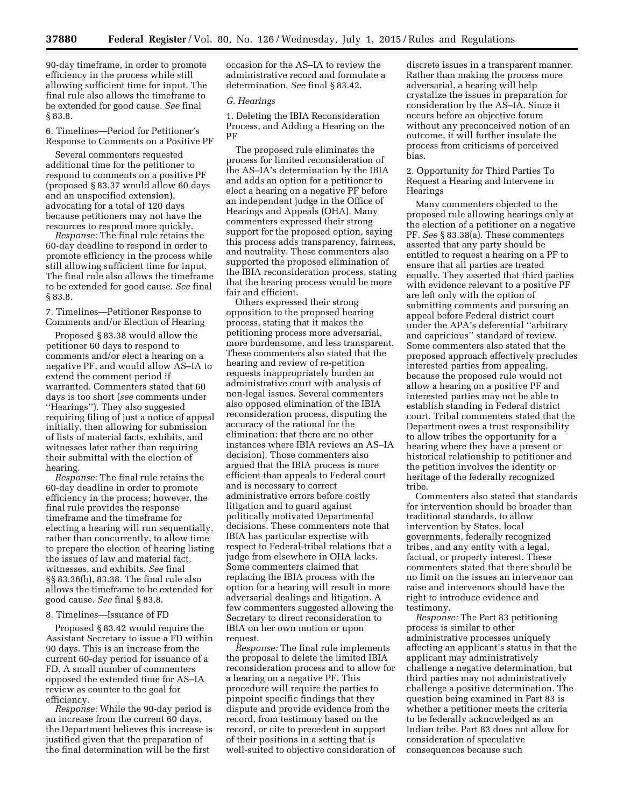90-day timeframe, in order to promote efficiency in the process while still allowing sufficient time for input. The final rule also allows the timeframe to be extended for good cause. *See* final § 83.8.

6. Timelines—Period for Petitioner's Response to Comments on a Positive PF

Several commenters requested additional time for the petitioner to respond to comments on a positive PF (proposed § 83.37 would allow 60 days and an unspecified extension), advocating for a total of 120 days because petitioners may not have the resources to respond more quickly.

*Response:* The final rule retains the 60-day deadline to respond in order to promote efficiency in the process while still allowing sufficient time for input. The final rule also allows the timeframe to be extended for good cause. *See* final § 83.8.

7. Timelines—Petitioner Response to Comments and/or Election of Hearing

Proposed § 83.38 would allow the petitioner 60 days to respond to comments and/or elect a hearing on a negative PF, and would allow AS–IA to extend the comment period if warranted. Commenters stated that 60 days is too short (*see* comments under ''Hearings''). They also suggested requiring filing of just a notice of appeal initially, then allowing for submission of lists of material facts, exhibits, and witnesses later rather than requiring their submittal with the election of hearing.

*Response:* The final rule retains the 60-day deadline in order to promote efficiency in the process; however, the final rule provides the response timeframe and the timeframe for electing a hearing will run sequentially, rather than concurrently, to allow time to prepare the election of hearing listing the issues of law and material fact, witnesses, and exhibits. *See* final §§ 83.36(b), 83.38. The final rule also allows the timeframe to be extended for good cause. *See* final § 83.8.

# 8. Timelines—Issuance of FD

Proposed § 83.42 would require the Assistant Secretary to issue a FD within 90 days. This is an increase from the current 60-day period for issuance of a FD. A small number of commenters opposed the extended time for AS–IA review as counter to the goal for efficiency.

*Response:* While the 90-day period is an increase from the current 60 days, the Department believes this increase is justified given that the preparation of the final determination will be the first

occasion for the AS–IA to review the administrative record and formulate a determination. *See* final § 83.42.

#### *G. Hearings*

1. Deleting the IBIA Reconsideration Process, and Adding a Hearing on the PF

The proposed rule eliminates the process for limited reconsideration of the AS–IA's determination by the IBIA and adds an option for a petitioner to elect a hearing on a negative PF before an independent judge in the Office of Hearings and Appeals (OHA). Many commenters expressed their strong support for the proposed option, saying this process adds transparency, fairness, and neutrality. These commenters also supported the proposed elimination of the IBIA reconsideration process, stating that the hearing process would be more fair and efficient.

Others expressed their strong opposition to the proposed hearing process, stating that it makes the petitioning process more adversarial, more burdensome, and less transparent. These commenters also stated that the hearing and review of re-petition requests inappropriately burden an administrative court with analysis of non-legal issues. Several commenters also opposed elimination of the IBIA reconsideration process, disputing the accuracy of the rational for the elimination: that there are no other instances where IBIA reviews an AS–IA decision). Those commenters also argued that the IBIA process is more efficient than appeals to Federal court and is necessary to correct administrative errors before costly litigation and to guard against politically motivated Departmental decisions. These commenters note that IBIA has particular expertise with respect to Federal-tribal relations that a judge from elsewhere in OHA lacks. Some commenters claimed that replacing the IBIA process with the option for a hearing will result in more adversarial dealings and litigation. A few commenters suggested allowing the Secretary to direct reconsideration to IBIA on her own motion or upon request.

*Response:* The final rule implements the proposal to delete the limited IBIA reconsideration process and to allow for a hearing on a negative PF. This procedure will require the parties to pinpoint specific findings that they dispute and provide evidence from the record, from testimony based on the record, or cite to precedent in support of their positions in a setting that is well-suited to objective consideration of

discrete issues in a transparent manner. Rather than making the process more adversarial, a hearing will help crystalize the issues in preparation for consideration by the AS–IA. Since it occurs before an objective forum without any preconceived notion of an outcome, it will further insulate the process from criticisms of perceived bias.

# 2. Opportunity for Third Parties To Request a Hearing and Intervene in Hearings

Many commenters objected to the proposed rule allowing hearings only at the election of a petitioner on a negative PF. *See* § 83.38(a). These commenters asserted that any party should be entitled to request a hearing on a PF to ensure that all parties are treated equally. They asserted that third parties with evidence relevant to a positive PF are left only with the option of submitting comments and pursuing an appeal before Federal district court under the APA's deferential ''arbitrary and capricious'' standard of review. Some commenters also stated that the proposed approach effectively precludes interested parties from appealing, because the proposed rule would not allow a hearing on a positive PF and interested parties may not be able to establish standing in Federal district court. Tribal commenters stated that the Department owes a trust responsibility to allow tribes the opportunity for a hearing where they have a present or historical relationship to petitioner and the petition involves the identity or heritage of the federally recognized tribe.

Commenters also stated that standards for intervention should be broader than traditional standards, to allow intervention by States, local governments, federally recognized tribes, and any entity with a legal, factual, or property interest. These commenters stated that there should be no limit on the issues an intervenor can raise and intervenors should have the right to introduce evidence and testimony.

*Response:* The Part 83 petitioning process is similar to other administrative processes uniquely affecting an applicant's status in that the applicant may administratively challenge a negative determination, but third parties may not administratively challenge a positive determination. The question being examined in Part 83 is whether a petitioner meets the criteria to be federally acknowledged as an Indian tribe. Part 83 does not allow for consideration of speculative consequences because such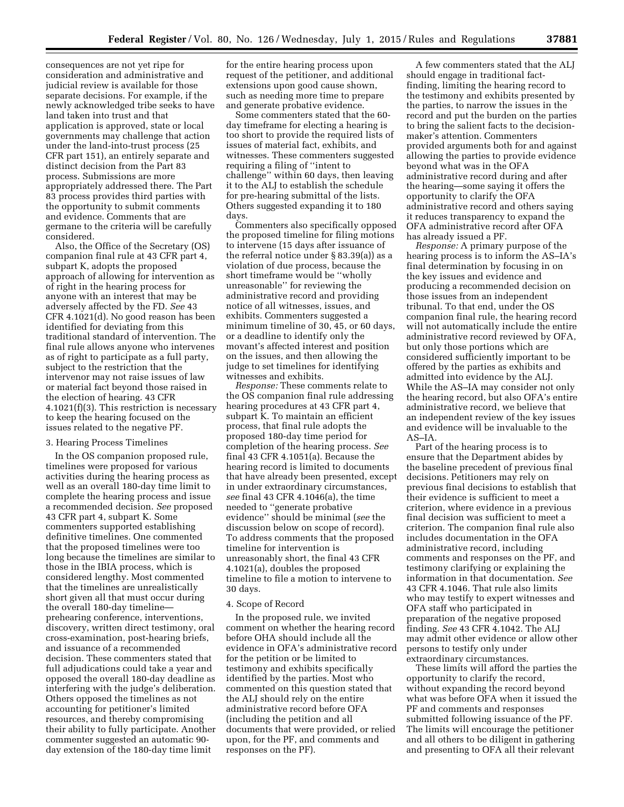consequences are not yet ripe for consideration and administrative and judicial review is available for those separate decisions. For example, if the newly acknowledged tribe seeks to have land taken into trust and that application is approved, state or local governments may challenge that action under the land-into-trust process (25 CFR part 151), an entirely separate and distinct decision from the Part 83 process. Submissions are more appropriately addressed there. The Part 83 process provides third parties with the opportunity to submit comments and evidence. Comments that are germane to the criteria will be carefully considered.

Also, the Office of the Secretary (OS) companion final rule at 43 CFR part 4, subpart K, adopts the proposed approach of allowing for intervention as of right in the hearing process for anyone with an interest that may be adversely affected by the FD. *See* 43 CFR 4.1021(d). No good reason has been identified for deviating from this traditional standard of intervention. The final rule allows anyone who intervenes as of right to participate as a full party, subject to the restriction that the intervenor may not raise issues of law or material fact beyond those raised in the election of hearing. 43 CFR 4.1021(f)(3). This restriction is necessary to keep the hearing focused on the issues related to the negative PF.

#### 3. Hearing Process Timelines

In the OS companion proposed rule, timelines were proposed for various activities during the hearing process as well as an overall 180-day time limit to complete the hearing process and issue a recommended decision. *See* proposed 43 CFR part 4, subpart K. Some commenters supported establishing definitive timelines. One commented that the proposed timelines were too long because the timelines are similar to those in the IBIA process, which is considered lengthy. Most commented that the timelines are unrealistically short given all that must occur during the overall 180-day timeline prehearing conference, interventions, discovery, written direct testimony, oral cross-examination, post-hearing briefs, and issuance of a recommended decision. These commenters stated that full adjudications could take a year and opposed the overall 180-day deadline as interfering with the judge's deliberation. Others opposed the timelines as not accounting for petitioner's limited resources, and thereby compromising their ability to fully participate. Another commenter suggested an automatic 90 day extension of the 180-day time limit

for the entire hearing process upon request of the petitioner, and additional extensions upon good cause shown, such as needing more time to prepare and generate probative evidence.

Some commenters stated that the 60 day timeframe for electing a hearing is too short to provide the required lists of issues of material fact, exhibits, and witnesses. These commenters suggested requiring a filing of ''intent to challenge'' within 60 days, then leaving it to the ALJ to establish the schedule for pre-hearing submittal of the lists. Others suggested expanding it to 180 days.

Commenters also specifically opposed the proposed timeline for filing motions to intervene (15 days after issuance of the referral notice under § 83.39(a)) as a violation of due process, because the short timeframe would be ''wholly unreasonable'' for reviewing the administrative record and providing notice of all witnesses, issues, and exhibits. Commenters suggested a minimum timeline of 30, 45, or 60 days, or a deadline to identify only the movant's affected interest and position on the issues, and then allowing the judge to set timelines for identifying witnesses and exhibits.

*Response:* These comments relate to the OS companion final rule addressing hearing procedures at 43 CFR part 4, subpart K. To maintain an efficient process, that final rule adopts the proposed 180-day time period for completion of the hearing process. *See*  final 43 CFR 4.1051(a). Because the hearing record is limited to documents that have already been presented, except in under extraordinary circumstances, *see* final 43 CFR 4.1046(a), the time needed to ''generate probative evidence'' should be minimal (*see* the discussion below on scope of record). To address comments that the proposed timeline for intervention is unreasonably short, the final 43 CFR 4.1021(a), doubles the proposed timeline to file a motion to intervene to 30 days.

#### 4. Scope of Record

In the proposed rule, we invited comment on whether the hearing record before OHA should include all the evidence in OFA's administrative record for the petition or be limited to testimony and exhibits specifically identified by the parties. Most who commented on this question stated that the ALJ should rely on the entire administrative record before OFA (including the petition and all documents that were provided, or relied upon, for the PF, and comments and responses on the PF).

A few commenters stated that the ALJ should engage in traditional factfinding, limiting the hearing record to the testimony and exhibits presented by the parties, to narrow the issues in the record and put the burden on the parties to bring the salient facts to the decisionmaker's attention. Commenters provided arguments both for and against allowing the parties to provide evidence beyond what was in the OFA administrative record during and after the hearing—some saying it offers the opportunity to clarify the OFA administrative record and others saying it reduces transparency to expand the OFA administrative record after OFA has already issued a PF.

*Response:* A primary purpose of the hearing process is to inform the AS–IA's final determination by focusing in on the key issues and evidence and producing a recommended decision on those issues from an independent tribunal. To that end, under the OS companion final rule, the hearing record will not automatically include the entire administrative record reviewed by OFA, but only those portions which are considered sufficiently important to be offered by the parties as exhibits and admitted into evidence by the ALJ. While the AS–IA may consider not only the hearing record, but also OFA's entire administrative record, we believe that an independent review of the key issues and evidence will be invaluable to the AS–IA.

Part of the hearing process is to ensure that the Department abides by the baseline precedent of previous final decisions. Petitioners may rely on previous final decisions to establish that their evidence is sufficient to meet a criterion, where evidence in a previous final decision was sufficient to meet a criterion. The companion final rule also includes documentation in the OFA administrative record, including comments and responses on the PF, and testimony clarifying or explaining the information in that documentation. *See*  43 CFR 4.1046. That rule also limits who may testify to expert witnesses and OFA staff who participated in preparation of the negative proposed finding. *See* 43 CFR 4.1042. The ALJ may admit other evidence or allow other persons to testify only under extraordinary circumstances.

These limits will afford the parties the opportunity to clarify the record, without expanding the record beyond what was before OFA when it issued the PF and comments and responses submitted following issuance of the PF. The limits will encourage the petitioner and all others to be diligent in gathering and presenting to OFA all their relevant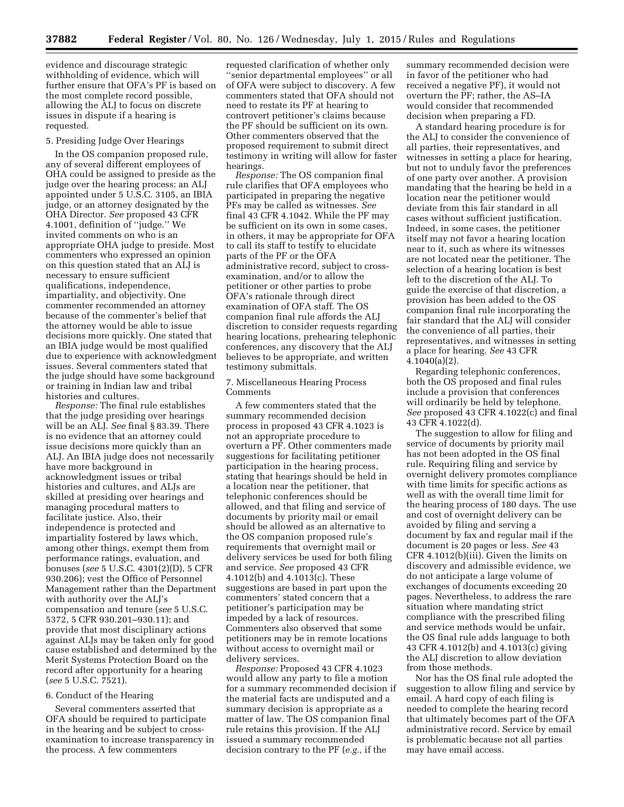evidence and discourage strategic withholding of evidence, which will further ensure that OFA's PF is based on the most complete record possible, allowing the ALJ to focus on discrete issues in dispute if a hearing is requested.

#### 5. Presiding Judge Over Hearings

In the OS companion proposed rule, any of several different employees of OHA could be assigned to preside as the judge over the hearing process: an ALJ appointed under 5 U.S.C. 3105, an IBIA judge, or an attorney designated by the OHA Director. *See* proposed 43 CFR 4.1001, definition of ''judge.'' We invited comments on who is an appropriate OHA judge to preside. Most commenters who expressed an opinion on this question stated that an ALJ is necessary to ensure sufficient qualifications, independence, impartiality, and objectivity. One commenter recommended an attorney because of the commenter's belief that the attorney would be able to issue decisions more quickly. One stated that an IBIA judge would be most qualified due to experience with acknowledgment issues. Several commenters stated that the judge should have some background or training in Indian law and tribal histories and cultures.

*Response:* The final rule establishes that the judge presiding over hearings will be an ALJ. *See* final § 83.39. There is no evidence that an attorney could issue decisions more quickly than an ALJ. An IBIA judge does not necessarily have more background in acknowledgment issues or tribal histories and cultures, and ALJs are skilled at presiding over hearings and managing procedural matters to facilitate justice. Also, their independence is protected and impartiality fostered by laws which, among other things, exempt them from performance ratings, evaluation, and bonuses (*see* 5 U.S.C. 4301(2)(D), 5 CFR 930.206); vest the Office of Personnel Management rather than the Department with authority over the ALJ's compensation and tenure (*see* 5 U.S.C. 5372, 5 CFR 930.201–930.11); and provide that most disciplinary actions against ALJs may be taken only for good cause established and determined by the Merit Systems Protection Board on the record after opportunity for a hearing (*see* 5 U.S.C. 7521).

# 6. Conduct of the Hearing

Several commenters asserted that OFA should be required to participate in the hearing and be subject to crossexamination to increase transparency in the process. A few commenters

requested clarification of whether only ''senior departmental employees'' or all of OFA were subject to discovery. A few commenters stated that OFA should not need to restate its PF at hearing to controvert petitioner's claims because the PF should be sufficient on its own. Other commenters observed that the proposed requirement to submit direct testimony in writing will allow for faster hearings.

*Response:* The OS companion final rule clarifies that OFA employees who participated in preparing the negative PFs may be called as witnesses. *See*  final 43 CFR 4.1042. While the PF may be sufficient on its own in some cases, in others, it may be appropriate for OFA to call its staff to testify to elucidate parts of the PF or the OFA administrative record, subject to crossexamination, and/or to allow the petitioner or other parties to probe OFA's rationale through direct examination of OFA staff. The OS companion final rule affords the ALJ discretion to consider requests regarding hearing locations, prehearing telephonic conferences, any discovery that the ALJ believes to be appropriate, and written testimony submittals.

# 7. Miscellaneous Hearing Process Comments

A few commenters stated that the summary recommended decision process in proposed 43 CFR 4.1023 is not an appropriate procedure to overturn a PF. Other commenters made suggestions for facilitating petitioner participation in the hearing process, stating that hearings should be held in a location near the petitioner, that telephonic conferences should be allowed, and that filing and service of documents by priority mail or email should be allowed as an alternative to the OS companion proposed rule's requirements that overnight mail or delivery services be used for both filing and service. *See* proposed 43 CFR 4.1012(b) and 4.1013(c). These suggestions are based in part upon the commenters' stated concern that a petitioner's participation may be impeded by a lack of resources. Commenters also observed that some petitioners may be in remote locations without access to overnight mail or delivery services.

*Response:* Proposed 43 CFR 4.1023 would allow any party to file a motion for a summary recommended decision if the material facts are undisputed and a summary decision is appropriate as a matter of law. The OS companion final rule retains this provision. If the ALJ issued a summary recommended decision contrary to the PF (*e.g.,* if the

summary recommended decision were in favor of the petitioner who had received a negative PF), it would not overturn the PF; rather, the AS–IA would consider that recommended decision when preparing a FD.

A standard hearing procedure is for the ALJ to consider the convenience of all parties, their representatives, and witnesses in setting a place for hearing, but not to unduly favor the preferences of one party over another. A provision mandating that the hearing be held in a location near the petitioner would deviate from this fair standard in all cases without sufficient justification. Indeed, in some cases, the petitioner itself may not favor a hearing location near to it, such as where its witnesses are not located near the petitioner. The selection of a hearing location is best left to the discretion of the ALJ. To guide the exercise of that discretion, a provision has been added to the OS companion final rule incorporating the fair standard that the ALJ will consider the convenience of all parties, their representatives, and witnesses in setting a place for hearing. *See* 43 CFR 4.1040(a)(2).

Regarding telephonic conferences, both the OS proposed and final rules include a provision that conferences will ordinarily be held by telephone. *See* proposed 43 CFR 4.1022(c) and final 43 CFR 4.1022(d).

The suggestion to allow for filing and service of documents by priority mail has not been adopted in the OS final rule. Requiring filing and service by overnight delivery promotes compliance with time limits for specific actions as well as with the overall time limit for the hearing process of 180 days. The use and cost of overnight delivery can be avoided by filing and serving a document by fax and regular mail if the document is 20 pages or less. *See* 43 CFR 4.1012(b)(iii). Given the limits on discovery and admissible evidence, we do not anticipate a large volume of exchanges of documents exceeding 20 pages. Nevertheless, to address the rare situation where mandating strict compliance with the prescribed filing and service methods would be unfair, the OS final rule adds language to both 43 CFR 4.1012(b) and 4.1013(c) giving the ALJ discretion to allow deviation from those methods.

Nor has the OS final rule adopted the suggestion to allow filing and service by email. A hard copy of each filing is needed to complete the hearing record that ultimately becomes part of the OFA administrative record. Service by email is problematic because not all parties may have email access.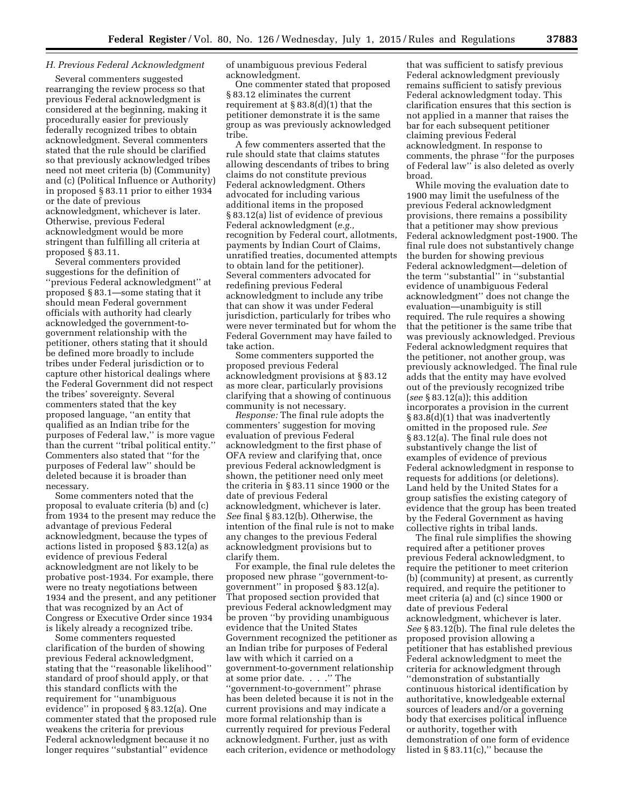# *H. Previous Federal Acknowledgment*

Several commenters suggested rearranging the review process so that previous Federal acknowledgment is considered at the beginning, making it procedurally easier for previously federally recognized tribes to obtain acknowledgment. Several commenters stated that the rule should be clarified so that previously acknowledged tribes need not meet criteria (b) (Community) and (c) (Political Influence or Authority) in proposed § 83.11 prior to either 1934 or the date of previous acknowledgment, whichever is later. Otherwise, previous Federal acknowledgment would be more stringent than fulfilling all criteria at proposed § 83.11.

Several commenters provided suggestions for the definition of ''previous Federal acknowledgment'' at proposed § 83.1—some stating that it should mean Federal government officials with authority had clearly acknowledged the government-togovernment relationship with the petitioner, others stating that it should be defined more broadly to include tribes under Federal jurisdiction or to capture other historical dealings where the Federal Government did not respect the tribes' sovereignty. Several commenters stated that the key proposed language, ''an entity that qualified as an Indian tribe for the purposes of Federal law,'' is more vague than the current ''tribal political entity.'' Commenters also stated that ''for the purposes of Federal law'' should be deleted because it is broader than necessary.

Some commenters noted that the proposal to evaluate criteria (b) and (c) from 1934 to the present may reduce the advantage of previous Federal acknowledgment, because the types of actions listed in proposed § 83.12(a) as evidence of previous Federal acknowledgment are not likely to be probative post-1934. For example, there were no treaty negotiations between 1934 and the present, and any petitioner that was recognized by an Act of Congress or Executive Order since 1934 is likely already a recognized tribe.

Some commenters requested clarification of the burden of showing previous Federal acknowledgment, stating that the ''reasonable likelihood'' standard of proof should apply, or that this standard conflicts with the requirement for ''unambiguous evidence'' in proposed § 83.12(a). One commenter stated that the proposed rule weakens the criteria for previous Federal acknowledgment because it no longer requires ''substantial'' evidence

of unambiguous previous Federal acknowledgment.

One commenter stated that proposed § 83.12 eliminates the current requirement at  $\S 83.8(d)(1)$  that the petitioner demonstrate it is the same group as was previously acknowledged tribe.

A few commenters asserted that the rule should state that claims statutes allowing descendants of tribes to bring claims do not constitute previous Federal acknowledgment. Others advocated for including various additional items in the proposed § 83.12(a) list of evidence of previous Federal acknowledgment (*e.g.,*  recognition by Federal court, allotments, payments by Indian Court of Claims, unratified treaties, documented attempts to obtain land for the petitioner). Several commenters advocated for redefining previous Federal acknowledgment to include any tribe that can show it was under Federal jurisdiction, particularly for tribes who were never terminated but for whom the Federal Government may have failed to take action.

Some commenters supported the proposed previous Federal acknowledgment provisions at § 83.12 as more clear, particularly provisions clarifying that a showing of continuous community is not necessary.

*Response:* The final rule adopts the commenters' suggestion for moving evaluation of previous Federal acknowledgment to the first phase of OFA review and clarifying that, once previous Federal acknowledgment is shown, the petitioner need only meet the criteria in § 83.11 since 1900 or the date of previous Federal acknowledgment, whichever is later. *See* final § 83.12(b). Otherwise, the intention of the final rule is not to make any changes to the previous Federal acknowledgment provisions but to clarify them.

For example, the final rule deletes the proposed new phrase ''government-togovernment'' in proposed § 83.12(a). That proposed section provided that previous Federal acknowledgment may be proven ''by providing unambiguous evidence that the United States Government recognized the petitioner as an Indian tribe for purposes of Federal law with which it carried on a government-to-government relationship at some prior date. . . .'' The ''government-to-government'' phrase has been deleted because it is not in the current provisions and may indicate a more formal relationship than is currently required for previous Federal acknowledgment. Further, just as with each criterion, evidence or methodology

that was sufficient to satisfy previous Federal acknowledgment previously remains sufficient to satisfy previous Federal acknowledgment today. This clarification ensures that this section is not applied in a manner that raises the bar for each subsequent petitioner claiming previous Federal acknowledgment. In response to comments, the phrase ''for the purposes of Federal law'' is also deleted as overly broad.

While moving the evaluation date to 1900 may limit the usefulness of the previous Federal acknowledgment provisions, there remains a possibility that a petitioner may show previous Federal acknowledgment post-1900. The final rule does not substantively change the burden for showing previous Federal acknowledgment—deletion of the term ''substantial'' in ''substantial evidence of unambiguous Federal acknowledgment'' does not change the evaluation—unambiguity is still required. The rule requires a showing that the petitioner is the same tribe that was previously acknowledged. Previous Federal acknowledgment requires that the petitioner, not another group, was previously acknowledged. The final rule adds that the entity may have evolved out of the previously recognized tribe (*see* § 83.12(a)); this addition incorporates a provision in the current § 83.8(d)(1) that was inadvertently omitted in the proposed rule. *See*  § 83.12(a). The final rule does not substantively change the list of examples of evidence of previous Federal acknowledgment in response to requests for additions (or deletions). Land held by the United States for a group satisfies the existing category of evidence that the group has been treated by the Federal Government as having collective rights in tribal lands.

The final rule simplifies the showing required after a petitioner proves previous Federal acknowledgment, to require the petitioner to meet criterion (b) (community) at present, as currently required, and require the petitioner to meet criteria (a) and (c) since 1900 or date of previous Federal acknowledgment, whichever is later. *See* § 83.12(b). The final rule deletes the proposed provision allowing a petitioner that has established previous Federal acknowledgment to meet the criteria for acknowledgment through ''demonstration of substantially continuous historical identification by authoritative, knowledgeable external sources of leaders and/or a governing body that exercises political influence or authority, together with demonstration of one form of evidence listed in  $\S 83.11(c)$ ," because the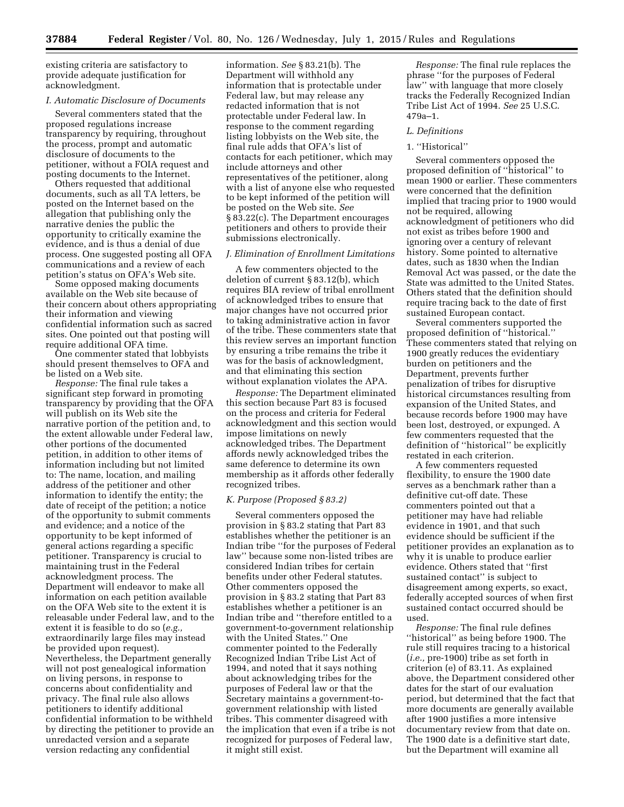existing criteria are satisfactory to provide adequate justification for acknowledgment.

# *I. Automatic Disclosure of Documents*

Several commenters stated that the proposed regulations increase transparency by requiring, throughout the process, prompt and automatic disclosure of documents to the petitioner, without a FOIA request and posting documents to the Internet.

Others requested that additional documents, such as all TA letters, be posted on the Internet based on the allegation that publishing only the narrative denies the public the opportunity to critically examine the evidence, and is thus a denial of due process. One suggested posting all OFA communications and a review of each petition's status on OFA's Web site.

Some opposed making documents available on the Web site because of their concern about others appropriating their information and viewing confidential information such as sacred sites. One pointed out that posting will require additional OFA time.

One commenter stated that lobbyists should present themselves to OFA and be listed on a Web site.

*Response:* The final rule takes a significant step forward in promoting transparency by providing that the OFA will publish on its Web site the narrative portion of the petition and, to the extent allowable under Federal law, other portions of the documented petition, in addition to other items of information including but not limited to: The name, location, and mailing address of the petitioner and other information to identify the entity; the date of receipt of the petition; a notice of the opportunity to submit comments and evidence; and a notice of the opportunity to be kept informed of general actions regarding a specific petitioner. Transparency is crucial to maintaining trust in the Federal acknowledgment process. The Department will endeavor to make all information on each petition available on the OFA Web site to the extent it is releasable under Federal law, and to the extent it is feasible to do so (*e.g.,*  extraordinarily large files may instead be provided upon request). Nevertheless, the Department generally will not post genealogical information on living persons, in response to concerns about confidentiality and privacy. The final rule also allows petitioners to identify additional confidential information to be withheld by directing the petitioner to provide an unredacted version and a separate version redacting any confidential

information. *See* § 83.21(b). The Department will withhold any information that is protectable under Federal law, but may release any redacted information that is not protectable under Federal law. In response to the comment regarding listing lobbyists on the Web site, the final rule adds that OFA's list of contacts for each petitioner, which may include attorneys and other representatives of the petitioner, along with a list of anyone else who requested to be kept informed of the petition will be posted on the Web site. *See*  § 83.22(c). The Department encourages petitioners and others to provide their submissions electronically.

# *J. Elimination of Enrollment Limitations*

A few commenters objected to the deletion of current § 83.12(b), which requires BIA review of tribal enrollment of acknowledged tribes to ensure that major changes have not occurred prior to taking administrative action in favor of the tribe. These commenters state that this review serves an important function by ensuring a tribe remains the tribe it was for the basis of acknowledgment, and that eliminating this section without explanation violates the APA.

*Response:* The Department eliminated this section because Part 83 is focused on the process and criteria for Federal acknowledgment and this section would impose limitations on newly acknowledged tribes. The Department affords newly acknowledged tribes the same deference to determine its own membership as it affords other federally recognized tribes.

# *K. Purpose (Proposed § 83.2)*

Several commenters opposed the provision in § 83.2 stating that Part 83 establishes whether the petitioner is an Indian tribe ''for the purposes of Federal law'' because some non-listed tribes are considered Indian tribes for certain benefits under other Federal statutes. Other commenters opposed the provision in § 83.2 stating that Part 83 establishes whether a petitioner is an Indian tribe and ''therefore entitled to a government-to-government relationship with the United States.'' One commenter pointed to the Federally Recognized Indian Tribe List Act of 1994, and noted that it says nothing about acknowledging tribes for the purposes of Federal law or that the Secretary maintains a government-togovernment relationship with listed tribes. This commenter disagreed with the implication that even if a tribe is not recognized for purposes of Federal law, it might still exist.

*Response:* The final rule replaces the phrase ''for the purposes of Federal law'' with language that more closely tracks the Federally Recognized Indian Tribe List Act of 1994. *See* 25 U.S.C. 479a–1.

#### *L. Definitions*

#### 1. ''Historical''

Several commenters opposed the proposed definition of ''historical'' to mean 1900 or earlier. These commenters were concerned that the definition implied that tracing prior to 1900 would not be required, allowing acknowledgment of petitioners who did not exist as tribes before 1900 and ignoring over a century of relevant history. Some pointed to alternative dates, such as 1830 when the Indian Removal Act was passed, or the date the State was admitted to the United States. Others stated that the definition should require tracing back to the date of first sustained European contact.

Several commenters supported the proposed definition of ''historical.'' These commenters stated that relying on 1900 greatly reduces the evidentiary burden on petitioners and the Department, prevents further penalization of tribes for disruptive historical circumstances resulting from expansion of the United States, and because records before 1900 may have been lost, destroyed, or expunged. A few commenters requested that the definition of ''historical'' be explicitly restated in each criterion.

A few commenters requested flexibility, to ensure the 1900 date serves as a benchmark rather than a definitive cut-off date. These commenters pointed out that a petitioner may have had reliable evidence in 1901, and that such evidence should be sufficient if the petitioner provides an explanation as to why it is unable to produce earlier evidence. Others stated that ''first sustained contact'' is subject to disagreement among experts, so exact, federally accepted sources of when first sustained contact occurred should be used.

*Response:* The final rule defines ''historical'' as being before 1900. The rule still requires tracing to a historical (*i.e.,* pre-1900) tribe as set forth in criterion (e) of 83.11. As explained above, the Department considered other dates for the start of our evaluation period, but determined that the fact that more documents are generally available after 1900 justifies a more intensive documentary review from that date on. The 1900 date is a definitive start date, but the Department will examine all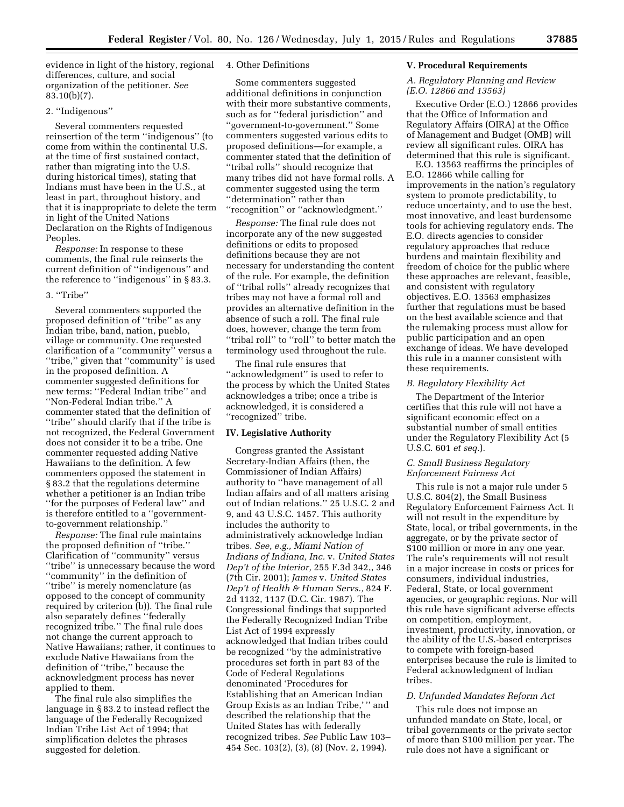evidence in light of the history, regional differences, culture, and social organization of the petitioner. *See*  83.10(b)(7).

# 2. ''Indigenous''

Several commenters requested reinsertion of the term ''indigenous'' (to come from within the continental U.S. at the time of first sustained contact, rather than migrating into the U.S. during historical times), stating that Indians must have been in the U.S., at least in part, throughout history, and that it is inappropriate to delete the term in light of the United Nations Declaration on the Rights of Indigenous Peoples.

*Response:* In response to these comments, the final rule reinserts the current definition of ''indigenous'' and the reference to ''indigenous'' in § 83.3.

# 3. ''Tribe''

Several commenters supported the proposed definition of ''tribe'' as any Indian tribe, band, nation, pueblo, village or community. One requested clarification of a ''community'' versus a ''tribe,'' given that ''community'' is used in the proposed definition. A commenter suggested definitions for new terms: ''Federal Indian tribe'' and ''Non-Federal Indian tribe.'' A commenter stated that the definition of ''tribe'' should clarify that if the tribe is not recognized, the Federal Government does not consider it to be a tribe. One commenter requested adding Native Hawaiians to the definition. A few commenters opposed the statement in § 83.2 that the regulations determine whether a petitioner is an Indian tribe ''for the purposes of Federal law'' and is therefore entitled to a ''governmentto-government relationship.''

*Response:* The final rule maintains the proposed definition of ''tribe.'' Clarification of ''community'' versus ''tribe'' is unnecessary because the word ''community'' in the definition of ''tribe'' is merely nomenclature (as opposed to the concept of community required by criterion (b)). The final rule also separately defines ''federally recognized tribe.'' The final rule does not change the current approach to Native Hawaiians; rather, it continues to exclude Native Hawaiians from the definition of ''tribe,'' because the acknowledgment process has never applied to them.

The final rule also simplifies the language in § 83.2 to instead reflect the language of the Federally Recognized Indian Tribe List Act of 1994; that simplification deletes the phrases suggested for deletion.

# 4. Other Definitions

Some commenters suggested additional definitions in conjunction with their more substantive comments, such as for ''federal jurisdiction'' and ''government-to-government.'' Some commenters suggested various edits to proposed definitions—for example, a commenter stated that the definition of ''tribal rolls'' should recognize that many tribes did not have formal rolls. A commenter suggested using the term ''determination'' rather than ''recognition'' or ''acknowledgment.''

*Response:* The final rule does not incorporate any of the new suggested definitions or edits to proposed definitions because they are not necessary for understanding the content of the rule. For example, the definition of ''tribal rolls'' already recognizes that tribes may not have a formal roll and provides an alternative definition in the absence of such a roll. The final rule does, however, change the term from "tribal roll" to "roll" to better match the terminology used throughout the rule.

The final rule ensures that ''acknowledgment'' is used to refer to the process by which the United States acknowledges a tribe; once a tribe is acknowledged, it is considered a "recognized" tribe.

# **IV. Legislative Authority**

Congress granted the Assistant Secretary-Indian Affairs (then, the Commissioner of Indian Affairs) authority to ''have management of all Indian affairs and of all matters arising out of Indian relations.'' 25 U.S.C. 2 and 9, and 43 U.S.C. 1457. This authority includes the authority to administratively acknowledge Indian tribes. *See, e.g., Miami Nation of Indians of Indiana, Inc.* v. *United States Dep't of the Interior,* 255 F.3d 342,, 346 (7th Cir. 2001); *James* v. *United States Dep't of Health & Human Servs.,* 824 F. 2d 1132, 1137 (D.C. Cir. 1987). The Congressional findings that supported the Federally Recognized Indian Tribe List Act of 1994 expressly acknowledged that Indian tribes could be recognized ''by the administrative procedures set forth in part 83 of the Code of Federal Regulations denominated 'Procedures for Establishing that an American Indian Group Exists as an Indian Tribe,' '' and described the relationship that the United States has with federally recognized tribes. *See* Public Law 103– 454 Sec. 103(2), (3), (8) (Nov. 2, 1994).

# **V. Procedural Requirements**

# *A. Regulatory Planning and Review (E.O. 12866 and 13563)*

Executive Order (E.O.) 12866 provides that the Office of Information and Regulatory Affairs (OIRA) at the Office of Management and Budget (OMB) will review all significant rules. OIRA has determined that this rule is significant.

E.O. 13563 reaffirms the principles of E.O. 12866 while calling for improvements in the nation's regulatory system to promote predictability, to reduce uncertainty, and to use the best, most innovative, and least burdensome tools for achieving regulatory ends. The E.O. directs agencies to consider regulatory approaches that reduce burdens and maintain flexibility and freedom of choice for the public where these approaches are relevant, feasible, and consistent with regulatory objectives. E.O. 13563 emphasizes further that regulations must be based on the best available science and that the rulemaking process must allow for public participation and an open exchange of ideas. We have developed this rule in a manner consistent with these requirements.

### *B. Regulatory Flexibility Act*

The Department of the Interior certifies that this rule will not have a significant economic effect on a substantial number of small entities under the Regulatory Flexibility Act (5 U.S.C. 601 *et seq.*).

# *C. Small Business Regulatory Enforcement Fairness Act*

This rule is not a major rule under 5 U.S.C. 804(2), the Small Business Regulatory Enforcement Fairness Act. It will not result in the expenditure by State, local, or tribal governments, in the aggregate, or by the private sector of \$100 million or more in any one year. The rule's requirements will not result in a major increase in costs or prices for consumers, individual industries, Federal, State, or local government agencies, or geographic regions. Nor will this rule have significant adverse effects on competition, employment, investment, productivity, innovation, or the ability of the U.S.-based enterprises to compete with foreign-based enterprises because the rule is limited to Federal acknowledgment of Indian tribes.

# *D. Unfunded Mandates Reform Act*

This rule does not impose an unfunded mandate on State, local, or tribal governments or the private sector of more than \$100 million per year. The rule does not have a significant or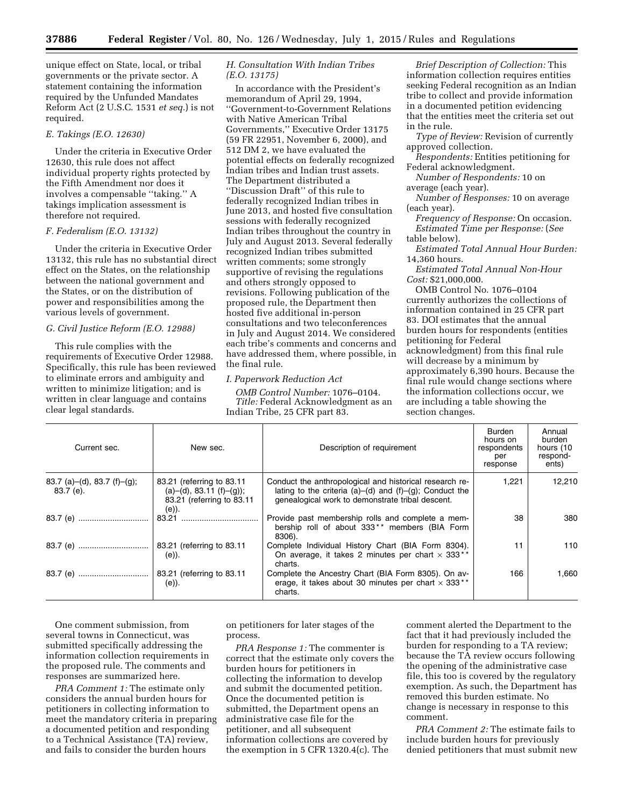unique effect on State, local, or tribal governments or the private sector. A statement containing the information required by the Unfunded Mandates Reform Act (2 U.S.C. 1531 *et seq.*) is not required.

# *E. Takings (E.O. 12630)*

Under the criteria in Executive Order 12630, this rule does not affect individual property rights protected by the Fifth Amendment nor does it involves a compensable ''taking.'' A takings implication assessment is therefore not required.

# *F. Federalism (E.O. 13132)*

Under the criteria in Executive Order 13132, this rule has no substantial direct effect on the States, on the relationship between the national government and the States, or on the distribution of power and responsibilities among the various levels of government.

# *G. Civil Justice Reform (E.O. 12988)*

This rule complies with the requirements of Executive Order 12988. Specifically, this rule has been reviewed to eliminate errors and ambiguity and written to minimize litigation; and is written in clear language and contains clear legal standards.

# *H. Consultation With Indian Tribes (E.O. 13175)*

In accordance with the President's memorandum of April 29, 1994, ''Government-to-Government Relations with Native American Tribal Governments,'' Executive Order 13175 (59 FR 22951, November 6, 2000), and 512 DM 2, we have evaluated the potential effects on federally recognized Indian tribes and Indian trust assets. The Department distributed a ''Discussion Draft'' of this rule to federally recognized Indian tribes in June 2013, and hosted five consultation sessions with federally recognized Indian tribes throughout the country in July and August 2013. Several federally recognized Indian tribes submitted written comments; some strongly supportive of revising the regulations and others strongly opposed to revisions. Following publication of the proposed rule, the Department then hosted five additional in-person consultations and two teleconferences in July and August 2014. We considered each tribe's comments and concerns and have addressed them, where possible, in the final rule.

# *I. Paperwork Reduction Act*

*OMB Control Number:* 1076–0104. *Title:* Federal Acknowledgment as an Indian Tribe, 25 CFR part 83.

*Brief Description of Collection:* This information collection requires entities seeking Federal recognition as an Indian tribe to collect and provide information in a documented petition evidencing that the entities meet the criteria set out in the rule.

*Type of Review:* Revision of currently approved collection.

*Respondents:* Entities petitioning for Federal acknowledgment.

*Number of Respondents:* 10 on average (each year).

*Number of Responses:* 10 on average (each year).

*Frequency of Response:* On occasion. *Estimated Time per Response:* (*See*  table below).

*Estimated Total Annual Hour Burden:*  14,360 hours.

*Estimated Total Annual Non-Hour Cost:* \$21,000,000.

OMB Control No. 1076–0104 currently authorizes the collections of information contained in 25 CFR part 83. DOI estimates that the annual burden hours for respondents (entities petitioning for Federal acknowledgment) from this final rule will decrease by a minimum by approximately 6,390 hours. Because the final rule would change sections where the information collections occur, we are including a table showing the section changes.

| Current sec.                             | New sec.                                                                                           | Description of requirement                                                                                                                                                          | <b>Burden</b><br>hours on<br>respondents<br>per<br>response | Annual<br>burden<br>hours (10<br>respond-<br>ents) |
|------------------------------------------|----------------------------------------------------------------------------------------------------|-------------------------------------------------------------------------------------------------------------------------------------------------------------------------------------|-------------------------------------------------------------|----------------------------------------------------|
| 83.7 (a)–(d), 83.7 (f)–(g);<br>83.7 (e). | 83.21 (referring to 83.11)<br>$(a)$ –(d), 83.11 (f)–(g));<br>83.21 (referring to 83.11<br>$(e)$ ). | Conduct the anthropological and historical research re-<br>lating to the criteria $(a)$ - $(d)$ and $(f)$ - $(g)$ ; Conduct the<br>genealogical work to demonstrate tribal descent. | 1.221                                                       | 12,210                                             |
|                                          |                                                                                                    | Provide past membership rolls and complete a mem-<br>bership roll of about 333 <sup>**</sup> members (BIA Form<br>8306).                                                            | 38                                                          | 380                                                |
|                                          | 83.21 (referring to 83.11)<br>$(e)$ ).                                                             | Complete Individual History Chart (BIA Form 8304).<br>On average, it takes 2 minutes per chart $\times$ 333**<br>charts.                                                            | 11                                                          | 110                                                |
|                                          | 83.21 (referring to 83.11<br>$(e)$ ).                                                              | Complete the Ancestry Chart (BIA Form 8305). On av-<br>erage, it takes about 30 minutes per chart $\times$ 333**<br>charts.                                                         | 166                                                         | 1,660                                              |

One comment submission, from several towns in Connecticut, was submitted specifically addressing the information collection requirements in the proposed rule. The comments and responses are summarized here.

*PRA Comment 1:* The estimate only considers the annual burden hours for petitioners in collecting information to meet the mandatory criteria in preparing a documented petition and responding to a Technical Assistance (TA) review, and fails to consider the burden hours

on petitioners for later stages of the process.

*PRA Response 1:* The commenter is correct that the estimate only covers the burden hours for petitioners in collecting the information to develop and submit the documented petition. Once the documented petition is submitted, the Department opens an administrative case file for the petitioner, and all subsequent information collections are covered by the exemption in 5 CFR 1320.4(c). The

comment alerted the Department to the fact that it had previously included the burden for responding to a TA review; because the TA review occurs following the opening of the administrative case file, this too is covered by the regulatory exemption. As such, the Department has removed this burden estimate. No change is necessary in response to this comment.

*PRA Comment 2:* The estimate fails to include burden hours for previously denied petitioners that must submit new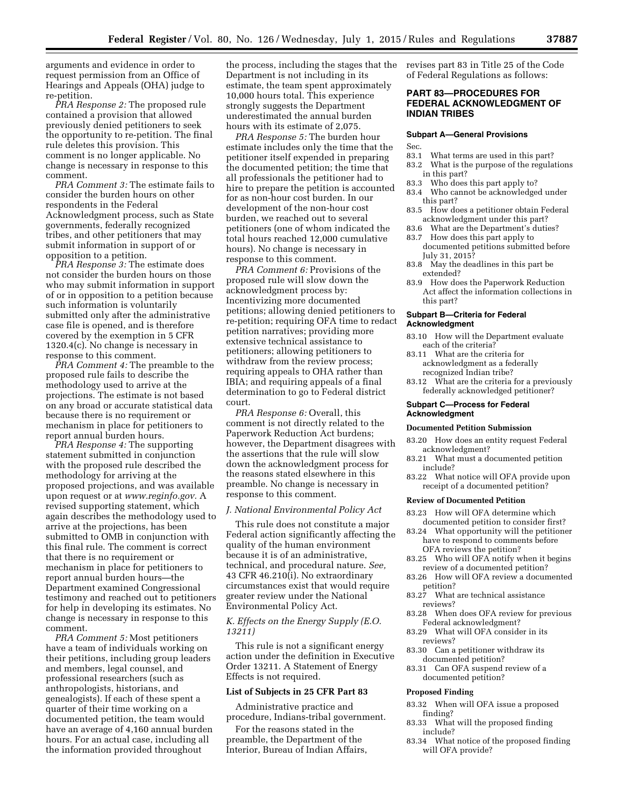arguments and evidence in order to request permission from an Office of Hearings and Appeals (OHA) judge to re-petition.

*PRA Response 2:* The proposed rule contained a provision that allowed previously denied petitioners to seek the opportunity to re-petition. The final rule deletes this provision. This comment is no longer applicable. No change is necessary in response to this comment.

*PRA Comment 3:* The estimate fails to consider the burden hours on other respondents in the Federal Acknowledgment process, such as State governments, federally recognized tribes, and other petitioners that may submit information in support of or opposition to a petition.

*PRA Response 3:* The estimate does not consider the burden hours on those who may submit information in support of or in opposition to a petition because such information is voluntarily submitted only after the administrative case file is opened, and is therefore covered by the exemption in 5 CFR 1320.4(c). No change is necessary in response to this comment.

*PRA Comment 4:* The preamble to the proposed rule fails to describe the methodology used to arrive at the projections. The estimate is not based on any broad or accurate statistical data because there is no requirement or mechanism in place for petitioners to report annual burden hours.

*PRA Response 4:* The supporting statement submitted in conjunction with the proposed rule described the methodology for arriving at the proposed projections, and was available upon request or at *[www.reginfo.gov.](http://www.reginfo.gov)* A revised supporting statement, which again describes the methodology used to arrive at the projections, has been submitted to OMB in conjunction with this final rule. The comment is correct that there is no requirement or mechanism in place for petitioners to report annual burden hours—the Department examined Congressional testimony and reached out to petitioners for help in developing its estimates. No change is necessary in response to this comment.

*PRA Comment 5:* Most petitioners have a team of individuals working on their petitions, including group leaders and members, legal counsel, and professional researchers (such as anthropologists, historians, and genealogists). If each of these spent a quarter of their time working on a documented petition, the team would have an average of 4,160 annual burden hours. For an actual case, including all the information provided throughout

the process, including the stages that the Department is not including in its estimate, the team spent approximately 10,000 hours total. This experience strongly suggests the Department underestimated the annual burden hours with its estimate of 2,075.

*PRA Response 5:* The burden hour estimate includes only the time that the petitioner itself expended in preparing the documented petition; the time that all professionals the petitioner had to hire to prepare the petition is accounted for as non-hour cost burden. In our development of the non-hour cost burden, we reached out to several petitioners (one of whom indicated the total hours reached 12,000 cumulative hours). No change is necessary in response to this comment.

*PRA Comment 6:* Provisions of the proposed rule will slow down the acknowledgment process by: Incentivizing more documented petitions; allowing denied petitioners to re-petition; requiring OFA time to redact petition narratives; providing more extensive technical assistance to petitioners; allowing petitioners to withdraw from the review process; requiring appeals to OHA rather than IBIA; and requiring appeals of a final determination to go to Federal district court.

*PRA Response 6:* Overall, this comment is not directly related to the Paperwork Reduction Act burdens; however, the Department disagrees with the assertions that the rule will slow down the acknowledgment process for the reasons stated elsewhere in this preamble. No change is necessary in response to this comment.

# *J. National Environmental Policy Act*

This rule does not constitute a major Federal action significantly affecting the quality of the human environment because it is of an administrative, technical, and procedural nature. *See,*  43 CFR 46.210(i). No extraordinary circumstances exist that would require greater review under the National Environmental Policy Act.

# *K. Effects on the Energy Supply (E.O. 13211)*

This rule is not a significant energy action under the definition in Executive Order 13211. A Statement of Energy Effects is not required.

# **List of Subjects in 25 CFR Part 83**

Administrative practice and procedure, Indians-tribal government.

For the reasons stated in the preamble, the Department of the Interior, Bureau of Indian Affairs, revises part 83 in Title 25 of the Code of Federal Regulations as follows:

# **PART 83—PROCEDURES FOR FEDERAL ACKNOWLEDGMENT OF INDIAN TRIBES**

# **Subpart A—General Provisions**

# Sec.<br>83.1

- What terms are used in this part?
- 83.2 What is the purpose of the regulations in this part?
- 83.3 Who does this part apply to?
- 83.4 Who cannot be acknowledged under this part?
- 83.5 How does a petitioner obtain Federal acknowledgment under this part?
- 83.6 What are the Department's duties? 83.7 How does this part apply to
- documented petitions submitted before July 31, 2015?
- 83.8 May the deadlines in this part be extended?
- 83.9 How does the Paperwork Reduction Act affect the information collections in this part?

# **Subpart B—Criteria for Federal Acknowledgment**

- 83.10 How will the Department evaluate each of the criteria?
- 83.11 What are the criteria for acknowledgment as a federally recognized Indian tribe?
- 83.12 What are the criteria for a previously federally acknowledged petitioner?

# **Subpart C—Process for Federal Acknowledgment**

#### **Documented Petition Submission**

- 83.20 How does an entity request Federal acknowledgment?
- 83.21 What must a documented petition include?
- 83.22 What notice will OFA provide upon receipt of a documented petition?

#### **Review of Documented Petition**

- 83.23 How will OFA determine which
- documented petition to consider first? 83.24 What opportunity will the petitioner
- have to respond to comments before OFA reviews the petition?
- 83.25 Who will OFA notify when it begins review of a documented petition?
- 83.26 How will OFA review a documented petition?
- 83.27 What are technical assistance reviews?
- 83.28 When does OFA review for previous Federal acknowledgment?
- 83.29 What will OFA consider in its reviews?
- 83.30 Can a petitioner withdraw its documented petition?
- 83.31 Can OFA suspend review of a documented petition?

# **Proposed Finding**

- 83.32 When will OFA issue a proposed finding?
- 83.33 What will the proposed finding include?
- 83.34 What notice of the proposed finding will OFA provide?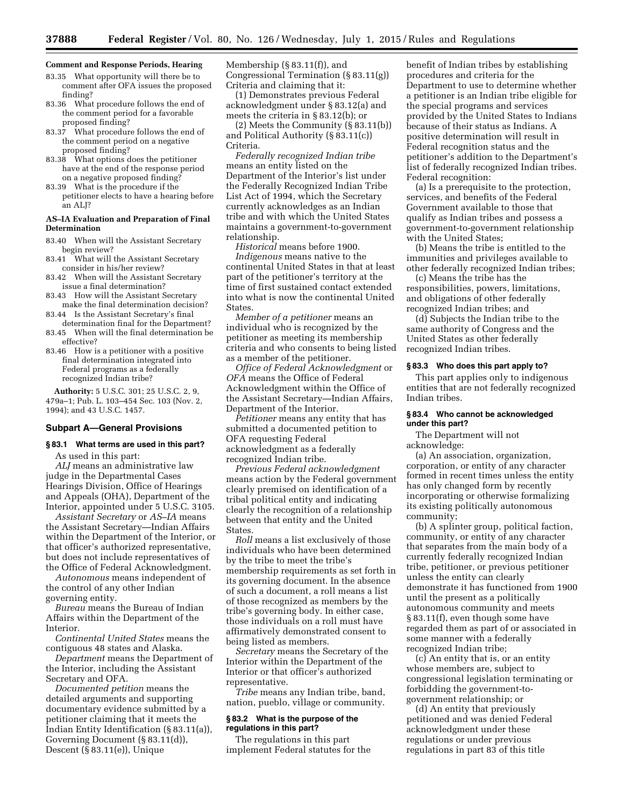# **Comment and Response Periods, Hearing**

- 83.35 What opportunity will there be to comment after OFA issues the proposed finding?
- 83.36 What procedure follows the end of the comment period for a favorable proposed finding?
- 83.37 What procedure follows the end of the comment period on a negative proposed finding?
- 83.38 What options does the petitioner have at the end of the response period on a negative proposed finding?
- 83.39 What is the procedure if the petitioner elects to have a hearing before an ALJ?

#### **AS–IA Evaluation and Preparation of Final Determination**

- 83.40 When will the Assistant Secretary begin review?
- 83.41 What will the Assistant Secretary consider in his/her review?
- 83.42 When will the Assistant Secretary issue a final determination?
- 83.43 How will the Assistant Secretary make the final determination decision?
- 83.44 Is the Assistant Secretary's final determination final for the Department?
- 83.45 When will the final determination be effective?
- 83.46 How is a petitioner with a positive final determination integrated into Federal programs as a federally recognized Indian tribe?

**Authority:** 5 U.S.C. 301; 25 U.S.C. 2, 9, 479a–1; Pub. L. 103–454 Sec. 103 (Nov. 2, 1994); and 43 U.S.C. 1457.

#### **Subpart A—General Provisions**

# **§ 83.1 What terms are used in this part?**

As used in this part:

*ALJ* means an administrative law judge in the Departmental Cases Hearings Division, Office of Hearings and Appeals (OHA), Department of the Interior, appointed under 5 U.S.C. 3105.

*Assistant Secretary* or *AS–IA* means the Assistant Secretary—Indian Affairs within the Department of the Interior, or that officer's authorized representative, but does not include representatives of the Office of Federal Acknowledgment.

*Autonomous* means independent of the control of any other Indian governing entity.

*Bureau* means the Bureau of Indian Affairs within the Department of the Interior.

*Continental United States* means the contiguous 48 states and Alaska.

*Department* means the Department of the Interior, including the Assistant Secretary and OFA.

*Documented petition* means the detailed arguments and supporting documentary evidence submitted by a petitioner claiming that it meets the Indian Entity Identification (§ 83.11(a)), Governing Document (§ 83.11(d)), Descent (§ 83.11(e)), Unique

Membership (§ 83.11(f)), and Congressional Termination (§ 83.11(g)) Criteria and claiming that it:

(1) Demonstrates previous Federal acknowledgment under § 83.12(a) and meets the criteria in § 83.12(b); or

(2) Meets the Community (§ 83.11(b)) and Political Authority (§ 83.11(c)) Criteria.

*Federally recognized Indian tribe*  means an entity listed on the Department of the Interior's list under the Federally Recognized Indian Tribe List Act of 1994, which the Secretary currently acknowledges as an Indian tribe and with which the United States maintains a government-to-government relationship.

*Historical* means before 1900.

*Indigenous* means native to the continental United States in that at least part of the petitioner's territory at the time of first sustained contact extended into what is now the continental United States.

*Member of a petitioner* means an individual who is recognized by the petitioner as meeting its membership criteria and who consents to being listed as a member of the petitioner.

*Office of Federal Acknowledgment* or *OFA* means the Office of Federal Acknowledgment within the Office of the Assistant Secretary—Indian Affairs, Department of the Interior.

*Petitioner* means any entity that has submitted a documented petition to OFA requesting Federal acknowledgment as a federally recognized Indian tribe.

*Previous Federal acknowledgment*  means action by the Federal government clearly premised on identification of a tribal political entity and indicating clearly the recognition of a relationship between that entity and the United States.

*Roll* means a list exclusively of those individuals who have been determined by the tribe to meet the tribe's membership requirements as set forth in its governing document. In the absence of such a document, a roll means a list of those recognized as members by the tribe's governing body. In either case, those individuals on a roll must have affirmatively demonstrated consent to being listed as members.

*Secretary* means the Secretary of the Interior within the Department of the Interior or that officer's authorized representative.

*Tribe* means any Indian tribe, band, nation, pueblo, village or community.

# **§ 83.2 What is the purpose of the regulations in this part?**

The regulations in this part implement Federal statutes for the benefit of Indian tribes by establishing procedures and criteria for the Department to use to determine whether a petitioner is an Indian tribe eligible for the special programs and services provided by the United States to Indians because of their status as Indians. A positive determination will result in Federal recognition status and the petitioner's addition to the Department's list of federally recognized Indian tribes. Federal recognition:

(a) Is a prerequisite to the protection, services, and benefits of the Federal Government available to those that qualify as Indian tribes and possess a government-to-government relationship with the United States;

(b) Means the tribe is entitled to the immunities and privileges available to other federally recognized Indian tribes;

(c) Means the tribe has the responsibilities, powers, limitations, and obligations of other federally recognized Indian tribes; and

(d) Subjects the Indian tribe to the same authority of Congress and the United States as other federally recognized Indian tribes.

#### **§ 83.3 Who does this part apply to?**

This part applies only to indigenous entities that are not federally recognized Indian tribes.

# **§ 83.4 Who cannot be acknowledged under this part?**

The Department will not acknowledge:

(a) An association, organization, corporation, or entity of any character formed in recent times unless the entity has only changed form by recently incorporating or otherwise formalizing its existing politically autonomous community;

(b) A splinter group, political faction, community, or entity of any character that separates from the main body of a currently federally recognized Indian tribe, petitioner, or previous petitioner unless the entity can clearly demonstrate it has functioned from 1900 until the present as a politically autonomous community and meets § 83.11(f), even though some have regarded them as part of or associated in some manner with a federally recognized Indian tribe;

(c) An entity that is, or an entity whose members are, subject to congressional legislation terminating or forbidding the government-togovernment relationship; or

(d) An entity that previously petitioned and was denied Federal acknowledgment under these regulations or under previous regulations in part 83 of this title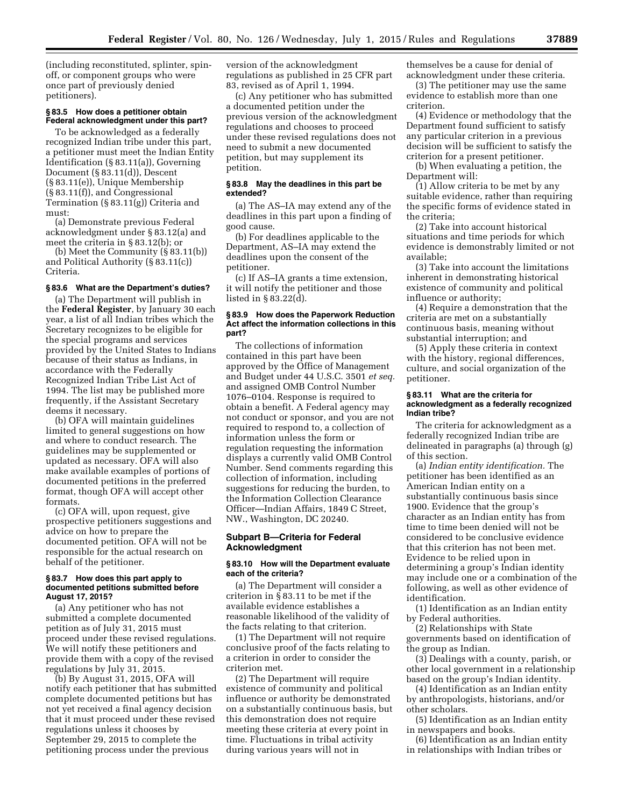(including reconstituted, splinter, spinoff, or component groups who were once part of previously denied petitioners).

# **§ 83.5 How does a petitioner obtain Federal acknowledgment under this part?**

To be acknowledged as a federally recognized Indian tribe under this part, a petitioner must meet the Indian Entity Identification (§ 83.11(a)), Governing Document (§ 83.11(d)), Descent (§ 83.11(e)), Unique Membership (§ 83.11(f)), and Congressional Termination (§ 83.11(g)) Criteria and must:

(a) Demonstrate previous Federal acknowledgment under § 83.12(a) and meet the criteria in § 83.12(b); or

(b) Meet the Community (§ 83.11(b)) and Political Authority (§ 83.11(c)) Criteria.

# **§ 83.6 What are the Department's duties?**

(a) The Department will publish in the **Federal Register**, by January 30 each year, a list of all Indian tribes which the Secretary recognizes to be eligible for the special programs and services provided by the United States to Indians because of their status as Indians, in accordance with the Federally Recognized Indian Tribe List Act of 1994. The list may be published more frequently, if the Assistant Secretary deems it necessary.

(b) OFA will maintain guidelines limited to general suggestions on how and where to conduct research. The guidelines may be supplemented or updated as necessary. OFA will also make available examples of portions of documented petitions in the preferred format, though OFA will accept other formats.

(c) OFA will, upon request, give prospective petitioners suggestions and advice on how to prepare the documented petition. OFA will not be responsible for the actual research on behalf of the petitioner.

## **§ 83.7 How does this part apply to documented petitions submitted before August 17, 2015?**

(a) Any petitioner who has not submitted a complete documented petition as of July 31, 2015 must proceed under these revised regulations. We will notify these petitioners and provide them with a copy of the revised regulations by July 31, 2015.

(b) By August 31, 2015, OFA will notify each petitioner that has submitted complete documented petitions but has not yet received a final agency decision that it must proceed under these revised regulations unless it chooses by September 29, 2015 to complete the petitioning process under the previous

version of the acknowledgment regulations as published in 25 CFR part 83, revised as of April 1, 1994.

(c) Any petitioner who has submitted a documented petition under the previous version of the acknowledgment regulations and chooses to proceed under these revised regulations does not need to submit a new documented petition, but may supplement its petition.

# **§ 83.8 May the deadlines in this part be extended?**

(a) The AS–IA may extend any of the deadlines in this part upon a finding of good cause.

(b) For deadlines applicable to the Department, AS–IA may extend the deadlines upon the consent of the petitioner.

(c) If AS–IA grants a time extension, it will notify the petitioner and those listed in § 83.22(d).

# **§ 83.9 How does the Paperwork Reduction Act affect the information collections in this part?**

The collections of information contained in this part have been approved by the Office of Management and Budget under 44 U.S.C. 3501 *et seq.*  and assigned OMB Control Number 1076–0104. Response is required to obtain a benefit. A Federal agency may not conduct or sponsor, and you are not required to respond to, a collection of information unless the form or regulation requesting the information displays a currently valid OMB Control Number. Send comments regarding this collection of information, including suggestions for reducing the burden, to the Information Collection Clearance Officer—Indian Affairs, 1849 C Street, NW., Washington, DC 20240.

# **Subpart B—Criteria for Federal Acknowledgment**

# **§ 83.10 How will the Department evaluate each of the criteria?**

(a) The Department will consider a criterion in § 83.11 to be met if the available evidence establishes a reasonable likelihood of the validity of the facts relating to that criterion.

(1) The Department will not require conclusive proof of the facts relating to a criterion in order to consider the criterion met.

(2) The Department will require existence of community and political influence or authority be demonstrated on a substantially continuous basis, but this demonstration does not require meeting these criteria at every point in time. Fluctuations in tribal activity during various years will not in

themselves be a cause for denial of acknowledgment under these criteria.

(3) The petitioner may use the same evidence to establish more than one criterion.

(4) Evidence or methodology that the Department found sufficient to satisfy any particular criterion in a previous decision will be sufficient to satisfy the criterion for a present petitioner.

(b) When evaluating a petition, the Department will:

(1) Allow criteria to be met by any suitable evidence, rather than requiring the specific forms of evidence stated in the criteria;

(2) Take into account historical situations and time periods for which evidence is demonstrably limited or not available;

(3) Take into account the limitations inherent in demonstrating historical existence of community and political influence or authority;

(4) Require a demonstration that the criteria are met on a substantially continuous basis, meaning without substantial interruption; and

(5) Apply these criteria in context with the history, regional differences, culture, and social organization of the petitioner.

#### **§ 83.11 What are the criteria for acknowledgment as a federally recognized Indian tribe?**

The criteria for acknowledgment as a federally recognized Indian tribe are delineated in paragraphs (a) through (g) of this section.

(a) *Indian entity identification.* The petitioner has been identified as an American Indian entity on a substantially continuous basis since 1900. Evidence that the group's character as an Indian entity has from time to time been denied will not be considered to be conclusive evidence that this criterion has not been met. Evidence to be relied upon in determining a group's Indian identity may include one or a combination of the following, as well as other evidence of identification.

(1) Identification as an Indian entity by Federal authorities.

(2) Relationships with State governments based on identification of the group as Indian.

(3) Dealings with a county, parish, or other local government in a relationship based on the group's Indian identity.

(4) Identification as an Indian entity by anthropologists, historians, and/or other scholars.

(5) Identification as an Indian entity in newspapers and books.

(6) Identification as an Indian entity in relationships with Indian tribes or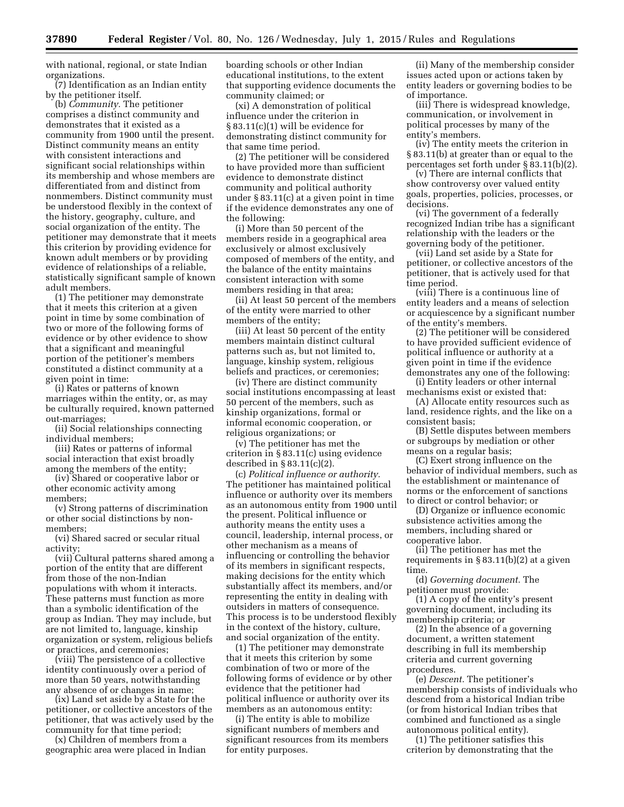with national, regional, or state Indian organizations.

(7) Identification as an Indian entity by the petitioner itself.

(b) *Community.* The petitioner comprises a distinct community and demonstrates that it existed as a community from 1900 until the present. Distinct community means an entity with consistent interactions and significant social relationships within its membership and whose members are differentiated from and distinct from nonmembers. Distinct community must be understood flexibly in the context of the history, geography, culture, and social organization of the entity. The petitioner may demonstrate that it meets this criterion by providing evidence for known adult members or by providing evidence of relationships of a reliable, statistically significant sample of known adult members.

(1) The petitioner may demonstrate that it meets this criterion at a given point in time by some combination of two or more of the following forms of evidence or by other evidence to show that a significant and meaningful portion of the petitioner's members constituted a distinct community at a given point in time:

(i) Rates or patterns of known marriages within the entity, or, as may be culturally required, known patterned out-marriages;

(ii) Social relationships connecting individual members;

(iii) Rates or patterns of informal social interaction that exist broadly among the members of the entity;

(iv) Shared or cooperative labor or other economic activity among members;

(v) Strong patterns of discrimination or other social distinctions by nonmembers;

(vi) Shared sacred or secular ritual activity;

(vii) Cultural patterns shared among a portion of the entity that are different from those of the non-Indian populations with whom it interacts. These patterns must function as more than a symbolic identification of the group as Indian. They may include, but are not limited to, language, kinship organization or system, religious beliefs or practices, and ceremonies;

(viii) The persistence of a collective identity continuously over a period of more than 50 years, notwithstanding any absence of or changes in name;

(ix) Land set aside by a State for the petitioner, or collective ancestors of the petitioner, that was actively used by the community for that time period;

(x) Children of members from a geographic area were placed in Indian boarding schools or other Indian educational institutions, to the extent that supporting evidence documents the community claimed; or

(xi) A demonstration of political influence under the criterion in § 83.11(c)(1) will be evidence for demonstrating distinct community for that same time period.

(2) The petitioner will be considered to have provided more than sufficient evidence to demonstrate distinct community and political authority under § 83.11(c) at a given point in time if the evidence demonstrates any one of the following:

(i) More than 50 percent of the members reside in a geographical area exclusively or almost exclusively composed of members of the entity, and the balance of the entity maintains consistent interaction with some members residing in that area;

(ii) At least 50 percent of the members of the entity were married to other members of the entity;

(iii) At least 50 percent of the entity members maintain distinct cultural patterns such as, but not limited to, language, kinship system, religious beliefs and practices, or ceremonies;

(iv) There are distinct community social institutions encompassing at least 50 percent of the members, such as kinship organizations, formal or informal economic cooperation, or religious organizations; or

(v) The petitioner has met the criterion in § 83.11(c) using evidence described in  $\S$  83.11(c)(2).

(c) *Political influence or authority.*  The petitioner has maintained political influence or authority over its members as an autonomous entity from 1900 until the present. Political influence or authority means the entity uses a council, leadership, internal process, or other mechanism as a means of influencing or controlling the behavior of its members in significant respects, making decisions for the entity which substantially affect its members, and/or representing the entity in dealing with outsiders in matters of consequence. This process is to be understood flexibly in the context of the history, culture, and social organization of the entity.

(1) The petitioner may demonstrate that it meets this criterion by some combination of two or more of the following forms of evidence or by other evidence that the petitioner had political influence or authority over its members as an autonomous entity:

(i) The entity is able to mobilize significant numbers of members and significant resources from its members for entity purposes.

(ii) Many of the membership consider issues acted upon or actions taken by entity leaders or governing bodies to be of importance.

(iii) There is widespread knowledge, communication, or involvement in political processes by many of the entity's members.

(iv) The entity meets the criterion in § 83.11(b) at greater than or equal to the percentages set forth under § 83.11(b)(2).

(v) There are internal conflicts that show controversy over valued entity goals, properties, policies, processes, or decisions.

(vi) The government of a federally recognized Indian tribe has a significant relationship with the leaders or the governing body of the petitioner.

(vii) Land set aside by a State for petitioner, or collective ancestors of the petitioner, that is actively used for that time period.

(viii) There is a continuous line of entity leaders and a means of selection or acquiescence by a significant number of the entity's members.

(2) The petitioner will be considered to have provided sufficient evidence of political influence or authority at a given point in time if the evidence demonstrates any one of the following:

(i) Entity leaders or other internal mechanisms exist or existed that:

(A) Allocate entity resources such as land, residence rights, and the like on a consistent basis;

(B) Settle disputes between members or subgroups by mediation or other means on a regular basis;

(C) Exert strong influence on the behavior of individual members, such as the establishment or maintenance of norms or the enforcement of sanctions to direct or control behavior; or

(D) Organize or influence economic subsistence activities among the members, including shared or cooperative labor.

(ii) The petitioner has met the requirements in § 83.11(b)(2) at a given time.

(d) *Governing document.* The petitioner must provide:

(1) A copy of the entity's present governing document, including its membership criteria; or

(2) In the absence of a governing document, a written statement describing in full its membership criteria and current governing procedures.

(e) *Descent.* The petitioner's membership consists of individuals who descend from a historical Indian tribe (or from historical Indian tribes that combined and functioned as a single autonomous political entity).

(1) The petitioner satisfies this criterion by demonstrating that the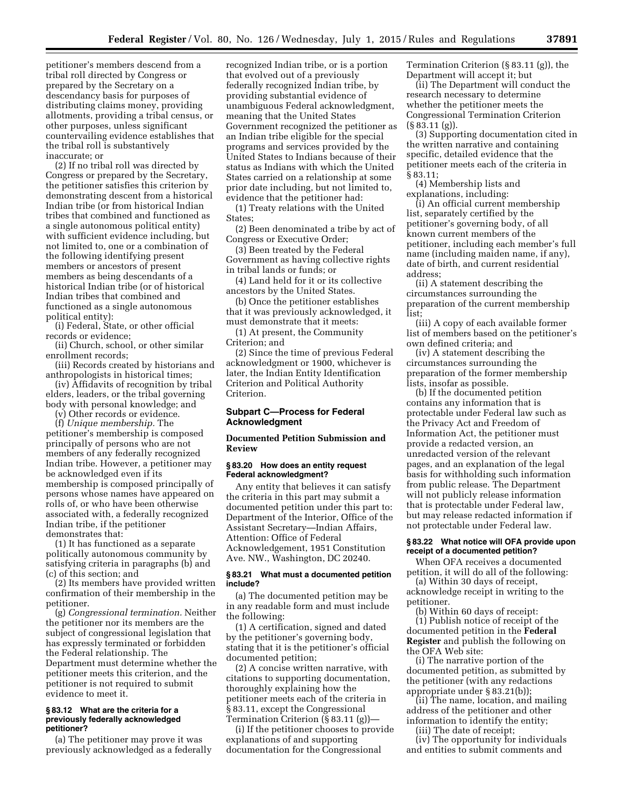petitioner's members descend from a tribal roll directed by Congress or prepared by the Secretary on a descendancy basis for purposes of distributing claims money, providing allotments, providing a tribal census, or other purposes, unless significant countervailing evidence establishes that the tribal roll is substantively inaccurate; or

(2) If no tribal roll was directed by Congress or prepared by the Secretary, the petitioner satisfies this criterion by demonstrating descent from a historical Indian tribe (or from historical Indian tribes that combined and functioned as a single autonomous political entity) with sufficient evidence including, but not limited to, one or a combination of the following identifying present members or ancestors of present members as being descendants of a historical Indian tribe (or of historical Indian tribes that combined and functioned as a single autonomous political entity):

(i) Federal, State, or other official records or evidence;

(ii) Church, school, or other similar enrollment records;

(iii) Records created by historians and anthropologists in historical times;

(iv) Affidavits of recognition by tribal elders, leaders, or the tribal governing body with personal knowledge; and

(v) Other records or evidence.

(f) *Unique membership.* The petitioner's membership is composed principally of persons who are not members of any federally recognized Indian tribe. However, a petitioner may be acknowledged even if its membership is composed principally of persons whose names have appeared on rolls of, or who have been otherwise associated with, a federally recognized Indian tribe, if the petitioner demonstrates that:

(1) It has functioned as a separate politically autonomous community by satisfying criteria in paragraphs (b) and (c) of this section; and

(2) Its members have provided written confirmation of their membership in the petitioner.

(g) *Congressional termination.* Neither the petitioner nor its members are the subject of congressional legislation that has expressly terminated or forbidden the Federal relationship. The Department must determine whether the petitioner meets this criterion, and the petitioner is not required to submit evidence to meet it.

# **§ 83.12 What are the criteria for a previously federally acknowledged petitioner?**

(a) The petitioner may prove it was previously acknowledged as a federally

recognized Indian tribe, or is a portion that evolved out of a previously federally recognized Indian tribe, by providing substantial evidence of unambiguous Federal acknowledgment, meaning that the United States Government recognized the petitioner as an Indian tribe eligible for the special programs and services provided by the United States to Indians because of their status as Indians with which the United States carried on a relationship at some prior date including, but not limited to, evidence that the petitioner had:

(1) Treaty relations with the United States;

(2) Been denominated a tribe by act of Congress or Executive Order;

(3) Been treated by the Federal Government as having collective rights in tribal lands or funds; or

(4) Land held for it or its collective ancestors by the United States.

(b) Once the petitioner establishes that it was previously acknowledged, it must demonstrate that it meets:

(1) At present, the Community Criterion; and

(2) Since the time of previous Federal acknowledgment or 1900, whichever is later, the Indian Entity Identification Criterion and Political Authority Criterion.

# **Subpart C—Process for Federal Acknowledgment**

**Documented Petition Submission and Review** 

# **§ 83.20 How does an entity request Federal acknowledgment?**

Any entity that believes it can satisfy the criteria in this part may submit a documented petition under this part to: Department of the Interior, Office of the Assistant Secretary—Indian Affairs, Attention: Office of Federal Acknowledgement, 1951 Constitution Ave. NW., Washington, DC 20240.

# **§ 83.21 What must a documented petition include?**

(a) The documented petition may be in any readable form and must include the following:

(1) A certification, signed and dated by the petitioner's governing body, stating that it is the petitioner's official documented petition;

(2) A concise written narrative, with citations to supporting documentation, thoroughly explaining how the petitioner meets each of the criteria in § 83.11, except the Congressional Termination Criterion (§ 83.11 (g))—

(i) If the petitioner chooses to provide explanations of and supporting documentation for the Congressional

Termination Criterion (§ 83.11 (g)), the Department will accept it; but

(ii) The Department will conduct the research necessary to determine whether the petitioner meets the Congressional Termination Criterion (§ 83.11 (g)).

(3) Supporting documentation cited in the written narrative and containing specific, detailed evidence that the petitioner meets each of the criteria in § 83.11;

(4) Membership lists and explanations, including:

(i) An official current membership list, separately certified by the petitioner's governing body, of all known current members of the petitioner, including each member's full name (including maiden name, if any), date of birth, and current residential address;

(ii) A statement describing the circumstances surrounding the preparation of the current membership list;

(iii) A copy of each available former list of members based on the petitioner's own defined criteria; and

(iv) A statement describing the circumstances surrounding the preparation of the former membership lists, insofar as possible.

(b) If the documented petition contains any information that is protectable under Federal law such as the Privacy Act and Freedom of Information Act, the petitioner must provide a redacted version, an unredacted version of the relevant pages, and an explanation of the legal basis for withholding such information from public release. The Department will not publicly release information that is protectable under Federal law, but may release redacted information if not protectable under Federal law.

# **§ 83.22 What notice will OFA provide upon receipt of a documented petition?**

When OFA receives a documented petition, it will do all of the following:

(a) Within 30 days of receipt, acknowledge receipt in writing to the petitioner.

(b) Within 60 days of receipt: (1) Publish notice of receipt of the documented petition in the **Federal Register** and publish the following on the OFA Web site:

(i) The narrative portion of the documented petition, as submitted by the petitioner (with any redactions appropriate under § 83.21(b));

(ii) The name, location, and mailing address of the petitioner and other information to identify the entity;

(iii) The date of receipt;

(iv) The opportunity for individuals and entities to submit comments and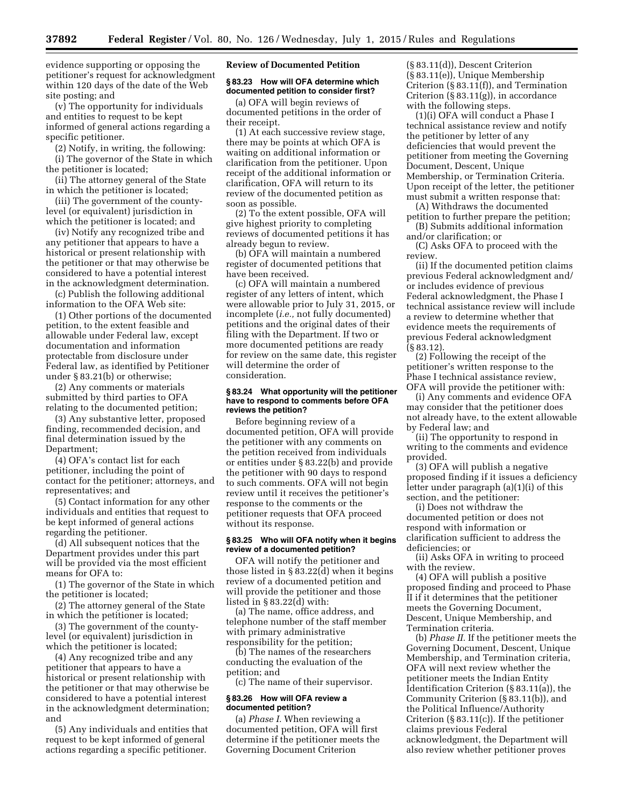evidence supporting or opposing the petitioner's request for acknowledgment within 120 days of the date of the Web site posting; and

(v) The opportunity for individuals and entities to request to be kept informed of general actions regarding a specific petitioner.

(2) Notify, in writing, the following: (i) The governor of the State in which the petitioner is located;

(ii) The attorney general of the State in which the petitioner is located;

(iii) The government of the countylevel (or equivalent) jurisdiction in which the petitioner is located; and

(iv) Notify any recognized tribe and any petitioner that appears to have a historical or present relationship with the petitioner or that may otherwise be considered to have a potential interest in the acknowledgment determination.

(c) Publish the following additional information to the OFA Web site:

(1) Other portions of the documented petition, to the extent feasible and allowable under Federal law, except documentation and information protectable from disclosure under Federal law, as identified by Petitioner under § 83.21(b) or otherwise;

(2) Any comments or materials submitted by third parties to OFA relating to the documented petition;

(3) Any substantive letter, proposed finding, recommended decision, and final determination issued by the Department;

(4) OFA's contact list for each petitioner, including the point of contact for the petitioner; attorneys, and representatives; and

(5) Contact information for any other individuals and entities that request to be kept informed of general actions regarding the petitioner.

(d) All subsequent notices that the Department provides under this part will be provided via the most efficient means for OFA to:

(1) The governor of the State in which the petitioner is located;

(2) The attorney general of the State in which the petitioner is located;

(3) The government of the countylevel (or equivalent) jurisdiction in which the petitioner is located;

(4) Any recognized tribe and any petitioner that appears to have a historical or present relationship with the petitioner or that may otherwise be considered to have a potential interest in the acknowledgment determination; and

(5) Any individuals and entities that request to be kept informed of general actions regarding a specific petitioner.

# **Review of Documented Petition**

# **§ 83.23 How will OFA determine which documented petition to consider first?**

(a) OFA will begin reviews of documented petitions in the order of their receipt.

(1) At each successive review stage, there may be points at which OFA is waiting on additional information or clarification from the petitioner. Upon receipt of the additional information or clarification, OFA will return to its review of the documented petition as soon as possible.

(2) To the extent possible, OFA will give highest priority to completing reviews of documented petitions it has already begun to review.

(b) OFA will maintain a numbered register of documented petitions that have been received.

(c) OFA will maintain a numbered register of any letters of intent, which were allowable prior to July 31, 2015, or incomplete (*i.e.,* not fully documented) petitions and the original dates of their filing with the Department. If two or more documented petitions are ready for review on the same date, this register will determine the order of consideration.

# **§ 83.24 What opportunity will the petitioner have to respond to comments before OFA reviews the petition?**

Before beginning review of a documented petition, OFA will provide the petitioner with any comments on the petition received from individuals or entities under § 83.22(b) and provide the petitioner with 90 days to respond to such comments. OFA will not begin review until it receives the petitioner's response to the comments or the petitioner requests that OFA proceed without its response.

# **§ 83.25 Who will OFA notify when it begins review of a documented petition?**

OFA will notify the petitioner and those listed in  $\S$ 83.22(d) when it begins review of a documented petition and will provide the petitioner and those listed in § 83.22(d) with:

(a) The name, office address, and telephone number of the staff member with primary administrative responsibility for the petition;

(b) The names of the researchers conducting the evaluation of the petition; and

(c) The name of their supervisor.

# **§ 83.26 How will OFA review a documented petition?**

(a) *Phase I.* When reviewing a documented petition, OFA will first determine if the petitioner meets the Governing Document Criterion

(§ 83.11(d)), Descent Criterion (§ 83.11(e)), Unique Membership Criterion (§ 83.11(f)), and Termination Criterion (§ 83.11(g)), in accordance with the following steps.

(1)(i) OFA will conduct a Phase I technical assistance review and notify the petitioner by letter of any deficiencies that would prevent the petitioner from meeting the Governing Document, Descent, Unique Membership, or Termination Criteria. Upon receipt of the letter, the petitioner must submit a written response that:

(A) Withdraws the documented petition to further prepare the petition; (B) Submits additional information

and/or clarification; or

(C) Asks OFA to proceed with the review.

(ii) If the documented petition claims previous Federal acknowledgment and/ or includes evidence of previous Federal acknowledgment, the Phase I technical assistance review will include a review to determine whether that evidence meets the requirements of previous Federal acknowledgment (§ 83.12).

(2) Following the receipt of the petitioner's written response to the Phase I technical assistance review, OFA will provide the petitioner with:

(i) Any comments and evidence OFA may consider that the petitioner does not already have, to the extent allowable by Federal law; and

(ii) The opportunity to respond in writing to the comments and evidence provided.

(3) OFA will publish a negative proposed finding if it issues a deficiency letter under paragraph (a)(1)(i) of this section, and the petitioner:

(i) Does not withdraw the documented petition or does not respond with information or clarification sufficient to address the deficiencies; or

(ii) Asks OFA in writing to proceed with the review.

(4) OFA will publish a positive proposed finding and proceed to Phase II if it determines that the petitioner meets the Governing Document, Descent, Unique Membership, and Termination criteria.

(b) *Phase II.* If the petitioner meets the Governing Document, Descent, Unique Membership, and Termination criteria, OFA will next review whether the petitioner meets the Indian Entity Identification Criterion (§ 83.11(a)), the Community Criterion (§ 83.11(b)), and the Political Influence/Authority Criterion (§ 83.11(c)). If the petitioner claims previous Federal acknowledgment, the Department will also review whether petitioner proves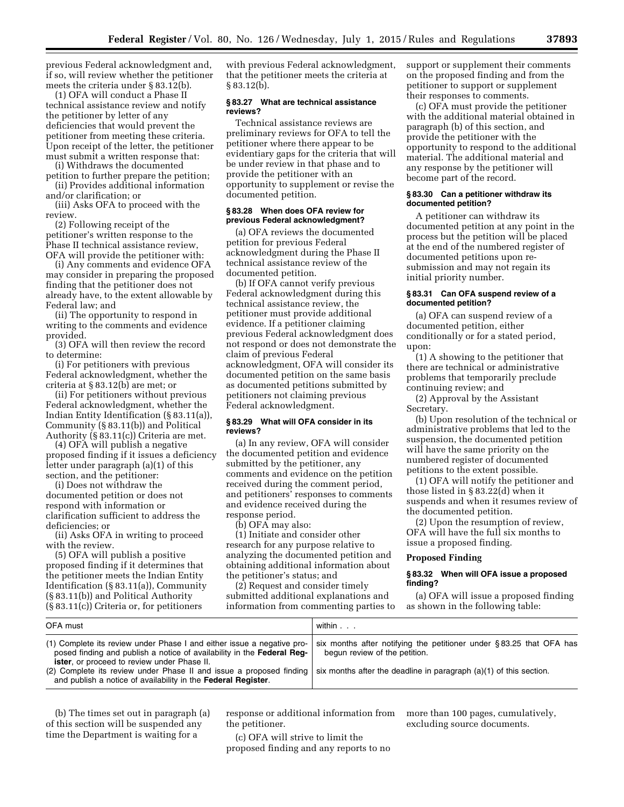previous Federal acknowledgment and, if so, will review whether the petitioner meets the criteria under § 83.12(b).

(1) OFA will conduct a Phase II technical assistance review and notify the petitioner by letter of any deficiencies that would prevent the petitioner from meeting these criteria. Upon receipt of the letter, the petitioner must submit a written response that:

(i) Withdraws the documented petition to further prepare the petition;

(ii) Provides additional information and/or clarification; or

(iii) Asks OFA to proceed with the review.

(2) Following receipt of the petitioner's written response to the Phase II technical assistance review, OFA will provide the petitioner with:

(i) Any comments and evidence OFA may consider in preparing the proposed finding that the petitioner does not already have, to the extent allowable by Federal law; and

(ii) The opportunity to respond in writing to the comments and evidence provided.

(3) OFA will then review the record to determine:

(i) For petitioners with previous Federal acknowledgment, whether the criteria at § 83.12(b) are met; or

(ii) For petitioners without previous Federal acknowledgment, whether the Indian Entity Identification (§ 83.11(a)), Community (§ 83.11(b)) and Political Authority  $(S 83.11(c))$  Criteria are met.

(4) OFA will publish a negative proposed finding if it issues a deficiency letter under paragraph (a)(1) of this section, and the petitioner:

(i) Does not withdraw the

documented petition or does not respond with information or clarification sufficient to address the deficiencies; or

(ii) Asks OFA in writing to proceed with the review.

(5) OFA will publish a positive proposed finding if it determines that the petitioner meets the Indian Entity Identification (§ 83.11(a)), Community (§ 83.11(b)) and Political Authority (§ 83.11(c)) Criteria or, for petitioners

with previous Federal acknowledgment, that the petitioner meets the criteria at § 83.12(b).

# **§ 83.27 What are technical assistance reviews?**

Technical assistance reviews are preliminary reviews for OFA to tell the petitioner where there appear to be evidentiary gaps for the criteria that will be under review in that phase and to provide the petitioner with an opportunity to supplement or revise the documented petition.

# **§ 83.28 When does OFA review for previous Federal acknowledgment?**

(a) OFA reviews the documented petition for previous Federal acknowledgment during the Phase II technical assistance review of the documented petition.

(b) If OFA cannot verify previous Federal acknowledgment during this technical assistance review, the petitioner must provide additional evidence. If a petitioner claiming previous Federal acknowledgment does not respond or does not demonstrate the claim of previous Federal acknowledgment, OFA will consider its documented petition on the same basis as documented petitions submitted by petitioners not claiming previous Federal acknowledgment.

# **§ 83.29 What will OFA consider in its reviews?**

(a) In any review, OFA will consider the documented petition and evidence submitted by the petitioner, any comments and evidence on the petition received during the comment period, and petitioners' responses to comments and evidence received during the response period.

(b) OFA may also:

(1) Initiate and consider other research for any purpose relative to analyzing the documented petition and obtaining additional information about the petitioner's status; and

(2) Request and consider timely submitted additional explanations and information from commenting parties to support or supplement their comments on the proposed finding and from the petitioner to support or supplement their responses to comments.

(c) OFA must provide the petitioner with the additional material obtained in paragraph (b) of this section, and provide the petitioner with the opportunity to respond to the additional material. The additional material and any response by the petitioner will become part of the record.

# **§ 83.30 Can a petitioner withdraw its documented petition?**

A petitioner can withdraw its documented petition at any point in the process but the petition will be placed at the end of the numbered register of documented petitions upon resubmission and may not regain its initial priority number.

# **§ 83.31 Can OFA suspend review of a documented petition?**

(a) OFA can suspend review of a documented petition, either conditionally or for a stated period, upon:

(1) A showing to the petitioner that there are technical or administrative problems that temporarily preclude continuing review; and

(2) Approval by the Assistant Secretary.

(b) Upon resolution of the technical or administrative problems that led to the suspension, the documented petition will have the same priority on the numbered register of documented petitions to the extent possible.

(1) OFA will notify the petitioner and those listed in § 83.22(d) when it suspends and when it resumes review of the documented petition.

(2) Upon the resumption of review, OFA will have the full six months to issue a proposed finding.

#### **Proposed Finding**

# **§ 83.32 When will OFA issue a proposed finding?**

(a) OFA will issue a proposed finding as shown in the following table:

| OFA must                                                                                                                                                                                                                                                                                                                                               | within $\ldots$                                                                                                                                                            |
|--------------------------------------------------------------------------------------------------------------------------------------------------------------------------------------------------------------------------------------------------------------------------------------------------------------------------------------------------------|----------------------------------------------------------------------------------------------------------------------------------------------------------------------------|
| (1) Complete its review under Phase I and either issue a negative pro-<br>posed finding and publish a notice of availability in the <b>Federal Req-</b><br><b>ister</b> , or proceed to review under Phase II.<br>(2) Complete its review under Phase II and issue a proposed finding<br>and publish a notice of availability in the Federal Register. | six months after notifying the petitioner under §83.25 that OFA has<br>begun review of the petition.<br>six months after the deadline in paragraph (a)(1) of this section. |
|                                                                                                                                                                                                                                                                                                                                                        |                                                                                                                                                                            |

(b) The times set out in paragraph (a) of this section will be suspended any time the Department is waiting for a

response or additional information from the petitioner.

(c) OFA will strive to limit the proposed finding and any reports to no more than 100 pages, cumulatively, excluding source documents.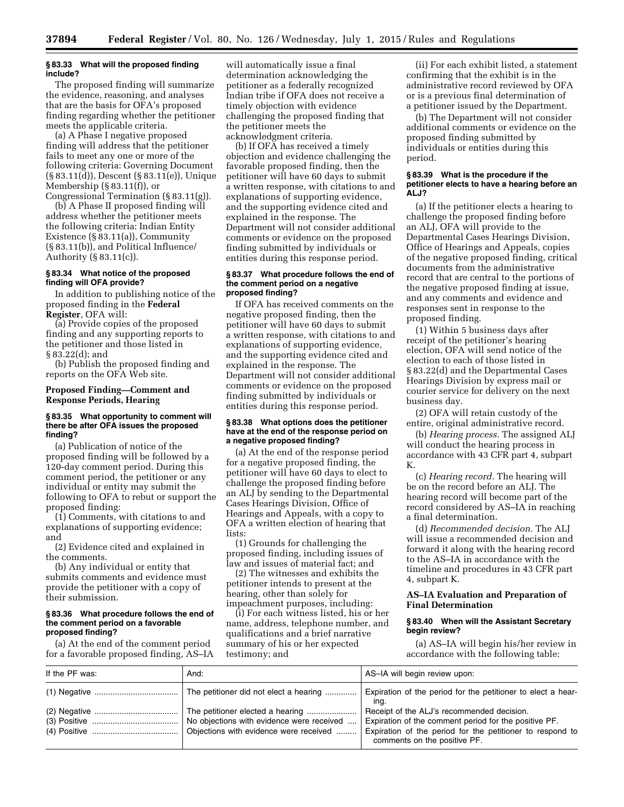# **§ 83.33 What will the proposed finding include?**

The proposed finding will summarize the evidence, reasoning, and analyses that are the basis for OFA's proposed finding regarding whether the petitioner meets the applicable criteria.

(a) A Phase I negative proposed finding will address that the petitioner fails to meet any one or more of the following criteria: Governing Document (§ 83.11(d)), Descent (§ 83.11(e)), Unique Membership (§ 83.11(f)), or Congressional Termination (§ 83.11(g)).

(b) A Phase II proposed finding will address whether the petitioner meets the following criteria: Indian Entity Existence (§ 83.11(a)), Community (§ 83.11(b)), and Political Influence/ Authority (§ 83.11(c)).

# **§ 83.34 What notice of the proposed finding will OFA provide?**

In addition to publishing notice of the proposed finding in the **Federal Register**, OFA will:

(a) Provide copies of the proposed finding and any supporting reports to the petitioner and those listed in § 83.22(d); and

(b) Publish the proposed finding and reports on the OFA Web site.

# **Proposed Finding—Comment and Response Periods, Hearing**

# **§ 83.35 What opportunity to comment will there be after OFA issues the proposed finding?**

(a) Publication of notice of the proposed finding will be followed by a 120-day comment period. During this comment period, the petitioner or any individual or entity may submit the following to OFA to rebut or support the proposed finding:

(1) Comments, with citations to and explanations of supporting evidence; and

(2) Evidence cited and explained in the comments.

(b) Any individual or entity that submits comments and evidence must provide the petitioner with a copy of their submission.

#### **§ 83.36 What procedure follows the end of the comment period on a favorable proposed finding?**

(a) At the end of the comment period for a favorable proposed finding, AS–IA

will automatically issue a final determination acknowledging the petitioner as a federally recognized Indian tribe if OFA does not receive a timely objection with evidence challenging the proposed finding that the petitioner meets the acknowledgment criteria.

(b) If OFA has received a timely objection and evidence challenging the favorable proposed finding, then the petitioner will have 60 days to submit a written response, with citations to and explanations of supporting evidence, and the supporting evidence cited and explained in the response. The Department will not consider additional comments or evidence on the proposed finding submitted by individuals or entities during this response period.

#### **§ 83.37 What procedure follows the end of the comment period on a negative proposed finding?**

If OFA has received comments on the negative proposed finding, then the petitioner will have 60 days to submit a written response, with citations to and explanations of supporting evidence, and the supporting evidence cited and explained in the response. The Department will not consider additional comments or evidence on the proposed finding submitted by individuals or entities during this response period.

# **§ 83.38 What options does the petitioner have at the end of the response period on a negative proposed finding?**

(a) At the end of the response period for a negative proposed finding, the petitioner will have 60 days to elect to challenge the proposed finding before an ALJ by sending to the Departmental Cases Hearings Division, Office of Hearings and Appeals, with a copy to OFA a written election of hearing that lists:

(1) Grounds for challenging the proposed finding, including issues of law and issues of material fact; and

(2) The witnesses and exhibits the petitioner intends to present at the hearing, other than solely for impeachment purposes, including:

(i) For each witness listed, his or her name, address, telephone number, and qualifications and a brief narrative summary of his or her expected testimony; and

(ii) For each exhibit listed, a statement confirming that the exhibit is in the administrative record reviewed by OFA or is a previous final determination of a petitioner issued by the Department.

(b) The Department will not consider additional comments or evidence on the proposed finding submitted by individuals or entities during this period.

# **§ 83.39 What is the procedure if the petitioner elects to have a hearing before an ALJ?**

(a) If the petitioner elects a hearing to challenge the proposed finding before an ALJ, OFA will provide to the Departmental Cases Hearings Division, Office of Hearings and Appeals, copies of the negative proposed finding, critical documents from the administrative record that are central to the portions of the negative proposed finding at issue, and any comments and evidence and responses sent in response to the proposed finding.

(1) Within 5 business days after receipt of the petitioner's hearing election, OFA will send notice of the election to each of those listed in § 83.22(d) and the Departmental Cases Hearings Division by express mail or courier service for delivery on the next business day.

(2) OFA will retain custody of the entire, original administrative record.

(b) *Hearing process.* The assigned ALJ will conduct the hearing process in accordance with 43 CFR part 4, subpart K.

(c) *Hearing record.* The hearing will be on the record before an ALJ. The hearing record will become part of the record considered by AS–IA in reaching a final determination.

(d) *Recommended decision.* The ALJ will issue a recommended decision and forward it along with the hearing record to the AS–IA in accordance with the timeline and procedures in 43 CFR part 4, subpart K.

# **AS–IA Evaluation and Preparation of Final Determination**

# **§ 83.40 When will the Assistant Secretary begin review?**

(a) AS–IA will begin his/her review in accordance with the following table:

| If the PF was: | And:                                                                                | AS-IA will begin review upon:                                                                                                                                                                    |
|----------------|-------------------------------------------------------------------------------------|--------------------------------------------------------------------------------------------------------------------------------------------------------------------------------------------------|
|                | The petitioner did not elect a hearing                                              | Expiration of the period for the petitioner to elect a hear-<br>ing.                                                                                                                             |
|                | No objections with evidence were received<br>Objections with evidence were received | Receipt of the ALJ's recommended decision.<br>Expiration of the comment period for the positive PF.<br>Expiration of the period for the petitioner to respond to<br>comments on the positive PF. |